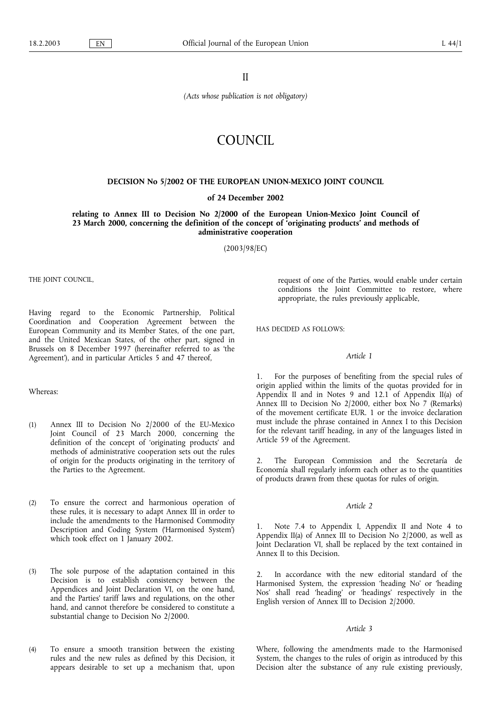II

(Acts whose publication is not obligatory)

# **COUNCIL**

## DECISION No 5/2002 OF THE EUROPEAN UNION-MEXICO JOINT COUNCIL

## of 24 December 2002

relating to Annex III to Decision No 2/2000 of the European Union-Mexico Joint Council of 23 March 2000, concerning the definition of the concept of 'originating products' and methods of administrative cooperation

(2003/98/EC)

THE JOINT COUNCIL,

Having regard to the Economic Partnership, Political Coordination and Cooperation Agreement between the European Community and its Member States, of the one part, and the United Mexican States, of the other part, signed in Brussels on 8 December 1997 (hereinafter referred to as 'the Agreement), and in particular Articles 5 and 47 thereof,

#### Whereas:

- (1) Annex III to Decision No 2/2000 of the EU-Mexico Joint Council of 23 March 2000, concerning the definition of the concept of 'originating products' and methods of administrative cooperation sets out the rules of origin for the products originating in the territory of the Parties to the Agreement.
- (2) To ensure the correct and harmonious operation of these rules, it is necessary to adapt Annex III in order to include the amendments to the Harmonised Commodity Description and Coding System (Harmonised System) which took effect on 1 January 2002.
- (3) The sole purpose of the adaptation contained in this Decision is to establish consistency between the Appendices and Joint Declaration VI, on the one hand, and the Parties' tariff laws and regulations, on the other hand, and cannot therefore be considered to constitute a substantial change to Decision No 2/2000.
- (4) To ensure a smooth transition between the existing rules and the new rules as defined by this Decision, it appears desirable to set up a mechanism that, upon

request of one of the Parties, would enable under certain conditions the Joint Committee to restore, where appropriate, the rules previously applicable,

HAS DECIDED AS FOLLOWS:

#### Article 1

1. For the purposes of benefiting from the special rules of origin applied within the limits of the quotas provided for in Appendix II and in Notes 9 and 12.1 of Appendix II(a) of Annex III to Decision No 2/2000, either box No 7 (Remarks) of the movement certificate EUR. 1 or the invoice declaration must include the phrase contained in Annex I to this Decision for the relevant tariff heading, in any of the languages listed in Article 59 of the Agreement.

2. The European Commission and the Secretaría de Economía shall regularly inform each other as to the quantities of products drawn from these quotas for rules of origin.

#### Article 2

1. Note 7.4 to Appendix I, Appendix II and Note 4 to Appendix II(a) of Annex III to Decision No 2/2000, as well as Joint Declaration VI, shall be replaced by the text contained in Annex II to this Decision.

2. In accordance with the new editorial standard of the Harmonised System, the expression 'heading No' or 'heading Nos' shall read 'heading' or 'headings' respectively in the English version of Annex III to Decision 2/2000.

#### Article 3

Where, following the amendments made to the Harmonised System, the changes to the rules of origin as introduced by this Decision alter the substance of any rule existing previously,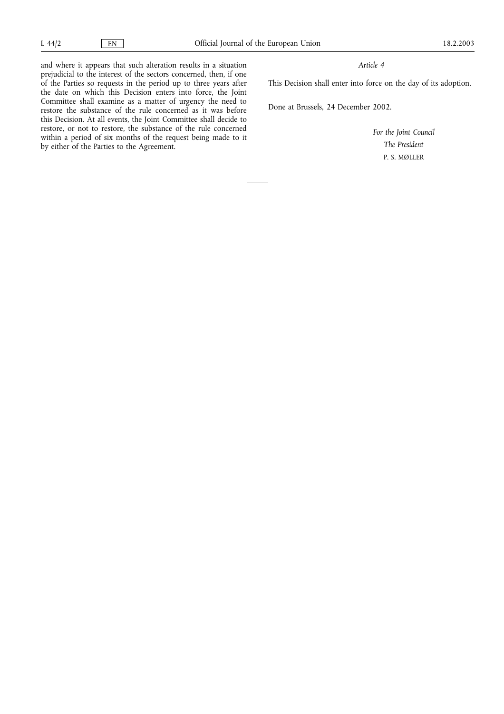and where it appears that such alteration results in a situation prejudicial to the interest of the sectors concerned, then, if one of the Parties so requests in the period up to three years after the date on which this Decision enters into force, the Joint Committee shall examine as a matter of urgency the need to restore the substance of the rule concerned as it was before this Decision. At all events, the Joint Committee shall decide to restore, or not to restore, the substance of the rule concerned within a period of six months of the request being made to it by either of the Parties to the Agreement.

## Article 4

This Decision shall enter into force on the day of its adoption.

Done at Brussels, 24 December 2002.

For the Joint Council The President P. S. MØLLER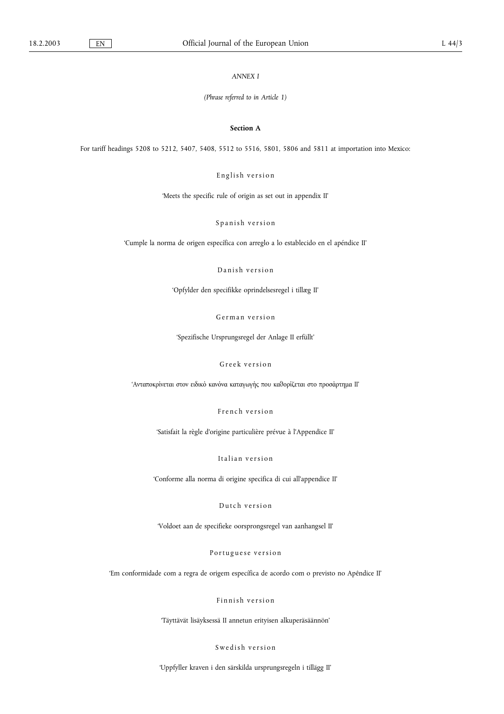ANNEX I

(Phrase referred to in Article 1)

#### Section A

For tariff headings 5208 to 5212, 5407, 5408, 5512 to 5516, 5801, 5806 and 5811 at importation into Mexico:

English version

Meets the specific rule of origin as set out in appendix II

Spanish version

Cumple la norma de origen específica con arreglo a lo establecido en el apéndice II

Danish version

Opfylder den specifikke oprindelsesregel i tillæg II

German version

Spezifische Ursprungsregel der Anlage II erfüllt

Greek version

' Ανταποκρίνεται στον ειδικό κανόνα καταγωγής που καθορίζεται στο προσάρτημα ΙΙ'

French version

Satisfait la règle d'origine particulière prévue à l'Appendice II

Italian version

Conforme alla norma di origine specifica di cui all'appendice II

Dutch version

Voldoet aan de specifieke oorsprongsregel van aanhangsel II

Portuguese version

Em conformidade com a regra de origem específica de acordo com o previsto no Apêndice II

Finnish version

Täyttävät lisäyksessä II annetun erityisen alkuperäsäännön

Swedish version

Uppfyller kraven i den särskilda ursprungsregeln i tillägg II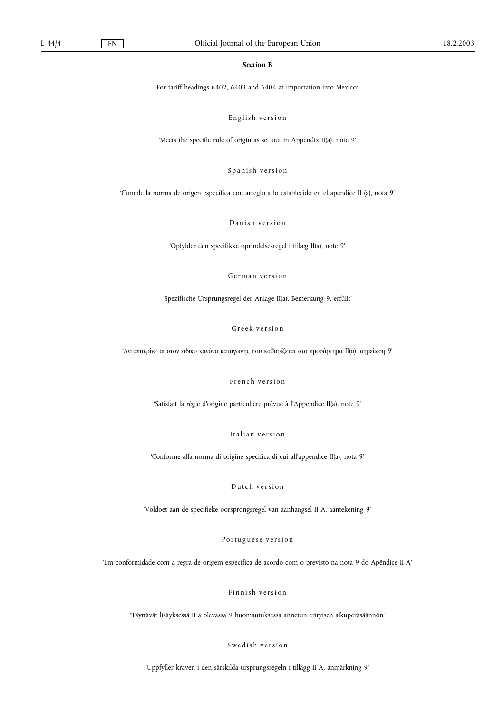## Section B

For tariff headings 6402, 6403 and 6404 at importation into Mexico:

English version

Meets the specific rule of origin as set out in Appendix II(a), note 9

Spanish version

Cumple la norma de origen específica con arreglo a lo establecido en el apéndice II (a), nota 9

Danish version

Opfylder den specifikke oprindelsesregel i tillæg II(a), note 9

German version

Spezifische Ursprungsregel der Anlage II(a), Bemerkung 9, erfüllt

Greek version

' Ανταποκρίνεται στον ειδικό κανόνα καταγωγής που καθορίζεται στο προσάρτημα ΙΙ(α), σημείωση 9'

French version

Satisfait la règle d'origine particulière prévue à l'Appendice II(a), note 9

Italian version

Conforme alla norma di origine specifica di cui all'appendice II(a), nota 9

Dutch version

Voldoet aan de specifieke oorsprongsregel van aanhangsel II A, aantekening 9

Portuguese version

Em conformidade com a regra de origem específica de acordo com o previsto na nota 9 do Apêndice II-A

Finnish version

Täyttävät lisäyksessä II a olevassa 9 huomautuksessa annetun erityisen alkuperäsäännön

Swedish version

Uppfyller kraven i den särskilda ursprungsregeln i tillägg II A, anmärkning 9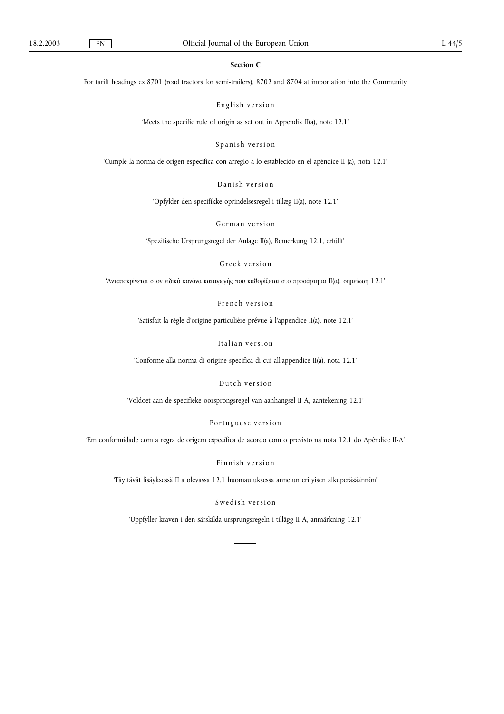## Section C

For tariff headings ex 8701 (road tractors for semi-trailers), 8702 and 8704 at importation into the Community

English version

'Meets the specific rule of origin as set out in Appendix II(a), note 12.1'

Spanish version

Cumple la norma de origen específica con arreglo a lo establecido en el apéndice II (a), nota 12.1

Danish version

Opfylder den specifikke oprindelsesregel i tillæg II(a), note 12.1

German version

Spezifische Ursprungsregel der Anlage II(a), Bemerkung 12.1, erfüllt

Greek version

' Ανταποκρίνεται στον ειδικό κανόνα καταγωγής που καθορίζεται στο προσάρτημα ΙΙ(α), σημείωση 12.1'

French version

Satisfait la règle d'origine particulière prévue à l'appendice II(a), note 12.1

Italian version

Conforme alla norma di origine specifica di cui all'appendice II(a), nota 12.1

Dutch version

Voldoet aan de specifieke oorsprongsregel van aanhangsel II A, aantekening 12.1

Portuguese version

Em conformidade com a regra de origem específica de acordo com o previsto na nota 12.1 do Apêndice II-A

Finnish version

Täyttävät lisäyksessä II a olevassa 12.1 huomautuksessa annetun erityisen alkuperäsäännön

Swedish version

Uppfyller kraven i den särskilda ursprungsregeln i tillägg II A, anmärkning 12.1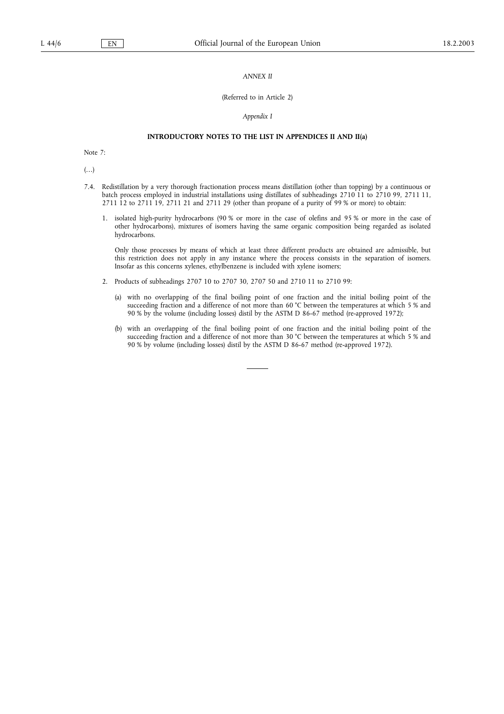## ANNEX II

#### (Referred to in Article 2)

## Appendix I

## INTRODUCTORY NOTES TO THE LIST IN APPENDICES II AND II(a)

Note 7:

 $(\ldots)$ 

- 7.4. Redistillation by a very thorough fractionation process means distillation (other than topping) by a continuous or batch process employed in industrial installations using distillates of subheadings 2710 11 to 2710 99, 2711 11, 2711 12 to 2711 19, 2711 21 and 2711 29 (other than propane of a purity of 99 % or more) to obtain:
	- 1. isolated high-purity hydrocarbons (90 % or more in the case of olefins and 95 % or more in the case of other hydrocarbons), mixtures of isomers having the same organic composition being regarded as isolated hydrocarbons.

Only those processes by means of which at least three different products are obtained are admissible, but this restriction does not apply in any instance where the process consists in the separation of isomers. Insofar as this concerns xylenes, ethylbenzene is included with xylene isomers;

- 2. Products of subheadings 2707 10 to 2707 30, 2707 50 and 2710 11 to 2710 99:
	- (a) with no overlapping of the final boiling point of one fraction and the initial boiling point of the succeeding fraction and a difference of not more than 60 °C between the temperatures at which 5 % and 90 % by the volume (including losses) distil by the ASTM D 86-67 method (re-approved 1972);
	- (b) with an overlapping of the final boiling point of one fraction and the initial boiling point of the succeeding fraction and a difference of not more than 30 °C between the temperatures at which 5 % and 90 % by volume (including losses) distil by the ASTM D 86-67 method (re-approved 1972).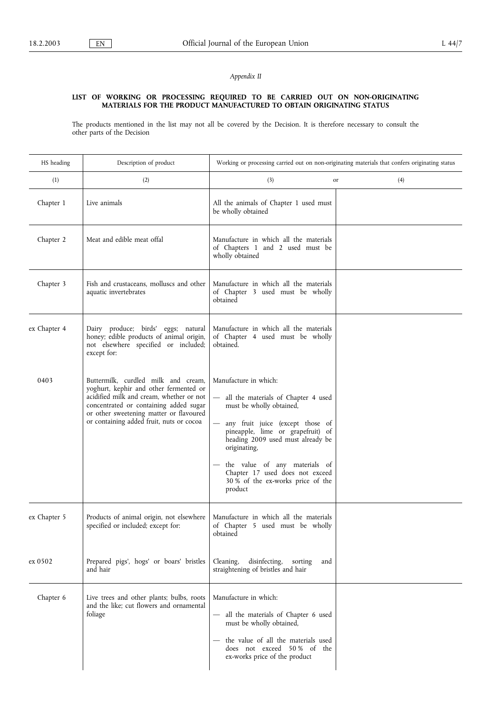## Appendix II

## LIST OF WORKING OR PROCESSING REQUIRED TO BE CARRIED OUT ON NON-ORIGINATING MATERIALS FOR THE PRODUCT MANUFACTURED TO OBTAIN ORIGINATING STATUS

The products mentioned in the list may not all be covered by the Decision. It is therefore necessary to consult the other parts of the Decision

| HS heading   | Description of product                                                                                                                                                                                                                                     | Working or processing carried out on non-originating materials that confers originating status                                                                                                                                                                                                                                             |           |
|--------------|------------------------------------------------------------------------------------------------------------------------------------------------------------------------------------------------------------------------------------------------------------|--------------------------------------------------------------------------------------------------------------------------------------------------------------------------------------------------------------------------------------------------------------------------------------------------------------------------------------------|-----------|
| (1)          | (2)                                                                                                                                                                                                                                                        | (3)                                                                                                                                                                                                                                                                                                                                        | (4)<br>or |
| Chapter 1    | Live animals                                                                                                                                                                                                                                               | All the animals of Chapter 1 used must<br>be wholly obtained                                                                                                                                                                                                                                                                               |           |
| Chapter 2    | Meat and edible meat offal                                                                                                                                                                                                                                 | Manufacture in which all the materials<br>of Chapters 1 and 2 used must be<br>wholly obtained                                                                                                                                                                                                                                              |           |
| Chapter 3    | Fish and crustaceans, molluscs and other<br>aquatic invertebrates                                                                                                                                                                                          | Manufacture in which all the materials<br>of Chapter 3 used must be wholly<br>obtained                                                                                                                                                                                                                                                     |           |
| ex Chapter 4 | Dairy produce; birds' eggs; natural<br>honey; edible products of animal origin,<br>not elsewhere specified or included;<br>except for:                                                                                                                     | Manufacture in which all the materials<br>of Chapter 4 used must be wholly<br>obtained.                                                                                                                                                                                                                                                    |           |
| 0403         | Buttermilk, curdled milk and cream,<br>yoghurt, kephir and other fermented or<br>acidified milk and cream, whether or not<br>concentrated or containing added sugar<br>or other sweetening matter or flavoured<br>or containing added fruit, nuts or cocoa | Manufacture in which:<br>all the materials of Chapter 4 used<br>must be wholly obtained,<br>any fruit juice (except those of<br>pineapple, lime or grapefruit) of<br>heading 2009 used must already be<br>originating,<br>the value of any materials of<br>Chapter 17 used does not exceed<br>30 % of the ex-works price of the<br>product |           |
| ex Chapter 5 | Products of animal origin, not elsewhere<br>specified or included; except for:                                                                                                                                                                             | Manufacture in which all the materials<br>of Chapter 5 used must be wholly<br>obtained                                                                                                                                                                                                                                                     |           |
| ex 0502      | Prepared pigs', hogs' or boars' bristles<br>and hair                                                                                                                                                                                                       | Cleaning,<br>disinfecting,<br>sorting<br>and<br>straightening of bristles and hair                                                                                                                                                                                                                                                         |           |
| Chapter 6    | Live trees and other plants; bulbs, roots<br>and the like; cut flowers and ornamental<br>foliage                                                                                                                                                           | Manufacture in which:<br>all the materials of Chapter 6 used<br>must be wholly obtained,<br>the value of all the materials used<br>does not exceed 50% of the<br>ex-works price of the product                                                                                                                                             |           |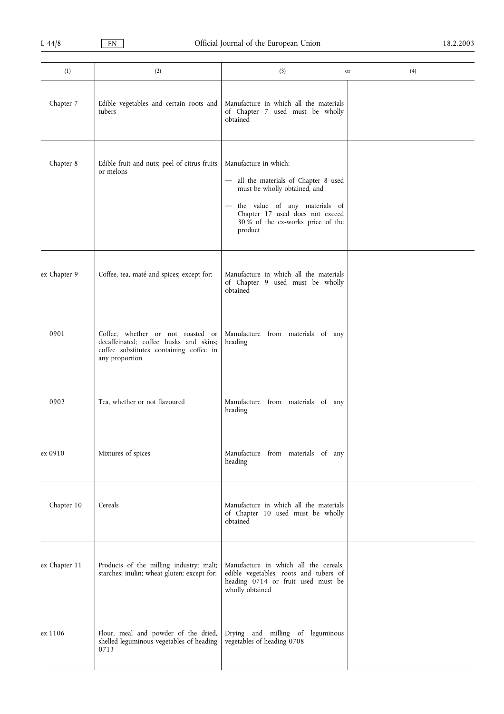| (1)           | (2)                                                                                                                                      | (3)<br>or                                                                                                                                                                                                            | (4) |
|---------------|------------------------------------------------------------------------------------------------------------------------------------------|----------------------------------------------------------------------------------------------------------------------------------------------------------------------------------------------------------------------|-----|
| Chapter 7     | Edible vegetables and certain roots and<br>tubers                                                                                        | Manufacture in which all the materials<br>of Chapter 7 used must be wholly<br>obtained                                                                                                                               |     |
| Chapter 8     | Edible fruit and nuts; peel of citrus fruits<br>or melons                                                                                | Manufacture in which:<br>- all the materials of Chapter 8 used<br>must be wholly obtained, and<br>- the value of any materials of<br>Chapter 17 used does not exceed<br>30 % of the ex-works price of the<br>product |     |
| ex Chapter 9  | Coffee, tea, maté and spices; except for:                                                                                                | Manufacture in which all the materials<br>of Chapter 9 used must be wholly<br>obtained                                                                                                                               |     |
| 0901          | Coffee, whether or not roasted or<br>decaffeinated; coffee husks and skins;<br>coffee substitutes containing coffee in<br>any proportion | Manufacture from materials of any<br>heading                                                                                                                                                                         |     |
| 0902          | Tea, whether or not flavoured                                                                                                            | Manufacture from materials of any<br>heading                                                                                                                                                                         |     |
| ex 0910       | Mixtures of spices                                                                                                                       | Manufacture from materials of any<br>heading                                                                                                                                                                         |     |
| Chapter 10    | Cereals                                                                                                                                  | Manufacture in which all the materials<br>of Chapter 10 used must be wholly<br>obtained                                                                                                                              |     |
| ex Chapter 11 | Products of the milling industry; malt;<br>starches; inulin; wheat gluten; except for:                                                   | Manufacture in which all the cereals,<br>edible vegetables, roots and tubers of<br>heading 0714 or fruit used must be<br>wholly obtained                                                                             |     |
| ex 1106       | Flour, meal and powder of the dried,<br>shelled leguminous vegetables of heading<br>0713                                                 | Drying and milling of leguminous<br>vegetables of heading 0708                                                                                                                                                       |     |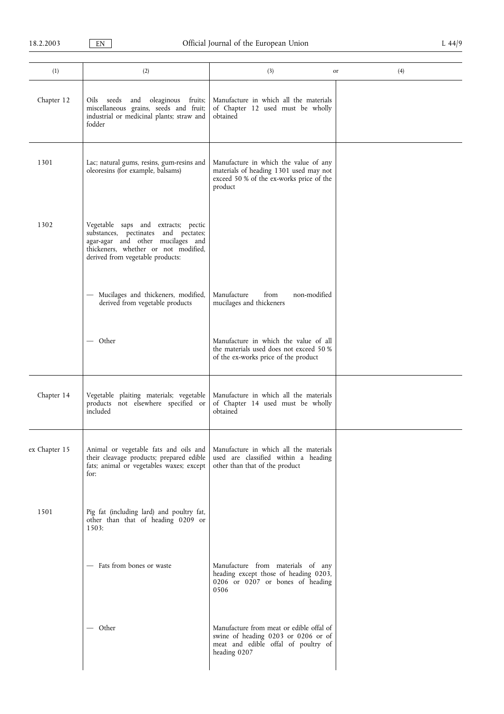| (1)           | (2)                                                                                                                                                                                          | (3)                                                                                                                                    | (4)<br>or |
|---------------|----------------------------------------------------------------------------------------------------------------------------------------------------------------------------------------------|----------------------------------------------------------------------------------------------------------------------------------------|-----------|
| Chapter 12    | Oils seeds and oleaginous fruits;<br>miscellaneous grains, seeds and fruit;<br>industrial or medicinal plants; straw and<br>fodder                                                           | Manufacture in which all the materials<br>of Chapter 12 used must be wholly<br>obtained                                                |           |
| 1301          | Lac; natural gums, resins, gum-resins and<br>oleoresins (for example, balsams)                                                                                                               | Manufacture in which the value of any<br>materials of heading 1301 used may not<br>exceed 50 % of the ex-works price of the<br>product |           |
| 1302          | Vegetable saps and extracts; pectic<br>substances, pectinates and pectates;<br>agar-agar and other mucilages and<br>thickeners, whether or not modified,<br>derived from vegetable products: |                                                                                                                                        |           |
|               | - Mucilages and thickeners, modified,<br>derived from vegetable products                                                                                                                     | Manufacture<br>from<br>non-modified<br>mucilages and thickeners                                                                        |           |
|               | — Other                                                                                                                                                                                      | Manufacture in which the value of all<br>the materials used does not exceed 50 %<br>of the ex-works price of the product               |           |
| Chapter 14    | Vegetable plaiting materials; vegetable<br>products not elsewhere specified or<br>included                                                                                                   | Manufacture in which all the materials<br>of Chapter 14 used must be wholly<br>obtained                                                |           |
| ex Chapter 15 | Animal or vegetable fats and oils and<br>their cleavage products; prepared edible<br>fats; animal or vegetables waxes; except<br>for:                                                        | Manufacture in which all the materials<br>used are classified within a heading<br>other than that of the product                       |           |
| 1501          | Pig fat (including lard) and poultry fat,<br>other than that of heading 0209 or<br>1503:                                                                                                     |                                                                                                                                        |           |
|               | - Fats from bones or waste                                                                                                                                                                   | Manufacture from materials of any<br>heading except those of heading 0203,<br>0206 or 0207 or bones of heading<br>0506                 |           |
|               | — Other                                                                                                                                                                                      | Manufacture from meat or edible offal of<br>swine of heading 0203 or 0206 or of<br>meat and edible offal of poultry of<br>heading 0207 |           |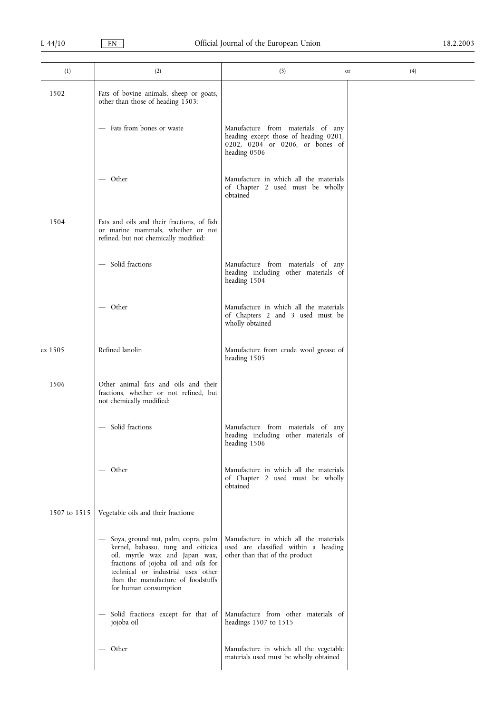| (1)          | (2)                                                                                                                                                                                                                                                        | (3)<br>or                                                                                                                     | (4) |
|--------------|------------------------------------------------------------------------------------------------------------------------------------------------------------------------------------------------------------------------------------------------------------|-------------------------------------------------------------------------------------------------------------------------------|-----|
| 1502         | Fats of bovine animals, sheep or goats,<br>other than those of heading 1503:                                                                                                                                                                               |                                                                                                                               |     |
|              | - Fats from bones or waste                                                                                                                                                                                                                                 | Manufacture from materials of any<br>heading except those of heading 0201,<br>0202, 0204 or 0206, or bones of<br>heading 0506 |     |
|              | — Other                                                                                                                                                                                                                                                    | Manufacture in which all the materials<br>of Chapter 2 used must be wholly<br>obtained                                        |     |
| 1504         | Fats and oils and their fractions, of fish<br>or marine mammals, whether or not<br>refined, but not chemically modified:                                                                                                                                   |                                                                                                                               |     |
|              | - Solid fractions                                                                                                                                                                                                                                          | Manufacture from materials of any<br>heading including other materials of<br>heading 1504                                     |     |
|              | $-$ Other                                                                                                                                                                                                                                                  | Manufacture in which all the materials<br>of Chapters 2 and 3 used must be<br>wholly obtained                                 |     |
| ex 1505      | Refined lanolin                                                                                                                                                                                                                                            | Manufacture from crude wool grease of<br>heading 1505                                                                         |     |
| 1506         | Other animal fats and oils and their<br>fractions, whether or not refined, but<br>not chemically modified:                                                                                                                                                 |                                                                                                                               |     |
|              | - Solid fractions                                                                                                                                                                                                                                          | Manufacture from materials of any<br>heading including other materials of<br>heading 1506                                     |     |
|              | — Other                                                                                                                                                                                                                                                    | Manufacture in which all the materials<br>of Chapter 2 used must be wholly<br>obtained                                        |     |
| 1507 to 1515 | Vegetable oils and their fractions:                                                                                                                                                                                                                        |                                                                                                                               |     |
|              | - Soya, ground nut, palm, copra, palm<br>kernel, babassu, tung and oiticica<br>oil, myrtle wax and Japan wax,<br>fractions of jojoba oil and oils for<br>technical or industrial uses other<br>than the manufacture of foodstuffs<br>for human consumption | Manufacture in which all the materials<br>used are classified within a heading<br>other than that of the product              |     |
|              | - Solid fractions except for that of<br>jojoba oil                                                                                                                                                                                                         | Manufacture from other materials of<br>headings 1507 to 1515                                                                  |     |
|              | — Other                                                                                                                                                                                                                                                    | Manufacture in which all the vegetable<br>materials used must be wholly obtained                                              |     |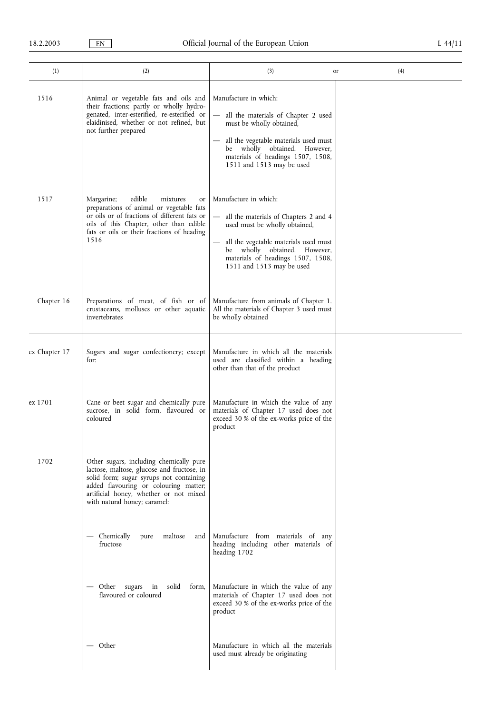| (1)           | (2)                                                                                                                                                                                                                                                 | (3)                                                                                                                                                                                                                                        | (4)<br>or |
|---------------|-----------------------------------------------------------------------------------------------------------------------------------------------------------------------------------------------------------------------------------------------------|--------------------------------------------------------------------------------------------------------------------------------------------------------------------------------------------------------------------------------------------|-----------|
| 1516          | Animal or vegetable fats and oils and<br>their fractions; partly or wholly hydro-<br>genated, inter-esterified, re-esterified or<br>elaidinised, whether or not refined, but<br>not further prepared                                                | Manufacture in which:<br>all the materials of Chapter 2 used<br>must be wholly obtained,<br>all the vegetable materials used must<br>be wholly obtained. However,<br>materials of headings 1507, 1508,<br>1511 and 1513 may be used        |           |
| 1517          | Margarine;<br>edible<br>mixtures<br>or<br>preparations of animal or vegetable fats<br>or oils or of fractions of different fats or<br>oils of this Chapter, other than edible<br>fats or oils or their fractions of heading<br>1516                 | Manufacture in which:<br>all the materials of Chapters 2 and 4<br>used must be wholly obtained,<br>all the vegetable materials used must<br>be wholly obtained. However,<br>materials of headings 1507, 1508,<br>1511 and 1513 may be used |           |
| Chapter 16    | Preparations of meat, of fish or of<br>crustaceans, molluscs or other aquatic<br>invertebrates                                                                                                                                                      | Manufacture from animals of Chapter 1.<br>All the materials of Chapter 3 used must<br>be wholly obtained                                                                                                                                   |           |
| ex Chapter 17 | Sugars and sugar confectionery; except<br>for:                                                                                                                                                                                                      | Manufacture in which all the materials<br>used are classified within a heading<br>other than that of the product                                                                                                                           |           |
| ex 1701       | Cane or beet sugar and chemically pure<br>sucrose, in solid form, flavoured or<br>coloured                                                                                                                                                          | Manufacture in which the value of any<br>materials of Chapter 17 used does not<br>exceed 30 % of the ex-works price of the<br>product                                                                                                      |           |
| 1702          | Other sugars, including chemically pure<br>lactose, maltose, glucose and fructose, in<br>solid form; sugar syrups not containing<br>added flavouring or colouring matter;<br>artificial honey, whether or not mixed<br>with natural honey; caramel: |                                                                                                                                                                                                                                            |           |
|               | — Chemically<br>pure maltose<br>and<br>fructose                                                                                                                                                                                                     | Manufacture from materials of any<br>heading including other materials of<br>heading 1702                                                                                                                                                  |           |
|               | — Other sugars in<br>solid<br>form,<br>flavoured or coloured                                                                                                                                                                                        | Manufacture in which the value of any<br>materials of Chapter 17 used does not<br>exceed 30 % of the ex-works price of the<br>product                                                                                                      |           |
|               | — Other                                                                                                                                                                                                                                             | Manufacture in which all the materials<br>used must already be originating                                                                                                                                                                 |           |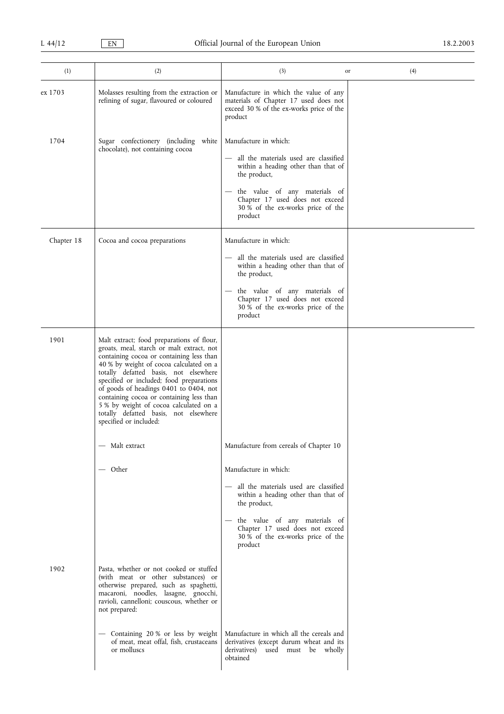| (1)        | (2)                                                                                                                                                                                                                                                                                                                                                                                                                                                                   | (3)                                                                                                                                   | (4)<br>or |
|------------|-----------------------------------------------------------------------------------------------------------------------------------------------------------------------------------------------------------------------------------------------------------------------------------------------------------------------------------------------------------------------------------------------------------------------------------------------------------------------|---------------------------------------------------------------------------------------------------------------------------------------|-----------|
| ex 1703    | Molasses resulting from the extraction or<br>refining of sugar, flavoured or coloured                                                                                                                                                                                                                                                                                                                                                                                 | Manufacture in which the value of any<br>materials of Chapter 17 used does not<br>exceed 30 % of the ex-works price of the<br>product |           |
| 1704       | Sugar confectionery (including white<br>chocolate), not containing cocoa                                                                                                                                                                                                                                                                                                                                                                                              | Manufacture in which:<br>- all the materials used are classified<br>within a heading other than that of<br>the product,               |           |
|            |                                                                                                                                                                                                                                                                                                                                                                                                                                                                       | the value of any materials of<br>Chapter 17 used does not exceed<br>30 % of the ex-works price of the<br>product                      |           |
| Chapter 18 | Cocoa and cocoa preparations                                                                                                                                                                                                                                                                                                                                                                                                                                          | Manufacture in which:                                                                                                                 |           |
|            |                                                                                                                                                                                                                                                                                                                                                                                                                                                                       | all the materials used are classified<br>within a heading other than that of<br>the product,                                          |           |
|            |                                                                                                                                                                                                                                                                                                                                                                                                                                                                       | the value of any materials of<br>Chapter 17 used does not exceed<br>30 % of the ex-works price of the<br>product                      |           |
| 1901       | Malt extract; food preparations of flour,<br>groats, meal, starch or malt extract, not<br>containing cocoa or containing less than<br>40 % by weight of cocoa calculated on a<br>totally defatted basis, not elsewhere<br>specified or included; food preparations<br>of goods of headings 0401 to 0404, not<br>containing cocoa or containing less than<br>5 % by weight of cocoa calculated on a<br>totally defatted basis, not elsewhere<br>specified or included: |                                                                                                                                       |           |
|            | Malt extract                                                                                                                                                                                                                                                                                                                                                                                                                                                          | Manufacture from cereals of Chapter 10                                                                                                |           |
|            | — Other                                                                                                                                                                                                                                                                                                                                                                                                                                                               | Manufacture in which:                                                                                                                 |           |
|            |                                                                                                                                                                                                                                                                                                                                                                                                                                                                       | - all the materials used are classified<br>within a heading other than that of<br>the product,                                        |           |
|            |                                                                                                                                                                                                                                                                                                                                                                                                                                                                       | the value of any materials of<br>Chapter 17 used does not exceed<br>30 % of the ex-works price of the<br>product                      |           |
| 1902       | Pasta, whether or not cooked or stuffed<br>(with meat or other substances) or<br>otherwise prepared, such as spaghetti,<br>macaroni, noodles, lasagne, gnocchi,<br>ravioli, cannelloni; couscous, whether or<br>not prepared:                                                                                                                                                                                                                                         |                                                                                                                                       |           |
|            | - Containing 20% or less by weight<br>of meat, meat offal, fish, crustaceans<br>or molluscs                                                                                                                                                                                                                                                                                                                                                                           | Manufacture in which all the cereals and<br>derivatives (except durum wheat and its<br>derivatives) used must be wholly<br>obtained   |           |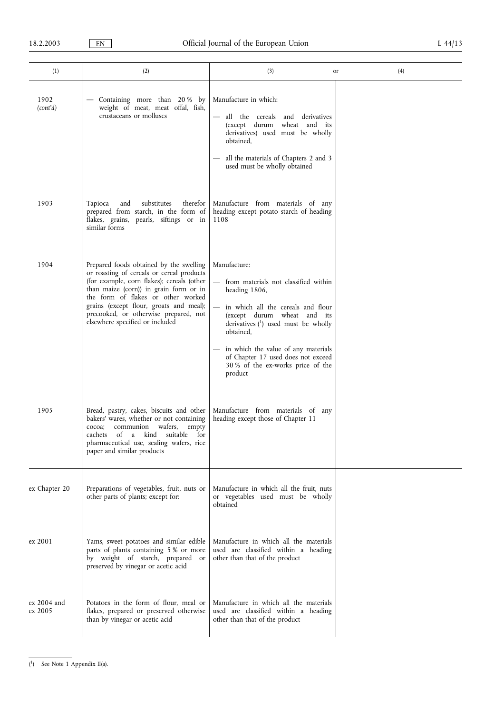| (1)                    | (2)                                                                                                                                                                                                                                                                                                                                       | (3)<br>or                                                                                                                                                                                                                                                                                                                     | (4) |
|------------------------|-------------------------------------------------------------------------------------------------------------------------------------------------------------------------------------------------------------------------------------------------------------------------------------------------------------------------------------------|-------------------------------------------------------------------------------------------------------------------------------------------------------------------------------------------------------------------------------------------------------------------------------------------------------------------------------|-----|
| 1902<br>(cont'd)       | - Containing more than 20% by<br>weight of meat, meat offal, fish,<br>crustaceans or molluscs                                                                                                                                                                                                                                             | Manufacture in which:<br>all the cereals<br>derivatives<br>and<br>(except durum<br>wheat and its<br>derivatives) used must be wholly<br>obtained,<br>all the materials of Chapters 2 and 3<br>used must be wholly obtained                                                                                                    |     |
| 1903                   | substitutes<br>therefor<br>Tapioca<br>and<br>prepared from starch, in the form of<br>flakes, grains, pearls, siftings or in<br>similar forms                                                                                                                                                                                              | Manufacture from materials of any<br>heading except potato starch of heading<br>1108                                                                                                                                                                                                                                          |     |
| 1904                   | Prepared foods obtained by the swelling<br>or roasting of cereals or cereal products<br>(for example, corn flakes); cereals (other<br>than maize (corn)) in grain form or in<br>the form of flakes or other worked<br>grains (except flour, groats and meal);<br>precooked, or otherwise prepared, not<br>elsewhere specified or included | Manufacture:<br>from materials not classified within<br>heading 1806,<br>in which all the cereals and flour<br>(except durum wheat and its<br>derivatives $(1)$ used must be wholly<br>obtained.<br>in which the value of any materials<br>of Chapter 17 used does not exceed<br>30 % of the ex-works price of the<br>product |     |
| 1905                   | Bread, pastry, cakes, biscuits and other<br>bakers' wares, whether or not containing<br>communion<br>wafers,<br>cocoa;<br>empty<br>cachets<br>of<br>suitable for<br>a<br>kind<br>pharmaceutical use, sealing wafers, rice<br>paper and similar products                                                                                   | Manufacture from materials of any<br>heading except those of Chapter 11                                                                                                                                                                                                                                                       |     |
| ex Chapter 20          | Preparations of vegetables, fruit, nuts or<br>other parts of plants; except for:                                                                                                                                                                                                                                                          | Manufacture in which all the fruit, nuts<br>or vegetables used must be wholly<br>obtained                                                                                                                                                                                                                                     |     |
| ex 2001                | Yams, sweet potatoes and similar edible<br>parts of plants containing 5 % or more<br>by weight of starch, prepared or<br>preserved by vinegar or acetic acid                                                                                                                                                                              | Manufacture in which all the materials<br>used are classified within a heading<br>other than that of the product                                                                                                                                                                                                              |     |
| ex 2004 and<br>ex 2005 | Potatoes in the form of flour, meal or<br>flakes, prepared or preserved otherwise<br>than by vinegar or acetic acid                                                                                                                                                                                                                       | Manufacture in which all the materials<br>used are classified within a heading<br>other than that of the product                                                                                                                                                                                                              |     |

<sup>(</sup> 1) See Note 1 Appendix II(a).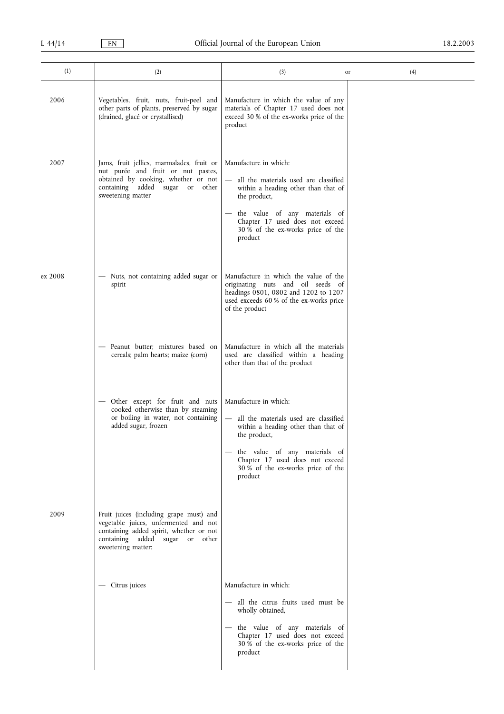| (1)     | (2)                                                                                                                                                                                     | (3)<br>or                                                                                                                                                                                                                                                               | (4) |
|---------|-----------------------------------------------------------------------------------------------------------------------------------------------------------------------------------------|-------------------------------------------------------------------------------------------------------------------------------------------------------------------------------------------------------------------------------------------------------------------------|-----|
| 2006    | Vegetables, fruit, nuts, fruit-peel and<br>other parts of plants, preserved by sugar<br>(drained, glacé or crystallised)                                                                | Manufacture in which the value of any<br>materials of Chapter 17 used does not<br>exceed 30 % of the ex-works price of the<br>product                                                                                                                                   |     |
| 2007    | Jams, fruit jellies, marmalades, fruit or<br>nut purée and fruit or nut pastes,<br>obtained by cooking, whether or not<br>containing<br>added sugar or<br>other<br>sweetening matter    | Manufacture in which:<br>all the materials used are classified<br>within a heading other than that of<br>the product,<br>- the value of any materials of<br>Chapter 17 used does not exceed<br>30 % of the ex-works price of the<br>product                             |     |
| ex 2008 | Nuts, not containing added sugar or<br>spirit                                                                                                                                           | Manufacture in which the value of the<br>originating nuts and oil seeds of<br>headings 0801, 0802 and 1202 to 1207<br>used exceeds 60 % of the ex-works price<br>of the product                                                                                         |     |
|         | Peanut butter; mixtures based on<br>cereals; palm hearts; maize (corn)                                                                                                                  | Manufacture in which all the materials<br>used are classified within a heading<br>other than that of the product                                                                                                                                                        |     |
|         | Other except for fruit and nuts<br>cooked otherwise than by steaming<br>or boiling in water, not containing<br>added sugar, frozen                                                      | Manufacture in which:<br>all the materials used are classified<br>$\overline{\phantom{0}}$<br>within a heading other than that of<br>the product,<br>- the value of any materials of<br>Chapter 17 used does not exceed<br>30 % of the ex-works price of the<br>product |     |
| 2009    | Fruit juices (including grape must) and<br>vegetable juices, unfermented and not<br>containing added spirit, whether or not<br>containing added sugar or<br>other<br>sweetening matter: |                                                                                                                                                                                                                                                                         |     |
|         | - Citrus juices                                                                                                                                                                         | Manufacture in which:<br>- all the citrus fruits used must be<br>wholly obtained,<br>- the value of any materials of<br>Chapter 17 used does not exceed<br>30 % of the ex-works price of the<br>product                                                                 |     |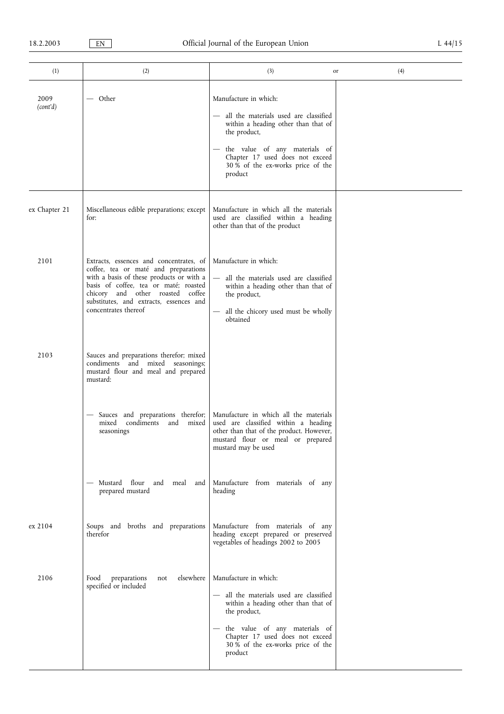| (1)              | (2)                                                                                                                                                                                                                                                                         | (3)                                                                                                                                                                                                                                           | (4)<br>or |
|------------------|-----------------------------------------------------------------------------------------------------------------------------------------------------------------------------------------------------------------------------------------------------------------------------|-----------------------------------------------------------------------------------------------------------------------------------------------------------------------------------------------------------------------------------------------|-----------|
| 2009<br>(cont'd) | — Other                                                                                                                                                                                                                                                                     | Manufacture in which:<br>- all the materials used are classified<br>within a heading other than that of<br>the product,<br>the value of any materials of<br>Chapter 17 used does not exceed<br>30 % of the ex-works price of the<br>product   |           |
| ex Chapter 21    | Miscellaneous edible preparations; except<br>for:                                                                                                                                                                                                                           | Manufacture in which all the materials<br>used are classified within a heading<br>other than that of the product                                                                                                                              |           |
| 2101             | Extracts, essences and concentrates, of<br>coffee, tea or maté and preparations<br>with a basis of these products or with a<br>basis of coffee, tea or maté; roasted<br>chicory and other roasted coffee<br>substitutes, and extracts, essences and<br>concentrates thereof | Manufacture in which:<br>all the materials used are classified<br>within a heading other than that of<br>the product,<br>all the chicory used must be wholly<br>obtained                                                                      |           |
| 2103             | Sauces and preparations therefor; mixed<br>condiments and mixed seasonings;<br>mustard flour and meal and prepared<br>mustard:                                                                                                                                              |                                                                                                                                                                                                                                               |           |
|                  | Sauces and preparations therefor;<br>condiments and<br>mixed<br>mixed<br>seasonings                                                                                                                                                                                         | Manufacture in which all the materials<br>used are classified within a heading<br>other than that of the product. However,<br>mustard flour or meal or prepared<br>mustard may be used                                                        |           |
|                  | - Mustard flour and meal<br>and<br>prepared mustard                                                                                                                                                                                                                         | Manufacture from materials of any<br>heading                                                                                                                                                                                                  |           |
| ex 2104          | Soups and broths and preparations<br>therefor                                                                                                                                                                                                                               | Manufacture from materials of any<br>heading except prepared or preserved<br>vegetables of headings 2002 to 2005                                                                                                                              |           |
| 2106             | elsewhere<br>Food<br>preparations<br>not<br>specified or included                                                                                                                                                                                                           | Manufacture in which:<br>- all the materials used are classified<br>within a heading other than that of<br>the product,<br>- the value of any materials of<br>Chapter 17 used does not exceed<br>30 % of the ex-works price of the<br>product |           |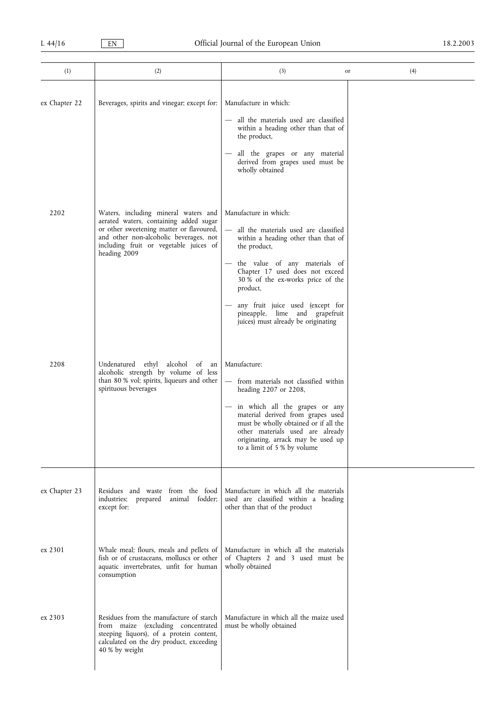| (1)           | (2)                                                                                                                                                                                                                            | (3)<br>or                                                                                                                                                                                                                                                                                                                                               | (4) |
|---------------|--------------------------------------------------------------------------------------------------------------------------------------------------------------------------------------------------------------------------------|---------------------------------------------------------------------------------------------------------------------------------------------------------------------------------------------------------------------------------------------------------------------------------------------------------------------------------------------------------|-----|
| ex Chapter 22 | Beverages, spirits and vinegar; except for:                                                                                                                                                                                    | Manufacture in which:<br>all the materials used are classified<br>within a heading other than that of<br>the product,<br>all the grapes or any material<br>derived from grapes used must be<br>wholly obtained                                                                                                                                          |     |
| 2202          | Waters, including mineral waters and<br>aerated waters, containing added sugar<br>or other sweetening matter or flavoured,<br>and other non-alcoholic beverages, not<br>including fruit or vegetable juices of<br>heading 2009 | Manufacture in which:<br>all the materials used are classified<br>within a heading other than that of<br>the product,<br>the value of any materials of<br>Chapter 17 used does not exceed<br>30 % of the ex-works price of the<br>product,<br>any fruit juice used (except for<br>pineapple, lime and grapefruit<br>juices) must already be originating |     |
| 2208          | Undenatured ethyl alcohol of an<br>alcoholic strength by volume of less<br>than 80 % vol; spirits, liqueurs and other<br>spirituous beverages                                                                                  | Manufacture:<br>- from materials not classified within<br>heading 2207 or 2208,<br>- in which all the grapes or any<br>material derived from grapes used<br>must be wholly obtained or if all the<br>other materials used are already<br>originating, arrack may be used up<br>to a limit of 5 % by volume                                              |     |
| ex Chapter 23 | Residues and waste from the food<br>animal fodder;<br>industries;<br>prepared<br>except for:                                                                                                                                   | Manufacture in which all the materials<br>used are classified within a heading<br>other than that of the product                                                                                                                                                                                                                                        |     |
| ex 2301       | Whale meal; flours, meals and pellets of<br>fish or of crustaceans, molluscs or other<br>aquatic invertebrates, unfit for human<br>consumption                                                                                 | Manufacture in which all the materials<br>of Chapters 2 and 3 used must be<br>wholly obtained                                                                                                                                                                                                                                                           |     |
| ex 2303       | Residues from the manufacture of starch<br>from maize (excluding concentrated<br>steeping liquors), of a protein content,<br>calculated on the dry product, exceeding<br>40 % by weight                                        | Manufacture in which all the maize used<br>must be wholly obtained                                                                                                                                                                                                                                                                                      |     |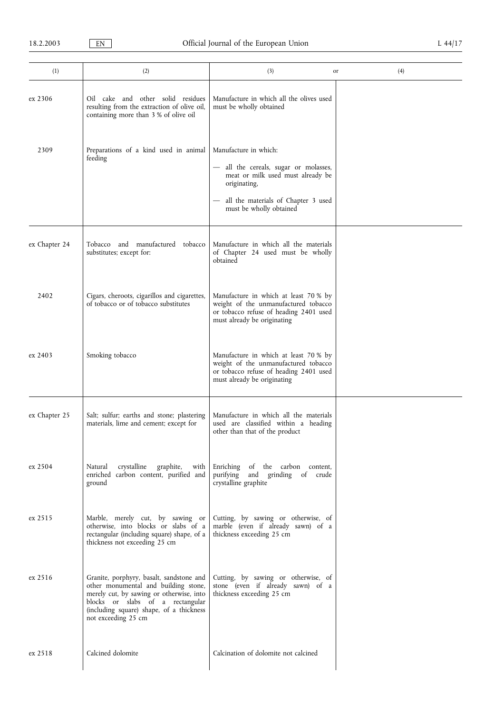| (1)           | (2)                                                                                                                                                                                                                                 | (3)                                                                                                                                                    | (4)<br>or |
|---------------|-------------------------------------------------------------------------------------------------------------------------------------------------------------------------------------------------------------------------------------|--------------------------------------------------------------------------------------------------------------------------------------------------------|-----------|
| ex 2306       | Oil cake and other solid residues<br>resulting from the extraction of olive oil,<br>containing more than 3 % of olive oil                                                                                                           | Manufacture in which all the olives used<br>must be wholly obtained                                                                                    |           |
| 2309          | Preparations of a kind used in animal<br>feeding                                                                                                                                                                                    | Manufacture in which:<br>- all the cereals, sugar or molasses,<br>meat or milk used must already be<br>originating,                                    |           |
|               |                                                                                                                                                                                                                                     | all the materials of Chapter 3 used<br>must be wholly obtained                                                                                         |           |
| ex Chapter 24 | Tobacco and manufactured tobacco<br>substitutes; except for:                                                                                                                                                                        | Manufacture in which all the materials<br>of Chapter 24 used must be wholly<br>obtained                                                                |           |
| 2402          | Cigars, cheroots, cigarillos and cigarettes,<br>of tobacco or of tobacco substitutes                                                                                                                                                | Manufacture in which at least 70 % by<br>weight of the unmanufactured tobacco<br>or tobacco refuse of heading 2401 used<br>must already be originating |           |
| ex 2403       | Smoking tobacco                                                                                                                                                                                                                     | Manufacture in which at least 70 % by<br>weight of the unmanufactured tobacco<br>or tobacco refuse of heading 2401 used<br>must already be originating |           |
| ex Chapter 25 | Salt; sulfur; earths and stone; plastering<br>materials, lime and cement; except for                                                                                                                                                | Manufacture in which all the materials<br>used are classified within a heading<br>other than that of the product                                       |           |
| ex 2504       | crystalline<br>graphite,<br>Natural<br>with<br>enriched carbon content, purified and<br>ground                                                                                                                                      | of the carbon content,<br>Enriching<br>purifying<br>and<br>grinding<br>of<br>crude<br>crystalline graphite                                             |           |
| ex 2515       | Marble, merely cut, by sawing or<br>otherwise, into blocks or slabs of a<br>rectangular (including square) shape, of a<br>thickness not exceeding 25 cm                                                                             | Cutting, by sawing or otherwise, of<br>marble (even if already sawn) of a<br>thickness exceeding 25 cm                                                 |           |
| ex 2516       | Granite, porphyry, basalt, sandstone and<br>other monumental and building stone,<br>merely cut, by sawing or otherwise, into<br>blocks or slabs of a rectangular<br>(including square) shape, of a thickness<br>not exceeding 25 cm | Cutting, by sawing or otherwise, of<br>stone (even if already sawn) of a<br>thickness exceeding 25 cm                                                  |           |
| ex 2518       | Calcined dolomite                                                                                                                                                                                                                   | Calcination of dolomite not calcined                                                                                                                   |           |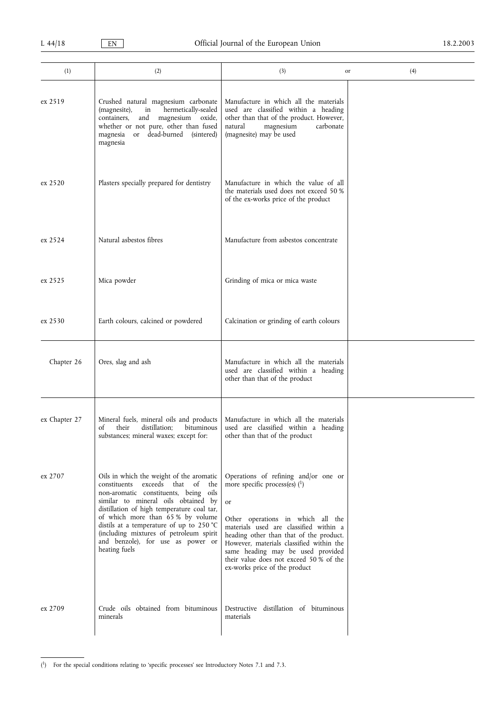| (1)           | (2)                                                                                                                                                                                                                                                                                                                                                                                         | (3)                                                                                                                                                                                                                                                                                                                                                                  | (4)<br>or |
|---------------|---------------------------------------------------------------------------------------------------------------------------------------------------------------------------------------------------------------------------------------------------------------------------------------------------------------------------------------------------------------------------------------------|----------------------------------------------------------------------------------------------------------------------------------------------------------------------------------------------------------------------------------------------------------------------------------------------------------------------------------------------------------------------|-----------|
| ex 2519       | Crushed natural magnesium carbonate<br>hermetically-sealed<br>(magnesite),<br>in<br>magnesium oxide,<br>containers,<br>and<br>whether or not pure, other than fused<br>magnesia or dead-burned (sintered)<br>magnesia                                                                                                                                                                       | Manufacture in which all the materials<br>used are classified within a heading<br>other than that of the product. However,<br>carbonate<br>natural<br>magnesium<br>(magnesite) may be used                                                                                                                                                                           |           |
| ex 2520       | Plasters specially prepared for dentistry                                                                                                                                                                                                                                                                                                                                                   | Manufacture in which the value of all<br>the materials used does not exceed 50 %<br>of the ex-works price of the product                                                                                                                                                                                                                                             |           |
| ex 2524       | Natural asbestos fibres                                                                                                                                                                                                                                                                                                                                                                     | Manufacture from asbestos concentrate                                                                                                                                                                                                                                                                                                                                |           |
| ex 2525       | Mica powder                                                                                                                                                                                                                                                                                                                                                                                 | Grinding of mica or mica waste                                                                                                                                                                                                                                                                                                                                       |           |
| ex 2530       | Earth colours, calcined or powdered                                                                                                                                                                                                                                                                                                                                                         | Calcination or grinding of earth colours                                                                                                                                                                                                                                                                                                                             |           |
| Chapter 26    | Ores, slag and ash                                                                                                                                                                                                                                                                                                                                                                          | Manufacture in which all the materials<br>used are classified within a heading<br>other than that of the product                                                                                                                                                                                                                                                     |           |
| ex Chapter 27 | Mineral fuels, mineral oils and products<br>distillation;<br>bituminous<br>their<br>of<br>substances; mineral waxes; except for:                                                                                                                                                                                                                                                            | Manufacture in which all the materials<br>used are classified within a heading<br>other than that of the product                                                                                                                                                                                                                                                     |           |
| ex 2707       | Oils in which the weight of the aromatic<br>constituents exceeds that of the<br>non-aromatic constituents, being oils<br>similar to mineral oils obtained by<br>distillation of high temperature coal tar,<br>of which more than 65% by volume<br>distils at a temperature of up to 250 °C<br>(including mixtures of petroleum spirit<br>and benzole), for use as power or<br>heating fuels | Operations of refining and/or one or<br>more specific process(es) $(1)$<br>or<br>Other operations in which all the<br>materials used are classified within a<br>heading other than that of the product.<br>However, materials classified within the<br>same heading may be used provided<br>their value does not exceed 50 % of the<br>ex-works price of the product |           |
| ex 2709       | Crude oils obtained from bituminous<br>minerals                                                                                                                                                                                                                                                                                                                                             | Destructive distillation of bituminous<br>materials                                                                                                                                                                                                                                                                                                                  |           |

(<sup>1</sup>) For the special conditions relating to 'specific processes' see Introductory Notes 7.1 and 7.3.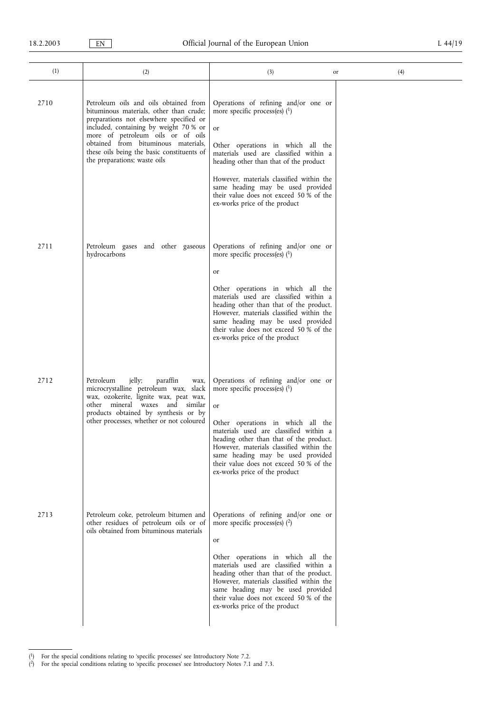| (1)  | (2)                                                                                                                                                                                                                                                                                                                             | (3)                                                                                                                                                                                                                                                                                                                                                                             | (4)<br>or |
|------|---------------------------------------------------------------------------------------------------------------------------------------------------------------------------------------------------------------------------------------------------------------------------------------------------------------------------------|---------------------------------------------------------------------------------------------------------------------------------------------------------------------------------------------------------------------------------------------------------------------------------------------------------------------------------------------------------------------------------|-----------|
|      |                                                                                                                                                                                                                                                                                                                                 |                                                                                                                                                                                                                                                                                                                                                                                 |           |
| 2710 | Petroleum oils and oils obtained from<br>bituminous materials, other than crude;<br>preparations not elsewhere specified or<br>included, containing by weight 70 % or<br>more of petroleum oils or of oils<br>obtained from bituminous materials,<br>these oils being the basic constituents of<br>the preparations; waste oils | Operations of refining and/or one or<br>more specific process(es) $(1)$<br>or<br>Other operations in which all the<br>materials used are classified within a<br>heading other than that of the product<br>However, materials classified within the<br>same heading may be used provided<br>their value does not exceed 50 % of the<br>ex-works price of the product             |           |
| 2711 | Petroleum gases and other gaseous<br>hydrocarbons                                                                                                                                                                                                                                                                               | Operations of refining and/or one or<br>more specific process(es) $(1)$<br>or                                                                                                                                                                                                                                                                                                   |           |
|      |                                                                                                                                                                                                                                                                                                                                 | Other operations in which all the<br>materials used are classified within a<br>heading other than that of the product.<br>However, materials classified within the<br>same heading may be used provided<br>their value does not exceed 50 % of the<br>ex-works price of the product                                                                                             |           |
| 2712 | jelly;<br>paraffin<br>Petroleum<br>wax,<br>microcrystalline petroleum wax, slack<br>wax, ozokerite, lignite wax, peat wax,<br>other mineral waxes and<br>similar<br>products obtained by synthesis or by<br>other processes, whether or not coloured                                                                            | Operations of refining and/or one or<br>more specific process(es) $(1)$<br><b>or</b><br>Other operations in which all the<br>materials used are classified within a<br>heading other than that of the product.<br>However, materials classified within the<br>same heading may be used provided<br>their value does not exceed 50 % of the<br>ex-works price of the product     |           |
| 2713 | Petroleum coke, petroleum bitumen and<br>other residues of petroleum oils or of<br>oils obtained from bituminous materials                                                                                                                                                                                                      | Operations of refining and/or one or<br>more specific process(es) $(2)$<br><sub>or</sub><br>Other operations in which all the<br>materials used are classified within a<br>heading other than that of the product.<br>However, materials classified within the<br>same heading may be used provided<br>their value does not exceed 50 % of the<br>ex-works price of the product |           |

 $(1)$  For the special conditions relating to 'specific processes' see Introductory Note 7.2.

<sup>(2)</sup> For the special conditions relating to 'specific processes' see Introductory Notes 7.1 and 7.3.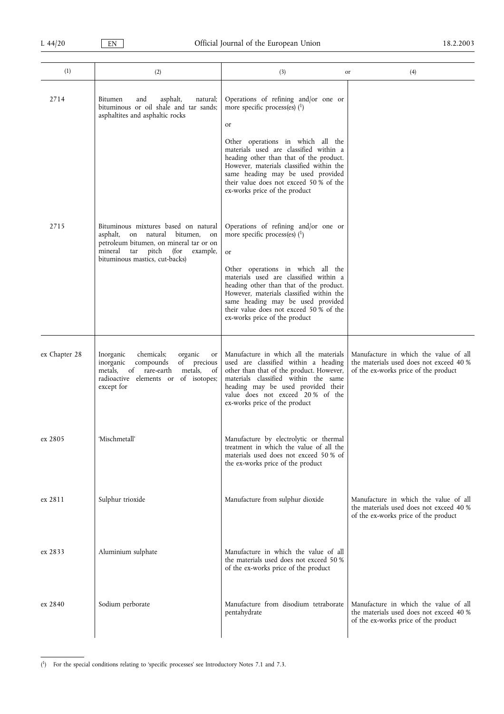| (1)           | (2)                                                                                                                                                                                                 | (3)                                                                                                                                                                                                                                                                                 | (4)<br>or                                                                                                                |
|---------------|-----------------------------------------------------------------------------------------------------------------------------------------------------------------------------------------------------|-------------------------------------------------------------------------------------------------------------------------------------------------------------------------------------------------------------------------------------------------------------------------------------|--------------------------------------------------------------------------------------------------------------------------|
| 2714          | Bitumen<br>asphalt,<br>natural;<br>and<br>bituminous or oil shale and tar sands;<br>asphaltites and asphaltic rocks                                                                                 | Operations of refining and/or one or<br>more specific process(es) $(1)$<br>or                                                                                                                                                                                                       |                                                                                                                          |
|               |                                                                                                                                                                                                     | Other operations in which all the<br>materials used are classified within a<br>heading other than that of the product.<br>However, materials classified within the<br>same heading may be used provided<br>their value does not exceed 50 % of the<br>ex-works price of the product |                                                                                                                          |
| 2715          | Bituminous mixtures based on natural<br>on natural bitumen,<br>asphalt,<br>on<br>petroleum bitumen, on mineral tar or on<br>mineral tar pitch<br>(for<br>example,<br>bituminous mastics, cut-backs) | Operations of refining and/or one or<br>more specific process(es) $(1)$<br><sub>or</sub>                                                                                                                                                                                            |                                                                                                                          |
|               |                                                                                                                                                                                                     | Other operations in which all the<br>materials used are classified within a<br>heading other than that of the product.<br>However, materials classified within the<br>same heading may be used provided<br>their value does not exceed 50 % of the<br>ex-works price of the product |                                                                                                                          |
| ex Chapter 28 | Inorganic<br>chemicals;<br>organic<br>or<br>compounds<br>of precious<br>inorganic<br>metals.<br>of<br>rare-earth<br>metals,<br>of<br>radioactive elements or of isotopes;<br>except for             | Manufacture in which all the materials<br>used are classified within a heading<br>other than that of the product. However,<br>materials classified within the same<br>heading may be used provided their<br>value does not exceed 20% of the<br>ex-works price of the product       | Manufacture in which the value of all<br>the materials used does not exceed 40 %<br>of the ex-works price of the product |
| ex 2805       | 'Mischmetall'                                                                                                                                                                                       | Manufacture by electrolytic or thermal<br>treatment in which the value of all the<br>materials used does not exceed 50 % of<br>the ex-works price of the product                                                                                                                    |                                                                                                                          |
| ex 2811       | Sulphur trioxide                                                                                                                                                                                    | Manufacture from sulphur dioxide                                                                                                                                                                                                                                                    | Manufacture in which the value of all<br>the materials used does not exceed 40 %<br>of the ex-works price of the product |
| ex 2833       | Aluminium sulphate                                                                                                                                                                                  | Manufacture in which the value of all<br>the materials used does not exceed 50 %<br>of the ex-works price of the product                                                                                                                                                            |                                                                                                                          |
| ex 2840       | Sodium perborate                                                                                                                                                                                    | Manufacture from disodium tetraborate<br>pentahydrate                                                                                                                                                                                                                               | Manufacture in which the value of all<br>the materials used does not exceed 40 %<br>of the ex-works price of the product |

(<sup>1</sup>) For the special conditions relating to 'specific processes' see Introductory Notes 7.1 and 7.3.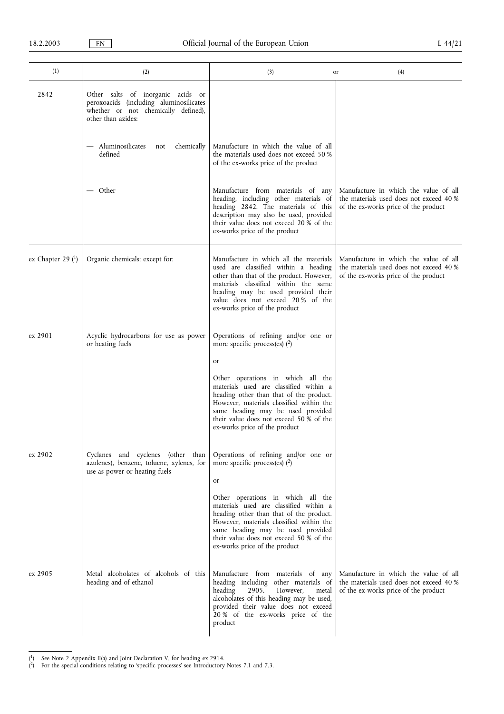| (1)                 | (2)                                                                                                                                       | (3)                                                                                                                                                                                                                                                                                                                                                                  | (4)<br>or                                                                                                                |
|---------------------|-------------------------------------------------------------------------------------------------------------------------------------------|----------------------------------------------------------------------------------------------------------------------------------------------------------------------------------------------------------------------------------------------------------------------------------------------------------------------------------------------------------------------|--------------------------------------------------------------------------------------------------------------------------|
| 2842                | Other salts of inorganic acids or<br>peroxoacids (including aluminosilicates<br>whether or not chemically defined),<br>other than azides: |                                                                                                                                                                                                                                                                                                                                                                      |                                                                                                                          |
|                     | Aluminosilicates<br>chemically<br>not<br>defined                                                                                          | Manufacture in which the value of all<br>the materials used does not exceed 50 %<br>of the ex-works price of the product                                                                                                                                                                                                                                             |                                                                                                                          |
|                     | — Other                                                                                                                                   | Manufacture from materials of any<br>heading, including other materials of<br>heading 2842. The materials of this<br>description may also be used, provided<br>their value does not exceed 20% of the<br>ex-works price of the product                                                                                                                               | Manufacture in which the value of all<br>the materials used does not exceed 40 %<br>of the ex-works price of the product |
| ex Chapter 29 $(1)$ | Organic chemicals; except for:                                                                                                            | Manufacture in which all the materials<br>used are classified within a heading<br>other than that of the product. However,<br>materials classified within the same<br>heading may be used provided their<br>value does not exceed 20% of the<br>ex-works price of the product                                                                                        | Manufacture in which the value of all<br>the materials used does not exceed 40 %<br>of the ex-works price of the product |
| ex 2901             | Acyclic hydrocarbons for use as power<br>or heating fuels                                                                                 | Operations of refining and/or one or<br>more specific process(es) $(2)$<br>or<br>Other operations in which all the<br>materials used are classified within a<br>heading other than that of the product.<br>However, materials classified within the<br>same heading may be used provided<br>their value does not exceed 50 % of the<br>ex-works price of the product |                                                                                                                          |
| ex 2902             | Cyclanes and cyclenes (other than<br>azulenes), benzene, toluene, xylenes, for<br>use as power or heating fuels                           | Operations of refining and/or one or<br>more specific process(es) $(2)$<br>or<br>Other operations in which all the<br>materials used are classified within a<br>heading other than that of the product.<br>However, materials classified within the<br>same heading may be used provided<br>their value does not exceed 50 % of the<br>ex-works price of the product |                                                                                                                          |
| ex 2905             | Metal alcoholates of alcohols of this<br>heading and of ethanol                                                                           | Manufacture from materials of any<br>heading including other materials of<br>heading<br>However,<br>2905.<br>metal<br>alcoholates of this heading may be used,<br>provided their value does not exceed<br>20 % of the ex-works price of the<br>product                                                                                                               | Manufacture in which the value of all<br>the materials used does not exceed 40 %<br>of the ex-works price of the product |

<sup>(</sup> 1) See Note 2 Appendix II(a) and Joint Declaration V, for heading ex 2914.

<sup>(2)</sup> For the special conditions relating to 'specific processes' see Introductory Notes 7.1 and 7.3.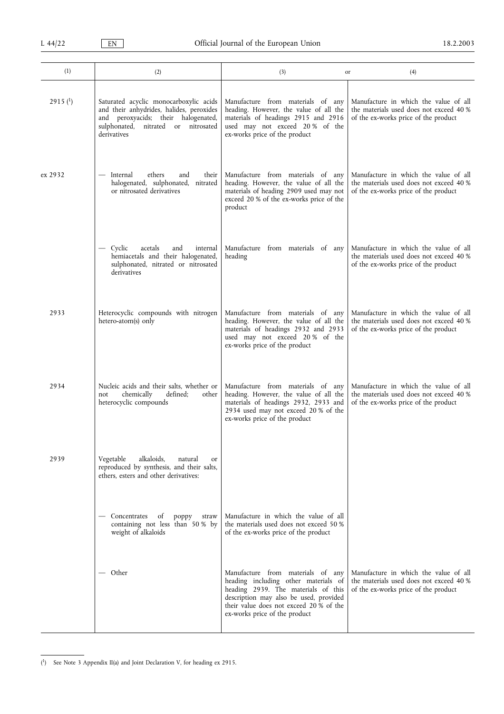| (1)        | (2)                                                                                                                                                                                | (3)                                                                                                                                                                                                                                    | (4)<br>or                                                                                                                |
|------------|------------------------------------------------------------------------------------------------------------------------------------------------------------------------------------|----------------------------------------------------------------------------------------------------------------------------------------------------------------------------------------------------------------------------------------|--------------------------------------------------------------------------------------------------------------------------|
| 2915 $(1)$ | Saturated acyclic monocarboxylic acids<br>and their anhydrides, halides, peroxides<br>and peroxyacids; their halogenated,<br>sulphonated,<br>nitrated or nitrosated<br>derivatives | Manufacture from materials of any<br>heading. However, the value of all the<br>materials of headings 2915 and 2916<br>used may not exceed 20% of the<br>ex-works price of the product                                                  | Manufacture in which the value of all<br>the materials used does not exceed 40 %<br>of the ex-works price of the product |
| ex 2932    | — Internal<br>ethers<br>and<br>their<br>halogenated, sulphonated, nitrated<br>or nitrosated derivatives                                                                            | Manufacture from materials of any<br>heading. However, the value of all the<br>materials of heading 2909 used may not<br>exceed 20 % of the ex-works price of the<br>product                                                           | Manufacture in which the value of all<br>the materials used does not exceed 40 %<br>of the ex-works price of the product |
|            | - Cyclic<br>and<br>acetals<br>internal<br>hemiacetals and their halogenated,<br>sulphonated, nitrated or nitrosated<br>derivatives                                                 | Manufacture from materials of any<br>heading                                                                                                                                                                                           | Manufacture in which the value of all<br>the materials used does not exceed 40 %<br>of the ex-works price of the product |
| 2933       | Heterocyclic compounds with nitrogen<br>hetero-atom(s) only                                                                                                                        | Manufacture from materials of any<br>heading. However, the value of all the<br>materials of headings 2932 and 2933<br>used may not exceed 20% of the<br>ex-works price of the product                                                  | Manufacture in which the value of all<br>the materials used does not exceed 40 %<br>of the ex-works price of the product |
| 2934       | Nucleic acids and their salts, whether or<br>chemically<br>defined;<br>other<br>not<br>heterocyclic compounds                                                                      | Manufacture from materials of any<br>heading. However, the value of all the<br>materials of headings 2932, 2933 and<br>2934 used may not exceed 20 % of the<br>ex-works price of the product                                           | Manufacture in which the value of all<br>the materials used does not exceed 40 %<br>of the ex-works price of the product |
| 2939       | Vegetable<br>alkaloids,<br>natural<br>or<br>reproduced by synthesis, and their salts,<br>ethers, esters and other derivatives:                                                     |                                                                                                                                                                                                                                        |                                                                                                                          |
|            | Concentrates<br>of<br>poppy<br>straw<br>containing not less than 50% by<br>weight of alkaloids                                                                                     | Manufacture in which the value of all<br>the materials used does not exceed 50 %<br>of the ex-works price of the product                                                                                                               |                                                                                                                          |
|            | — Other                                                                                                                                                                            | Manufacture from materials of any<br>heading including other materials of<br>heading 2939. The materials of this<br>description may also be used, provided<br>their value does not exceed 20 % of the<br>ex-works price of the product | Manufacture in which the value of all<br>the materials used does not exceed 40 %<br>of the ex-works price of the product |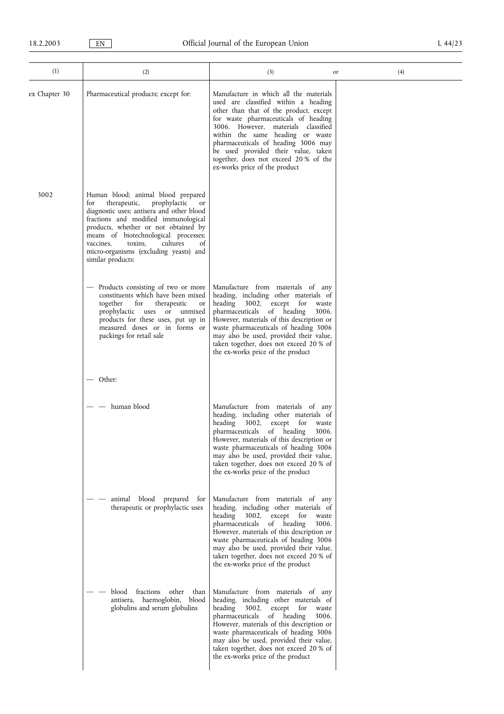| (1)           | (2)                                                                                                                                                                                                                                                                                                                                                           | (3)                                                                                                                                                                                                                                                                                                                                                                                                | (4)<br>or |
|---------------|---------------------------------------------------------------------------------------------------------------------------------------------------------------------------------------------------------------------------------------------------------------------------------------------------------------------------------------------------------------|----------------------------------------------------------------------------------------------------------------------------------------------------------------------------------------------------------------------------------------------------------------------------------------------------------------------------------------------------------------------------------------------------|-----------|
| ex Chapter 30 | Pharmaceutical products; except for:                                                                                                                                                                                                                                                                                                                          | Manufacture in which all the materials<br>used are classified within a heading<br>other than that of the product, except<br>for waste pharmaceuticals of heading<br>3006. However, materials classified<br>within the same heading or waste<br>pharmaceuticals of heading 3006 may<br>be used provided their value, taken<br>together, does not exceed 20% of the<br>ex-works price of the product |           |
| 3002          | Human blood; animal blood prepared<br>therapeutic,<br>prophylactic<br>for<br>or<br>diagnostic uses; antisera and other blood<br>fractions and modified immunological<br>products, whether or not obtained by<br>means of biotechnological processes;<br>vaccines,<br>toxins,<br>cultures<br>of<br>micro-organisms (excluding yeasts) and<br>similar products: |                                                                                                                                                                                                                                                                                                                                                                                                    |           |
|               | Products consisting of two or more<br>$\qquad \qquad -$<br>constituents which have been mixed<br>for<br>together<br>therapeutic<br>or<br>prophylactic uses or unmixed<br>products for these uses, put up in<br>measured doses or in forms or<br>packings for retail sale                                                                                      | Manufacture from materials of any<br>heading, including other materials of<br>3002, except for<br>heading<br>waste<br>pharmaceuticals of heading<br>3006.<br>However, materials of this description or<br>waste pharmaceuticals of heading 3006<br>may also be used, provided their value,<br>taken together, does not exceed 20 % of<br>the ex-works price of the product                         |           |
|               | Other:                                                                                                                                                                                                                                                                                                                                                        |                                                                                                                                                                                                                                                                                                                                                                                                    |           |
|               | human blood<br>$\overline{\phantom{m}}$                                                                                                                                                                                                                                                                                                                       | Manufacture from materials of any<br>heading, including other materials of<br>3002, except for<br>heading<br>waste<br>pharmaceuticals of heading<br>3006.<br>However, materials of this description or<br>waste pharmaceuticals of heading 3006<br>may also be used, provided their value,<br>taken together, does not exceed 20 % of<br>the ex-works price of the product                         |           |
|               | animal blood prepared<br>tor<br>therapeutic or prophylactic uses                                                                                                                                                                                                                                                                                              | Manufacture from materials of any<br>heading, including other materials of<br>3002, except for<br>heading<br>waste<br>pharmaceuticals<br>of heading<br>3006.<br>However, materials of this description or<br>waste pharmaceuticals of heading 3006<br>may also be used, provided their value,<br>taken together, does not exceed 20 % of<br>the ex-works price of the product                      |           |
|               | blood<br>fractions other<br>than<br>antisera, haemoglobin,<br>blood<br>globulins and serum globulins                                                                                                                                                                                                                                                          | Manufacture from materials of any<br>heading, including other materials of<br>heading 3002, except for<br>waste<br>pharmaceuticals<br>of heading<br>3006.<br>However, materials of this description or<br>waste pharmaceuticals of heading 3006<br>may also be used, provided their value,<br>taken together, does not exceed 20 % of<br>the ex-works price of the product                         |           |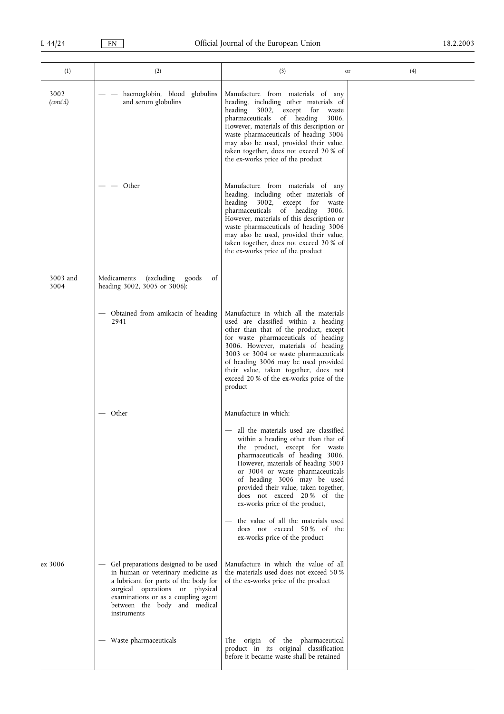| (1)              | (2)                                                                                                                                                                                                                                          | (3)                                                                                                                                                                                                                                                                                                                                                                                      | (4)<br>or |
|------------------|----------------------------------------------------------------------------------------------------------------------------------------------------------------------------------------------------------------------------------------------|------------------------------------------------------------------------------------------------------------------------------------------------------------------------------------------------------------------------------------------------------------------------------------------------------------------------------------------------------------------------------------------|-----------|
| 3002<br>(cont'd) | haemoglobin, blood globulins<br>and serum globulins                                                                                                                                                                                          | Manufacture from materials of any<br>heading, including other materials of<br>heading<br>3002, except for<br>waste<br>pharmaceuticals of heading<br>3006.<br>However, materials of this description or<br>waste pharmaceuticals of heading 3006<br>may also be used, provided their value,<br>taken together, does not exceed 20 % of<br>the ex-works price of the product               |           |
|                  | Other                                                                                                                                                                                                                                        | Manufacture from materials of any<br>heading, including other materials of<br>heading 3002, except for<br>waste<br>pharmaceuticals of heading<br>3006.<br>However, materials of this description or<br>waste pharmaceuticals of heading 3006<br>may also be used, provided their value,<br>taken together, does not exceed 20 % of<br>the ex-works price of the product                  |           |
| 3003 and<br>3004 | (excluding<br>of<br>Medicaments<br>goods<br>heading 3002, 3005 or 3006):                                                                                                                                                                     |                                                                                                                                                                                                                                                                                                                                                                                          |           |
|                  | - Obtained from amikacin of heading<br>2941                                                                                                                                                                                                  | Manufacture in which all the materials<br>used are classified within a heading<br>other than that of the product, except<br>for waste pharmaceuticals of heading<br>3006. However, materials of heading<br>3003 or 3004 or waste pharmaceuticals<br>of heading 3006 may be used provided<br>their value, taken together, does not<br>exceed 20 % of the ex-works price of the<br>product |           |
|                  | — Other                                                                                                                                                                                                                                      | Manufacture in which:<br>- all the materials used are classified<br>within a heading other than that of<br>the product, except for waste<br>pharmaceuticals of heading 3006.<br>However, materials of heading 3003<br>or 3004 or waste pharmaceuticals<br>of heading 3006 may be used<br>provided their value, taken together,<br>does not exceed 20% of the                             |           |
|                  |                                                                                                                                                                                                                                              | ex-works price of the product,<br>the value of all the materials used<br>does not exceed 50% of the<br>ex-works price of the product                                                                                                                                                                                                                                                     |           |
| ex 3006          | Gel preparations designed to be used<br>in human or veterinary medicine as<br>a lubricant for parts of the body for<br>surgical operations or physical<br>examinations or as a coupling agent<br>between the body and medical<br>instruments | Manufacture in which the value of all<br>the materials used does not exceed 50 %<br>of the ex-works price of the product                                                                                                                                                                                                                                                                 |           |
|                  | - Waste pharmaceuticals                                                                                                                                                                                                                      | The origin of the pharmaceutical<br>product in its original classification<br>before it became waste shall be retained                                                                                                                                                                                                                                                                   |           |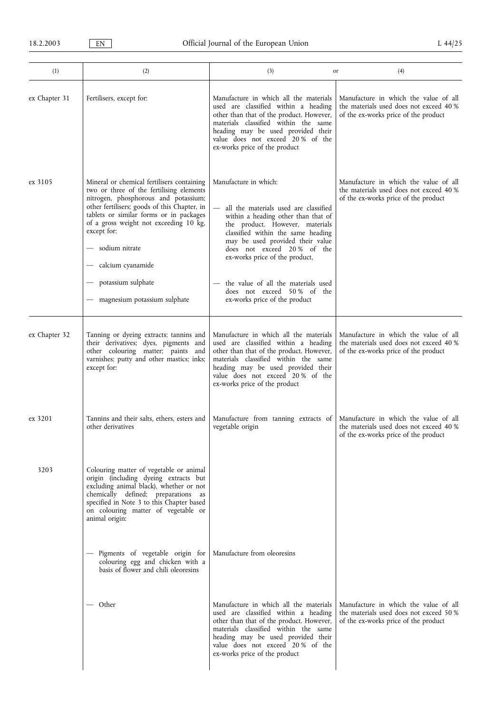| (1)           | (2)                                                                                                                                                                                                                                                                                                                                                                             | (3)                                                                                                                                                                                                                                                                                                                                                                                      | (4)<br>or                                                                                                                |
|---------------|---------------------------------------------------------------------------------------------------------------------------------------------------------------------------------------------------------------------------------------------------------------------------------------------------------------------------------------------------------------------------------|------------------------------------------------------------------------------------------------------------------------------------------------------------------------------------------------------------------------------------------------------------------------------------------------------------------------------------------------------------------------------------------|--------------------------------------------------------------------------------------------------------------------------|
| ex Chapter 31 | Fertilisers, except for:                                                                                                                                                                                                                                                                                                                                                        | Manufacture in which all the materials<br>used are classified within a heading<br>other than that of the product. However,<br>materials classified within the same<br>heading may be used provided their<br>value does not exceed 20% of the<br>ex-works price of the product                                                                                                            | Manufacture in which the value of all<br>the materials used does not exceed 40 %<br>of the ex-works price of the product |
| ex 3105       | Mineral or chemical fertilisers containing<br>two or three of the fertilising elements<br>nitrogen, phosphorous and potassium;<br>other fertilisers; goods of this Chapter, in<br>tablets or similar forms or in packages<br>of a gross weight not exceeding 10 kg,<br>except for:<br>sodium nitrate<br>calcium cyanamide<br>potassium sulphate<br>magnesium potassium sulphate | Manufacture in which:<br>all the materials used are classified<br>within a heading other than that of<br>the product. However, materials<br>classified within the same heading<br>may be used provided their value<br>does not exceed 20% of the<br>ex-works price of the product,<br>the value of all the materials used<br>does not exceed 50% of the<br>ex-works price of the product | Manufacture in which the value of all<br>the materials used does not exceed 40 %<br>of the ex-works price of the product |
| ex Chapter 32 | Tanning or dyeing extracts; tannins and<br>their derivatives; dyes, pigments and<br>other colouring matter; paints<br>and<br>varnishes; putty and other mastics; inks;<br>except for:                                                                                                                                                                                           | Manufacture in which all the materials<br>used are classified within a heading<br>other than that of the product. However,<br>materials classified within the same<br>heading may be used provided their<br>value does not exceed 20% of the<br>ex-works price of the product                                                                                                            | Manufacture in which the value of all<br>the materials used does not exceed 40 %<br>of the ex-works price of the product |
| ex 3201       | Tannins and their salts, ethers, esters and<br>other derivatives                                                                                                                                                                                                                                                                                                                | Manufacture from tanning extracts of<br>vegetable origin                                                                                                                                                                                                                                                                                                                                 | Manufacture in which the value of all<br>the materials used does not exceed 40 %<br>of the ex-works price of the product |
| 3203          | Colouring matter of vegetable or animal<br>origin (including dyeing extracts but<br>excluding animal black), whether or not<br>chemically defined; preparations<br>as<br>specified in Note 3 to this Chapter based<br>on colouring matter of vegetable or<br>animal origin:                                                                                                     |                                                                                                                                                                                                                                                                                                                                                                                          |                                                                                                                          |
|               | Pigments of vegetable origin for<br>colouring egg and chicken with a<br>basis of flower and chili oleoresins                                                                                                                                                                                                                                                                    | Manufacture from oleoresins                                                                                                                                                                                                                                                                                                                                                              |                                                                                                                          |
|               | Other                                                                                                                                                                                                                                                                                                                                                                           | Manufacture in which all the materials<br>used are classified within a heading<br>other than that of the product. However,<br>materials classified within the same<br>heading may be used provided their<br>value does not exceed 20% of the<br>ex-works price of the product                                                                                                            | Manufacture in which the value of all<br>the materials used does not exceed 50 %<br>of the ex-works price of the product |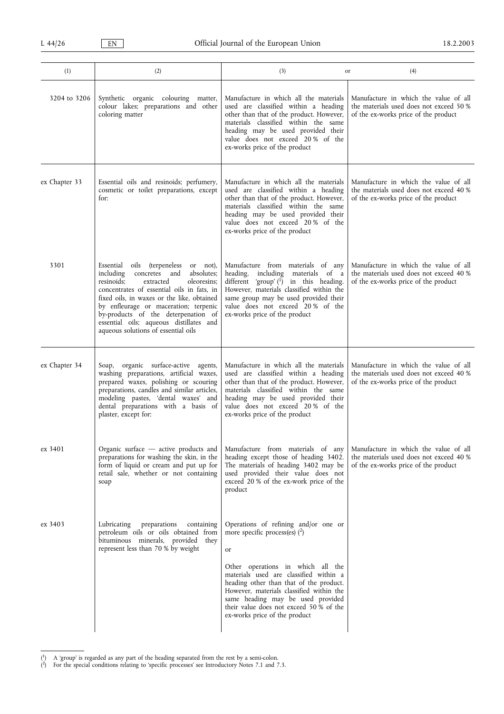| (1)           | (2)                                                                                                                                                                                                                                                                                                                                                                                                      | (3)<br>or                                                                                                                                                                                                                                                                                                                                                            | (4)                                                                                                                      |
|---------------|----------------------------------------------------------------------------------------------------------------------------------------------------------------------------------------------------------------------------------------------------------------------------------------------------------------------------------------------------------------------------------------------------------|----------------------------------------------------------------------------------------------------------------------------------------------------------------------------------------------------------------------------------------------------------------------------------------------------------------------------------------------------------------------|--------------------------------------------------------------------------------------------------------------------------|
| 3204 to 3206  | Synthetic organic colouring matter,<br>colour lakes; preparations and other<br>coloring matter                                                                                                                                                                                                                                                                                                           | Manufacture in which all the materials<br>used are classified within a heading<br>other than that of the product. However,<br>materials classified within the same<br>heading may be used provided their<br>value does not exceed 20% of the<br>ex-works price of the product                                                                                        | Manufacture in which the value of all<br>the materials used does not exceed 50 %<br>of the ex-works price of the product |
| ex Chapter 33 | Essential oils and resinoids; perfumery,<br>cosmetic or toilet preparations, except<br>for:                                                                                                                                                                                                                                                                                                              | Manufacture in which all the materials<br>used are classified within a heading<br>other than that of the product. However,<br>materials classified within the same<br>heading may be used provided their<br>value does not exceed 20% of the<br>ex-works price of the product                                                                                        | Manufacture in which the value of all<br>the materials used does not exceed 40 %<br>of the ex-works price of the product |
| 3301          | Essential<br><i>(terpeneless</i><br>oils<br>or not),<br>absolutes:<br>including<br>concretes and<br>resinoids:<br>extracted<br>oleoresins:<br>concentrates of essential oils in fats, in<br>fixed oils, in waxes or the like, obtained<br>by enfleurage or maceration; terpenic<br>by-products of the deterpenation of<br>essential oils; aqueous distillates and<br>aqueous solutions of essential oils | Manufacture from materials of any<br>heading, including materials of a<br>different 'group' $\binom{1}{1}$ in this heading.<br>However, materials classified within the<br>same group may be used provided their<br>value does not exceed 20% of the<br>ex-works price of the product                                                                                | Manufacture in which the value of all<br>the materials used does not exceed 40 %<br>of the ex-works price of the product |
| ex Chapter 34 | Soap, organic surface-active agents,<br>washing preparations, artificial waxes,<br>prepared waxes, polishing or scouring<br>preparations, candles and similar articles,<br>modeling pastes, 'dental waxes' and<br>dental preparations with a basis of<br>plaster, except for:                                                                                                                            | Manufacture in which all the materials<br>used are classified within a heading<br>other than that of the product. However,<br>materials classified within the same<br>heading may be used provided their<br>value does not exceed 20% of the<br>ex-works price of the product                                                                                        | Manufacture in which the value of all<br>the materials used does not exceed 40 %<br>of the ex-works price of the product |
| ex 3401       | Organic surface - active products and<br>preparations for washing the skin, in the<br>form of liquid or cream and put up for<br>retail sale, whether or not containing<br>soap                                                                                                                                                                                                                           | Manufacture from materials of any<br>heading except those of heading 3402.<br>The materials of heading 3402 may be<br>used provided their value does not<br>exceed 20 % of the ex-work price of the<br>product                                                                                                                                                       | Manufacture in which the value of all<br>the materials used does not exceed 40 %<br>of the ex-works price of the product |
| ex 3403       | Lubricating<br>preparations<br>containing<br>petroleum oils or oils obtained from<br>bituminous minerals, provided they<br>represent less than 70 % by weight                                                                                                                                                                                                                                            | Operations of refining and/or one or<br>more specific process(es) $(2)$<br>or<br>Other operations in which all the<br>materials used are classified within a<br>heading other than that of the product.<br>However, materials classified within the<br>same heading may be used provided<br>their value does not exceed 50 % of the<br>ex-works price of the product |                                                                                                                          |

 $(1)$  A 'group' is regarded as any part of the heading separated from the rest by a semi-colon.

<sup>(&</sup>lt;sup>2</sup>) For the special conditions relating to 'specific processes' see Introductory Notes 7.1 and 7.3.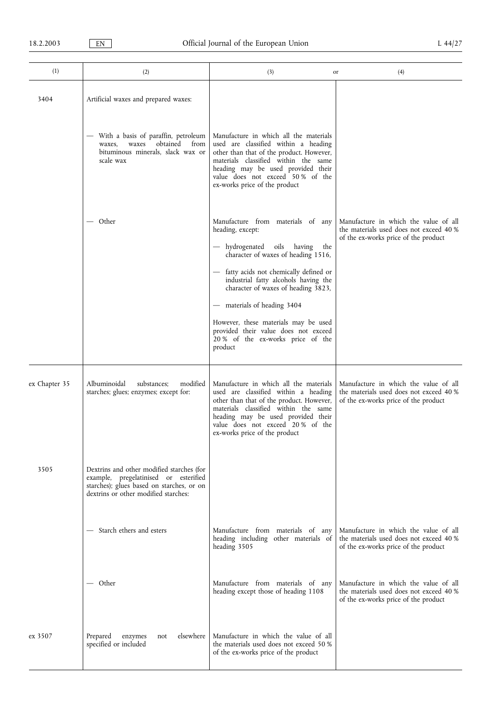| (1)           | (2)                                                                                                                                                                     | (3)                                                                                                                                                                                                                                                                           | (4)<br>or                                                                                                                |
|---------------|-------------------------------------------------------------------------------------------------------------------------------------------------------------------------|-------------------------------------------------------------------------------------------------------------------------------------------------------------------------------------------------------------------------------------------------------------------------------|--------------------------------------------------------------------------------------------------------------------------|
| 3404          | Artificial waxes and prepared waxes:<br>With a basis of paraffin, petroleum<br>obtained<br>from<br>waxes<br>waxes,<br>bituminous minerals, slack wax or                 | Manufacture in which all the materials<br>used are classified within a heading                                                                                                                                                                                                |                                                                                                                          |
|               | scale wax                                                                                                                                                               | other than that of the product. However,<br>materials classified within the same<br>heading may be used provided their<br>value does not exceed 50% of the<br>ex-works price of the product                                                                                   |                                                                                                                          |
|               | — Other                                                                                                                                                                 | Manufacture from materials of any<br>heading, except:<br>- hydrogenated oils having<br>the<br>character of waxes of heading 1516,                                                                                                                                             | Manufacture in which the value of all<br>the materials used does not exceed 40 %<br>of the ex-works price of the product |
|               |                                                                                                                                                                         | - fatty acids not chemically defined or<br>industrial fatty alcohols having the<br>character of waxes of heading 3823,                                                                                                                                                        |                                                                                                                          |
|               |                                                                                                                                                                         | - materials of heading 3404<br>However, these materials may be used<br>provided their value does not exceed<br>20 % of the ex-works price of the<br>product                                                                                                                   |                                                                                                                          |
| ex Chapter 35 | modified<br>Albuminoidal<br>substances;<br>starches; glues; enzymes; except for:                                                                                        | Manufacture in which all the materials<br>used are classified within a heading<br>other than that of the product. However,<br>materials classified within the same<br>heading may be used provided their<br>value does not exceed 20% of the<br>ex-works price of the product | Manufacture in which the value of all<br>the materials used does not exceed 40 %<br>of the ex-works price of the product |
| 3505          | Dextrins and other modified starches (for<br>example, pregelatinised or esterified<br>starches); glues based on starches, or on<br>dextrins or other modified starches: |                                                                                                                                                                                                                                                                               |                                                                                                                          |
|               | - Starch ethers and esters                                                                                                                                              | Manufacture from materials of any<br>heading including other materials of<br>heading 3505                                                                                                                                                                                     | Manufacture in which the value of all<br>the materials used does not exceed 40 %<br>of the ex-works price of the product |
|               | — Other                                                                                                                                                                 | Manufacture from materials of any<br>heading except those of heading 1108                                                                                                                                                                                                     | Manufacture in which the value of all<br>the materials used does not exceed 40 %<br>of the ex-works price of the product |
| ex 3507       | elsewhere<br>Prepared<br>enzymes<br>not<br>specified or included                                                                                                        | Manufacture in which the value of all<br>the materials used does not exceed 50 %<br>of the ex-works price of the product                                                                                                                                                      |                                                                                                                          |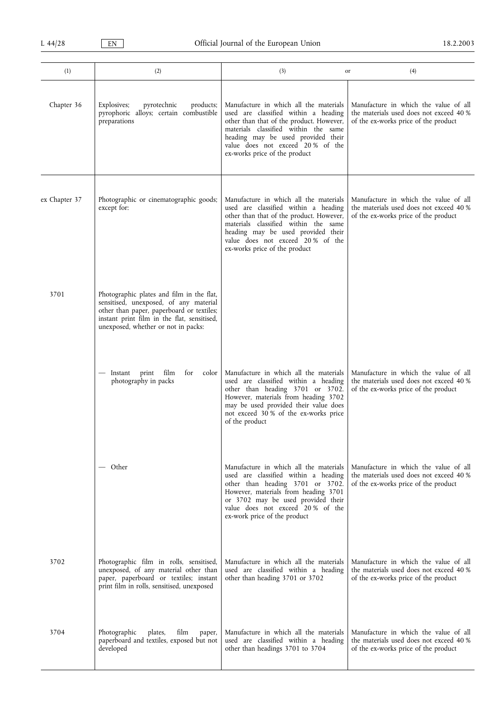| (1)           | (2)                                                                                                                                                                                                                    | (3)                                                                                                                                                                                                                                                                           | (4)<br>or                                                                                                                |
|---------------|------------------------------------------------------------------------------------------------------------------------------------------------------------------------------------------------------------------------|-------------------------------------------------------------------------------------------------------------------------------------------------------------------------------------------------------------------------------------------------------------------------------|--------------------------------------------------------------------------------------------------------------------------|
| Chapter 36    | Explosives;<br>pyrotechnic<br>products;<br>pyrophoric alloys; certain combustible<br>preparations                                                                                                                      | Manufacture in which all the materials<br>used are classified within a heading<br>other than that of the product. However,<br>materials classified within the same<br>heading may be used provided their<br>value does not exceed 20% of the<br>ex-works price of the product | Manufacture in which the value of all<br>the materials used does not exceed 40 %<br>of the ex-works price of the product |
| ex Chapter 37 | Photographic or cinematographic goods;<br>except for:                                                                                                                                                                  | Manufacture in which all the materials<br>used are classified within a heading<br>other than that of the product. However,<br>materials classified within the same<br>heading may be used provided their<br>value does not exceed 20% of the<br>ex-works price of the product | Manufacture in which the value of all<br>the materials used does not exceed 40 %<br>of the ex-works price of the product |
| 3701          | Photographic plates and film in the flat,<br>sensitised, unexposed, of any material<br>other than paper, paperboard or textiles;<br>instant print film in the flat, sensitised,<br>unexposed, whether or not in packs: |                                                                                                                                                                                                                                                                               |                                                                                                                          |
|               | Instant print<br>film<br>for<br>color<br>photography in packs                                                                                                                                                          | Manufacture in which all the materials<br>used are classified within a heading<br>other than heading 3701 or 3702.<br>However, materials from heading 3702<br>may be used provided their value does<br>not exceed 30 % of the ex-works price<br>of the product                | Manufacture in which the value of all<br>the materials used does not exceed 40 %<br>of the ex-works price of the product |
|               | Other                                                                                                                                                                                                                  | Manufacture in which all the materials<br>used are classified within a heading<br>other than heading 3701 or 3702.<br>However, materials from heading 3701<br>or 3702 may be used provided their<br>value does not exceed 20% of the<br>ex-work price of the product          | Manufacture in which the value of all<br>the materials used does not exceed 40 %<br>of the ex-works price of the product |
| 3702          | Photographic film in rolls, sensitised,<br>unexposed, of any material other than<br>paper, paperboard or textiles; instant<br>print film in rolls, sensitised, unexposed                                               | Manufacture in which all the materials<br>used are classified within a heading<br>other than heading 3701 or 3702                                                                                                                                                             | Manufacture in which the value of all<br>the materials used does not exceed 40 %<br>of the ex-works price of the product |
| 3704          | Photographic<br>plates,<br>film<br>paper,<br>paperboard and textiles, exposed but not<br>developed                                                                                                                     | Manufacture in which all the materials<br>used are classified within a heading<br>other than headings 3701 to 3704                                                                                                                                                            | Manufacture in which the value of all<br>the materials used does not exceed 40 %<br>of the ex-works price of the product |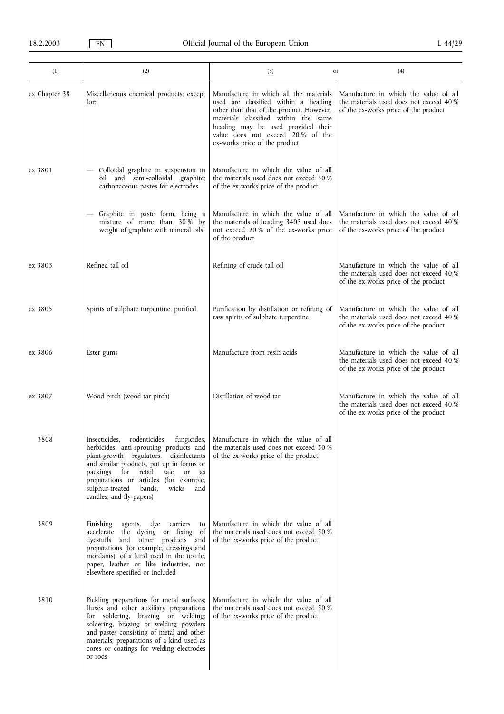| (1)           | (2)                                                                                                                                                                                                                                                                                                                 | (3)                                                                                                                                                                                                                                                                           | (4)<br>or                                                                                                                |
|---------------|---------------------------------------------------------------------------------------------------------------------------------------------------------------------------------------------------------------------------------------------------------------------------------------------------------------------|-------------------------------------------------------------------------------------------------------------------------------------------------------------------------------------------------------------------------------------------------------------------------------|--------------------------------------------------------------------------------------------------------------------------|
| ex Chapter 38 | Miscellaneous chemical products; except<br>for:                                                                                                                                                                                                                                                                     | Manufacture in which all the materials<br>used are classified within a heading<br>other than that of the product. However,<br>materials classified within the same<br>heading may be used provided their<br>value does not exceed 20% of the<br>ex-works price of the product | Manufacture in which the value of all<br>the materials used does not exceed 40 %<br>of the ex-works price of the product |
| ex 3801       | - Colloidal graphite in suspension in<br>oil and semi-colloidal graphite;<br>carbonaceous pastes for electrodes                                                                                                                                                                                                     | Manufacture in which the value of all<br>the materials used does not exceed 50 %<br>of the ex-works price of the product                                                                                                                                                      |                                                                                                                          |
|               | - Graphite in paste form, being a<br>mixture of more than 30% by<br>weight of graphite with mineral oils                                                                                                                                                                                                            | Manufacture in which the value of all<br>the materials of heading 3403 used does<br>not exceed 20 % of the ex-works price<br>of the product                                                                                                                                   | Manufacture in which the value of all<br>the materials used does not exceed 40 %<br>of the ex-works price of the product |
| ex 3803       | Refined tall oil                                                                                                                                                                                                                                                                                                    | Refining of crude tall oil                                                                                                                                                                                                                                                    | Manufacture in which the value of all<br>the materials used does not exceed 40 %<br>of the ex-works price of the product |
| ex 3805       | Spirits of sulphate turpentine, purified                                                                                                                                                                                                                                                                            | Purification by distillation or refining of<br>raw spirits of sulphate turpentine                                                                                                                                                                                             | Manufacture in which the value of all<br>the materials used does not exceed 40 %<br>of the ex-works price of the product |
| ex 3806       | Ester gums                                                                                                                                                                                                                                                                                                          | Manufacture from resin acids                                                                                                                                                                                                                                                  | Manufacture in which the value of all<br>the materials used does not exceed 40 %<br>of the ex-works price of the product |
| ex 3807       | Wood pitch (wood tar pitch)                                                                                                                                                                                                                                                                                         | Distillation of wood tar                                                                                                                                                                                                                                                      | Manufacture in which the value of all<br>the materials used does not exceed 40 %<br>of the ex-works price of the product |
| 3808          | herbicides, anti-sprouting products and<br>plant-growth regulators, disinfectants<br>and similar products, put up in forms or<br>packings for retail<br>sale<br>or<br>as<br>preparations or articles (for example,<br>sulphur-treated bands,<br>wicks<br>and<br>candles, and fly-papers)                            | Insecticides, rodenticides, fungicides,   Manufacture in which the value of all<br>the materials used does not exceed 50 %<br>of the ex-works price of the product                                                                                                            |                                                                                                                          |
| 3809          | agents, dye carriers<br>Finishing<br>to<br>accelerate the dyeing or fixing of<br>dyestuffs and other products and<br>preparations (for example, dressings and<br>mordants), of a kind used in the textile,<br>paper, leather or like industries, not<br>elsewhere specified or included                             | Manufacture in which the value of all<br>the materials used does not exceed 50 %<br>of the ex-works price of the product                                                                                                                                                      |                                                                                                                          |
| 3810          | Pickling preparations for metal surfaces;<br>fluxes and other auxiliary preparations<br>for soldering, brazing or welding;<br>soldering, brazing or welding powders<br>and pastes consisting of metal and other<br>materials; preparations of a kind used as<br>cores or coatings for welding electrodes<br>or rods | Manufacture in which the value of all<br>the materials used does not exceed 50 %<br>of the ex-works price of the product                                                                                                                                                      |                                                                                                                          |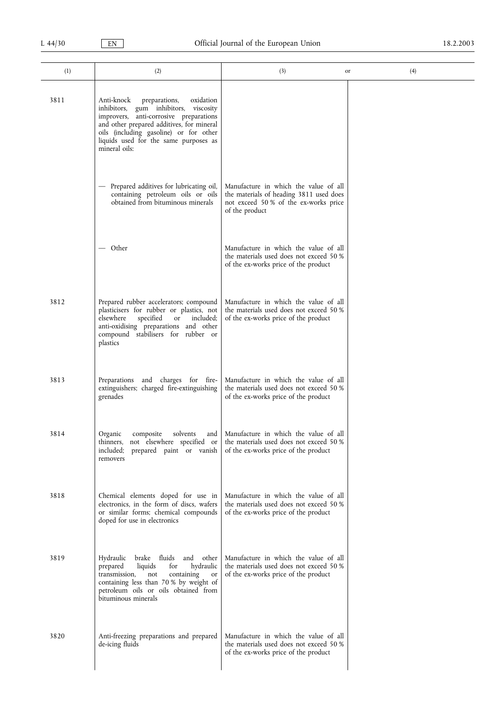| (1)  | (2)                                                                                                                                                                                                                                                                          | (3)                                                                                                                                        | (4)<br>or |
|------|------------------------------------------------------------------------------------------------------------------------------------------------------------------------------------------------------------------------------------------------------------------------------|--------------------------------------------------------------------------------------------------------------------------------------------|-----------|
| 3811 | oxidation<br>Anti-knock<br>preparations,<br>inhibitors, gum inhibitors, viscosity<br>improvers, anti-corrosive preparations<br>and other prepared additives, for mineral<br>oils (including gasoline) or for other<br>liquids used for the same purposes as<br>mineral oils: |                                                                                                                                            |           |
|      | - Prepared additives for lubricating oil,<br>containing petroleum oils or oils<br>obtained from bituminous minerals                                                                                                                                                          | Manufacture in which the value of all<br>the materials of heading 3811 used does<br>not exceed 50% of the ex-works price<br>of the product |           |
|      | — Other                                                                                                                                                                                                                                                                      | Manufacture in which the value of all<br>the materials used does not exceed 50 %<br>of the ex-works price of the product                   |           |
| 3812 | Prepared rubber accelerators; compound<br>plasticisers for rubber or plastics, not<br>specified<br>elsewhere<br><b>or</b><br>included;<br>anti-oxidising preparations and other<br>compound stabilisers for rubber or<br>plastics                                            | Manufacture in which the value of all<br>the materials used does not exceed 50 %<br>of the ex-works price of the product                   |           |
| 3813 | Preparations and charges for fire-<br>extinguishers; charged fire-extinguishing<br>grenades                                                                                                                                                                                  | Manufacture in which the value of all<br>the materials used does not exceed 50 %<br>of the ex-works price of the product                   |           |
| 3814 | Organic<br>solvents<br>composite<br>thinners, not elsewhere specified or<br>included;<br>prepared paint or vanish<br>removers                                                                                                                                                | and   Manufacture in which the value of all<br>the materials used does not exceed 50 %<br>of the ex-works price of the product             |           |
| 3818 | Chemical elements doped for use in<br>electronics, in the form of discs, wafers<br>or similar forms; chemical compounds<br>doped for use in electronics                                                                                                                      | Manufacture in which the value of all<br>the materials used does not exceed 50 %<br>of the ex-works price of the product                   |           |
| 3819 | Hydraulic<br>brake fluids<br>and<br>other<br>liquids<br>for<br>hydraulic<br>prepared<br>transmission,<br>containing<br>not<br>or<br>containing less than 70 % by weight of<br>petroleum oils or oils obtained from<br>bituminous minerals                                    | Manufacture in which the value of all<br>the materials used does not exceed 50 %<br>of the ex-works price of the product                   |           |
| 3820 | Anti-freezing preparations and prepared<br>de-icing fluids                                                                                                                                                                                                                   | Manufacture in which the value of all<br>the materials used does not exceed 50 %<br>of the ex-works price of the product                   |           |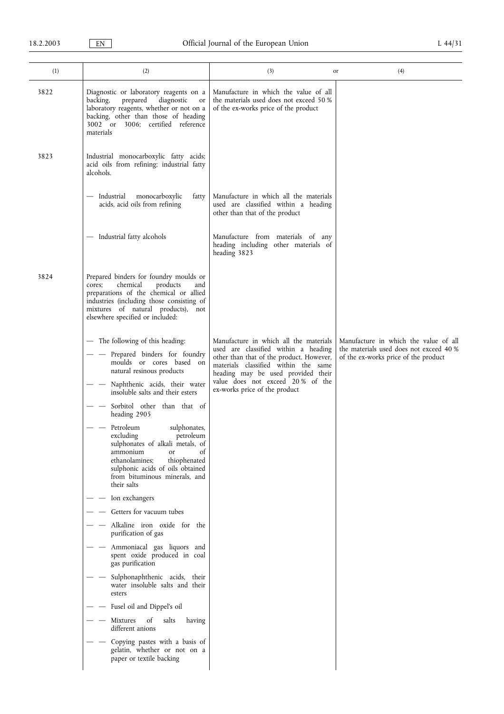| (1)  | (2)                                                                                                                                                                                                                                                                                                                                                                                                                                                                                                                                             | (3)                                                                                                                                                                                                                                                                           | (4)<br>or                                                                                                                |
|------|-------------------------------------------------------------------------------------------------------------------------------------------------------------------------------------------------------------------------------------------------------------------------------------------------------------------------------------------------------------------------------------------------------------------------------------------------------------------------------------------------------------------------------------------------|-------------------------------------------------------------------------------------------------------------------------------------------------------------------------------------------------------------------------------------------------------------------------------|--------------------------------------------------------------------------------------------------------------------------|
| 3822 | Diagnostic or laboratory reagents on a<br>diagnostic<br>backing,<br>prepared<br>or<br>laboratory reagents, whether or not on a<br>backing, other than those of heading<br>3002 or 3006; certified reference<br>materials                                                                                                                                                                                                                                                                                                                        | Manufacture in which the value of all<br>the materials used does not exceed 50 %<br>of the ex-works price of the product                                                                                                                                                      |                                                                                                                          |
| 3823 | Industrial monocarboxylic fatty acids;<br>acid oils from refining; industrial fatty<br>alcohols.                                                                                                                                                                                                                                                                                                                                                                                                                                                |                                                                                                                                                                                                                                                                               |                                                                                                                          |
|      | — Industrial<br>monocarboxylic<br>fatty<br>acids, acid oils from refining                                                                                                                                                                                                                                                                                                                                                                                                                                                                       | Manufacture in which all the materials<br>used are classified within a heading<br>other than that of the product                                                                                                                                                              |                                                                                                                          |
|      | - Industrial fatty alcohols                                                                                                                                                                                                                                                                                                                                                                                                                                                                                                                     | Manufacture from materials of any<br>heading including other materials of<br>heading 3823                                                                                                                                                                                     |                                                                                                                          |
| 3824 | Prepared binders for foundry moulds or<br>chemical<br>products<br>cores;<br>and<br>preparations of the chemical or allied<br>industries (including those consisting of<br>mixtures of natural products), not<br>elsewhere specified or included:                                                                                                                                                                                                                                                                                                |                                                                                                                                                                                                                                                                               |                                                                                                                          |
|      | - The following of this heading:<br>Prepared binders for foundry<br>moulds or cores based on<br>natural resinous products<br>Naphthenic acids, their water<br>insoluble salts and their esters<br>Sorbitol other than that of<br>heading 2905<br>Petroleum<br>sulphonates,<br>excluding<br>petroleum<br>sulphonates of alkali metals, of<br>ammonium<br><sub>or</sub><br>οf<br>thiophenated<br>ethanolamines;<br>sulphonic acids of oils obtained<br>from bituminous minerals, and<br>their salts<br>Ion exchangers<br>Getters for vacuum tubes | Manufacture in which all the materials<br>used are classified within a heading<br>other than that of the product. However,<br>materials classified within the same<br>heading may be used provided their<br>value does not exceed 20% of the<br>ex-works price of the product | Manufacture in which the value of all<br>the materials used does not exceed 40 %<br>of the ex-works price of the product |
|      | Alkaline iron oxide for the<br>purification of gas<br>Ammoniacal gas liquors and<br>spent oxide produced in coal<br>gas purification<br>Sulphonaphthenic acids, their                                                                                                                                                                                                                                                                                                                                                                           |                                                                                                                                                                                                                                                                               |                                                                                                                          |
|      | water insoluble salts and their<br>esters<br>Fusel oil and Dippel's oil<br>of<br>Mixtures<br>salts<br>having                                                                                                                                                                                                                                                                                                                                                                                                                                    |                                                                                                                                                                                                                                                                               |                                                                                                                          |
|      | different anions<br>Copying pastes with a basis of<br>gelatin, whether or not on a<br>paper or textile backing                                                                                                                                                                                                                                                                                                                                                                                                                                  |                                                                                                                                                                                                                                                                               |                                                                                                                          |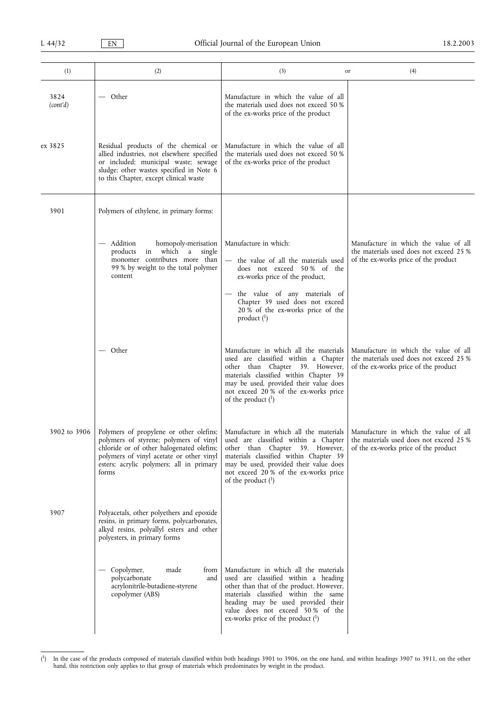| (1)              | (2)                                                                                                                                                                                                                             | (3)                                                                                                                                                                                                                                                                                 | (4)<br>or                                                                                                                |
|------------------|---------------------------------------------------------------------------------------------------------------------------------------------------------------------------------------------------------------------------------|-------------------------------------------------------------------------------------------------------------------------------------------------------------------------------------------------------------------------------------------------------------------------------------|--------------------------------------------------------------------------------------------------------------------------|
| 3824<br>(cont'd) | — Other                                                                                                                                                                                                                         | Manufacture in which the value of all<br>the materials used does not exceed 50 %<br>of the ex-works price of the product                                                                                                                                                            |                                                                                                                          |
| ex 3825          | Residual products of the chemical or<br>allied industries, not elsewhere specified<br>or included; municipal waste; sewage<br>sludge; other wastes specified in Note 6<br>to this Chapter, except clinical waste                | Manufacture in which the value of all<br>the materials used does not exceed 50 %<br>of the ex-works price of the product                                                                                                                                                            |                                                                                                                          |
| 3901             | Polymers of ethylene, in primary forms:                                                                                                                                                                                         |                                                                                                                                                                                                                                                                                     |                                                                                                                          |
|                  | Addition<br>homopoly-merisation<br>$\qquad \qquad -$<br>in which a<br>products<br>single<br>monomer contributes more than<br>99 % by weight to the total polymer<br>content                                                     | Manufacture in which:<br>the value of all the materials used<br>does not exceed 50% of the<br>ex-works price of the product,<br>- the value of any materials of<br>Chapter 39 used does not exceed<br>20 % of the ex-works price of the<br>product $\binom{1}{1}$                   | Manufacture in which the value of all<br>the materials used does not exceed 25 %<br>of the ex-works price of the product |
|                  | — Other                                                                                                                                                                                                                         | Manufacture in which all the materials<br>used are classified within a Chapter<br>other than Chapter 39. However,<br>materials classified within Chapter 39<br>may be used, provided their value does<br>not exceed 20 % of the ex-works price<br>of the product $(1)$              | Manufacture in which the value of all<br>the materials used does not exceed 25 %<br>of the ex-works price of the product |
| 3902 to 3906     | Polymers of propylene or other olefins;<br>polymers of styrene; polymers of vinyl<br>chloride or of other halogenated olefins;<br>polymers of vinyl acetate or other vinyl<br>esters; acrylic polymers; all in primary<br>forms | Manufacture in which all the materials   Manufacture in which the value of all<br>other than Chapter 39. However,<br>materials classified within Chapter 39<br>may be used, provided their value does<br>not exceed 20 % of the ex-works price<br>of the product $(1)$              | used are classified within a Chapter   the materials used does not exceed 25 %<br>of the ex-works price of the product   |
| 3907             | Polyacetals, other polyethers and epoxide<br>resins, in primary forms, polycarbonates,<br>alkyd resins, polyallyl esters and other<br>polyesters, in primary forms                                                              |                                                                                                                                                                                                                                                                                     |                                                                                                                          |
|                  | Copolymer,<br>made<br>from<br>polycarbonate<br>and<br>acrylonitrile-butadiene-styrene<br>copolymer (ABS)                                                                                                                        | Manufacture in which all the materials<br>used are classified within a heading<br>other than that of the product. However,<br>materials classified within the same<br>heading may be used provided their<br>value does not exceed 50% of the<br>ex-works price of the product $(1)$ |                                                                                                                          |

<sup>(</sup> 1) In the case of the products composed of materials classified within both headings 3901 to 3906, on the one hand, and within headings 3907 to 3911, on the other hand, this restriction only applies to that group of materials which predominates by weight in the product.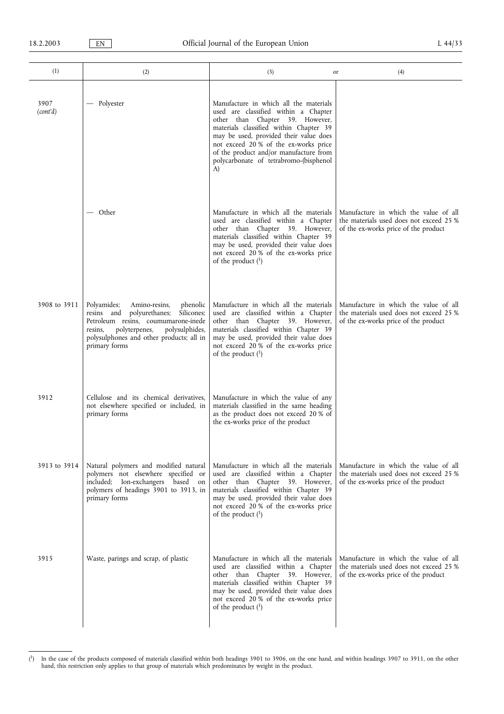| (1)              | (2)                                                                                                                                                                                                                                      | (3)                                                                                                                                                                                                                                                                                                                                      | (4)<br>or                                                                                                                |
|------------------|------------------------------------------------------------------------------------------------------------------------------------------------------------------------------------------------------------------------------------------|------------------------------------------------------------------------------------------------------------------------------------------------------------------------------------------------------------------------------------------------------------------------------------------------------------------------------------------|--------------------------------------------------------------------------------------------------------------------------|
| 3907<br>(cont'd) | — Polyester                                                                                                                                                                                                                              | Manufacture in which all the materials<br>used are classified within a Chapter<br>other than Chapter 39. However,<br>materials classified within Chapter 39<br>may be used, provided their value does<br>not exceed 20 % of the ex-works price<br>of the product and/or manufacture from<br>polycarbonate of tetrabromo-(bisphenol<br>A) |                                                                                                                          |
|                  | — Other                                                                                                                                                                                                                                  | Manufacture in which all the materials<br>used are classified within a Chapter<br>other than Chapter 39. However,<br>materials classified within Chapter 39<br>may be used, provided their value does<br>not exceed 20 % of the ex-works price<br>of the product $(1)$                                                                   | Manufacture in which the value of all<br>the materials used does not exceed 25 %<br>of the ex-works price of the product |
| 3908 to 3911     | Polyamides;<br>Amino-resins,<br>phenolic<br>polyurethanes;<br>Silicones;<br>resins and<br>Petroleum resins, coumumarone-inede<br>polyterpenes,<br>polysulphides,<br>resins,<br>polysulphones and other products; all in<br>primary forms | Manufacture in which all the materials<br>used are classified within a Chapter<br>other than Chapter 39. However,<br>materials classified within Chapter 39<br>may be used, provided their value does<br>not exceed 20% of the ex-works price<br>of the product $(1)$                                                                    | Manufacture in which the value of all<br>the materials used does not exceed 25 %<br>of the ex-works price of the product |
| 3912             | Cellulose and its chemical derivatives,<br>not elsewhere specified or included, in<br>primary forms                                                                                                                                      | Manufacture in which the value of any<br>materials classified in the same heading<br>as the product does not exceed 20 % of<br>the ex-works price of the product                                                                                                                                                                         |                                                                                                                          |
| 3913 to 3914     | Natural polymers and modified natural<br>polymers not elsewhere specified or<br>included; Ion-exchangers based<br>on<br>polymers of headings 3901 to 3913, in<br>primary forms                                                           | Manufacture in which all the materials<br>used are classified within a Chapter<br>other than Chapter 39. However,<br>materials classified within Chapter 39<br>may be used, provided their value does<br>not exceed 20% of the ex-works price<br>of the product $(1)$                                                                    | Manufacture in which the value of all<br>the materials used does not exceed 25 %<br>of the ex-works price of the product |
| 3915             | Waste, parings and scrap, of plastic                                                                                                                                                                                                     | Manufacture in which all the materials<br>used are classified within a Chapter<br>other than Chapter 39. However,<br>materials classified within Chapter 39<br>may be used, provided their value does<br>not exceed 20% of the ex-works price<br>of the product $(1)$                                                                    | Manufacture in which the value of all<br>the materials used does not exceed 25 %<br>of the ex-works price of the product |

<sup>(</sup> 1) In the case of the products composed of materials classified within both headings 3901 to 3906, on the one hand, and within headings 3907 to 3911, on the other hand, this restriction only applies to that group of materials which predominates by weight in the product.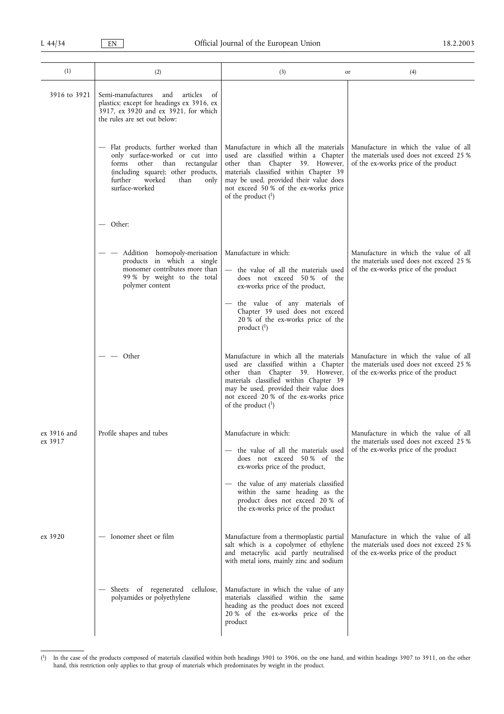| (1)                    | (2)                                                                                                                                                                                                         | (3)                                                                                                                                                                                                                                                                              | (4)<br>or                                                                                                                |
|------------------------|-------------------------------------------------------------------------------------------------------------------------------------------------------------------------------------------------------------|----------------------------------------------------------------------------------------------------------------------------------------------------------------------------------------------------------------------------------------------------------------------------------|--------------------------------------------------------------------------------------------------------------------------|
| 3916 to 3921           | Semi-manufactures and<br>articles<br>of<br>plastics; except for headings ex 3916, ex<br>3917, ex 3920 and ex 3921, for which<br>the rules are set out below:                                                |                                                                                                                                                                                                                                                                                  |                                                                                                                          |
|                        | - Flat products, further worked than<br>only surface-worked or cut into<br>other<br>than rectangular<br>forms<br>(including square); other products,<br>worked<br>further<br>than<br>only<br>surface-worked | Manufacture in which all the materials<br>used are classified within a Chapter<br>other than Chapter 39. However,<br>materials classified within Chapter 39<br>may be used, provided their value does<br>not exceed 50% of the ex-works price<br>of the product $(1)$            | Manufacture in which the value of all<br>the materials used does not exceed 25 %<br>of the ex-works price of the product |
|                        | — Other:                                                                                                                                                                                                    |                                                                                                                                                                                                                                                                                  |                                                                                                                          |
|                        | Addition homopoly-merisation<br>products in which a single<br>monomer contributes more than<br>99% by weight to the total<br>polymer content                                                                | Manufacture in which:<br>the value of all the materials used<br>does not exceed 50% of the<br>ex-works price of the product,<br>the value of any materials of<br>Chapter 39 used does not exceed<br>20 % of the ex-works price of the<br>product $(1)$                           | Manufacture in which the value of all<br>the materials used does not exceed 25 %<br>of the ex-works price of the product |
|                        | Other                                                                                                                                                                                                       | Manufacture in which all the materials<br>used are classified within a Chapter<br>other than Chapter 39. However,<br>materials classified within Chapter 39<br>may be used, provided their value does<br>not exceed 20% of the ex-works price<br>of the product $(1)$            | Manufacture in which the value of all<br>the materials used does not exceed 25 %<br>of the ex-works price of the product |
| ex 3916 and<br>ex 3917 | Profile shapes and tubes                                                                                                                                                                                    | Manufacture in which:<br>the value of all the materials used<br>does not exceed 50% of the<br>ex-works price of the product,<br>- the value of any materials classified<br>within the same heading as the<br>product does not exceed 20% of<br>the ex-works price of the product | Manufacture in which the value of all<br>the materials used does not exceed 25 %<br>of the ex-works price of the product |
| ex 3920                | Ionomer sheet or film                                                                                                                                                                                       | Manufacture from a thermoplastic partial<br>salt which is a copolymer of ethylene<br>and metacrylic acid partly neutralised<br>with metal ions, mainly zinc and sodium                                                                                                           | Manufacture in which the value of all<br>the materials used does not exceed 25 %<br>of the ex-works price of the product |
|                        | Sheets of regenerated cellulose,<br>polyamides or polyethylene                                                                                                                                              | Manufacture in which the value of any<br>materials classified within the same<br>heading as the product does not exceed<br>20 % of the ex-works price of the<br>product                                                                                                          |                                                                                                                          |

 $(^1)$ <sup>1</sup>) In the case of the products composed of materials classified within both headings 3901 to 3906, on the one hand, and within headings 3907 to 3911, on the other hand, this restriction only applies to that group of materials which predominates by weight in the product.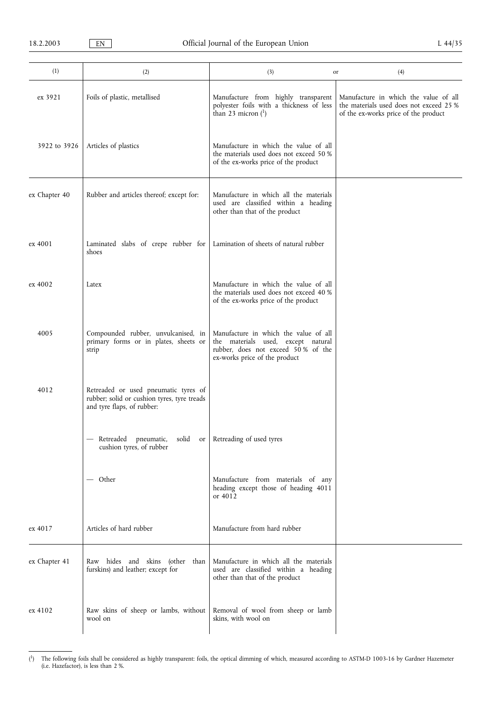| (1)           | (2)                                                                                                               | (3)                                                                                                                                                | (4)<br>or                                                                                                                |
|---------------|-------------------------------------------------------------------------------------------------------------------|----------------------------------------------------------------------------------------------------------------------------------------------------|--------------------------------------------------------------------------------------------------------------------------|
| ex 3921       | Foils of plastic, metallised                                                                                      | Manufacture from highly transparent<br>polyester foils with a thickness of less<br>than 23 micron $(1)$                                            | Manufacture in which the value of all<br>the materials used does not exceed 25 %<br>of the ex-works price of the product |
| 3922 to 3926  | Articles of plastics                                                                                              | Manufacture in which the value of all<br>the materials used does not exceed 50 %<br>of the ex-works price of the product                           |                                                                                                                          |
| ex Chapter 40 | Rubber and articles thereof; except for:                                                                          | Manufacture in which all the materials<br>used are classified within a heading<br>other than that of the product                                   |                                                                                                                          |
| ex 4001       | Laminated slabs of crepe rubber for<br>shoes                                                                      | Lamination of sheets of natural rubber                                                                                                             |                                                                                                                          |
| ex 4002       | Latex                                                                                                             | Manufacture in which the value of all<br>the materials used does not exceed 40 %<br>of the ex-works price of the product                           |                                                                                                                          |
| 4005          | Compounded rubber, unvulcanised, in<br>primary forms or in plates, sheets or<br>strip                             | Manufacture in which the value of all<br>the materials used, except natural<br>rubber, does not exceed 50% of the<br>ex-works price of the product |                                                                                                                          |
| 4012          | Retreaded or used pneumatic tyres of<br>rubber; solid or cushion tyres, tyre treads<br>and tyre flaps, of rubber: |                                                                                                                                                    |                                                                                                                          |
|               | - Retreaded pneumatic, solid or Retreading of used tyres<br>cushion tyres, of rubber                              |                                                                                                                                                    |                                                                                                                          |
|               | — Other                                                                                                           | Manufacture from materials of any<br>heading except those of heading 4011<br>or 4012                                                               |                                                                                                                          |
| ex 4017       | Articles of hard rubber                                                                                           | Manufacture from hard rubber                                                                                                                       |                                                                                                                          |
| ex Chapter 41 | Raw hides and skins (other than<br>furskins) and leather; except for                                              | Manufacture in which all the materials<br>used are classified within a heading<br>other than that of the product                                   |                                                                                                                          |
| ex 4102       | Raw skins of sheep or lambs, without<br>wool on                                                                   | Removal of wool from sheep or lamb<br>skins, with wool on                                                                                          |                                                                                                                          |

<sup>(</sup> 1) The following foils shall be considered as highly transparent: foils, the optical dimming of which, measured according to ASTM-D 1003-16 by Gardner Hazemeter (i.e. Hazefactor), is less than 2 %.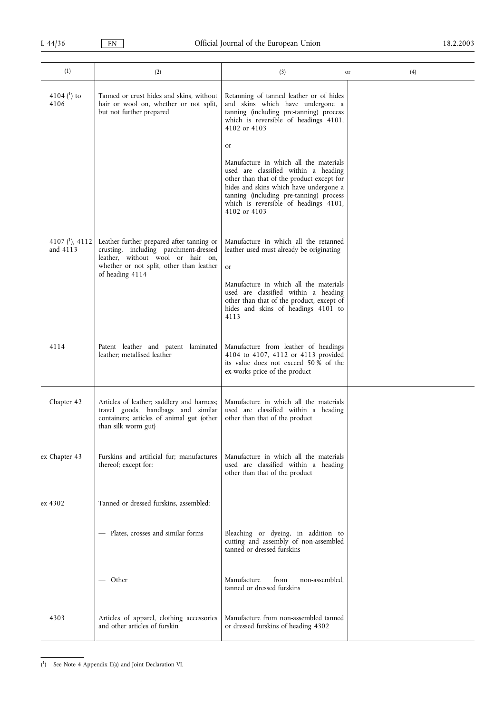| (1)                                | (2)                                                                                                                                                                                    | (3)                                                                                                                                                                                                                                                                              | (4)<br>or |
|------------------------------------|----------------------------------------------------------------------------------------------------------------------------------------------------------------------------------------|----------------------------------------------------------------------------------------------------------------------------------------------------------------------------------------------------------------------------------------------------------------------------------|-----------|
| 4104 $($ <sup>1</sup> ) to<br>4106 | Tanned or crust hides and skins, without<br>hair or wool on, whether or not split,<br>but not further prepared                                                                         | Retanning of tanned leather or of hides<br>and skins which have undergone a<br>tanning (including pre-tanning) process<br>which is reversible of headings 4101,<br>4102 or 4103                                                                                                  |           |
|                                    |                                                                                                                                                                                        | or<br>Manufacture in which all the materials<br>used are classified within a heading<br>other than that of the product except for<br>hides and skins which have undergone a<br>tanning (including pre-tanning) process<br>which is reversible of headings 4101,<br>4102 or 4103  |           |
| 4107 $(^1)$ , 4112<br>and 4113     | Leather further prepared after tanning or<br>crusting, including parchment-dressed<br>leather, without wool or hair on,<br>whether or not split, other than leather<br>of heading 4114 | Manufacture in which all the retanned<br>leather used must already be originating<br><sub>or</sub><br>Manufacture in which all the materials<br>used are classified within a heading<br>other than that of the product, except of<br>hides and skins of headings 4101 to<br>4113 |           |
| 4114                               | Patent leather and patent laminated<br>leather; metallised leather                                                                                                                     | Manufacture from leather of headings<br>4104 to 4107, 4112 or 4113 provided<br>its value does not exceed 50% of the<br>ex-works price of the product                                                                                                                             |           |
| Chapter 42                         | Articles of leather; saddlery and harness;<br>travel goods, handbags and similar<br>containers; articles of animal gut (other<br>than silk worm gut)                                   | Manufacture in which all the materials<br>used are classified within a heading<br>other than that of the product                                                                                                                                                                 |           |
| ex Chapter 43                      | Furskins and artificial fur; manufactures<br>thereof; except for:                                                                                                                      | Manufacture in which all the materials<br>used are classified within a heading<br>other than that of the product                                                                                                                                                                 |           |
| ex 4302                            | Tanned or dressed furskins, assembled:                                                                                                                                                 |                                                                                                                                                                                                                                                                                  |           |
|                                    | - Plates, crosses and similar forms                                                                                                                                                    | Bleaching or dyeing, in addition to<br>cutting and assembly of non-assembled<br>tanned or dressed furskins                                                                                                                                                                       |           |
|                                    | — Other                                                                                                                                                                                | Manufacture<br>from<br>non-assembled,<br>tanned or dressed furskins                                                                                                                                                                                                              |           |
| 4303                               | Articles of apparel, clothing accessories<br>and other articles of furskin                                                                                                             | Manufacture from non-assembled tanned<br>or dressed furskins of heading 4302                                                                                                                                                                                                     |           |

<sup>(</sup> 1) See Note 4 Appendix II(a) and Joint Declaration VI.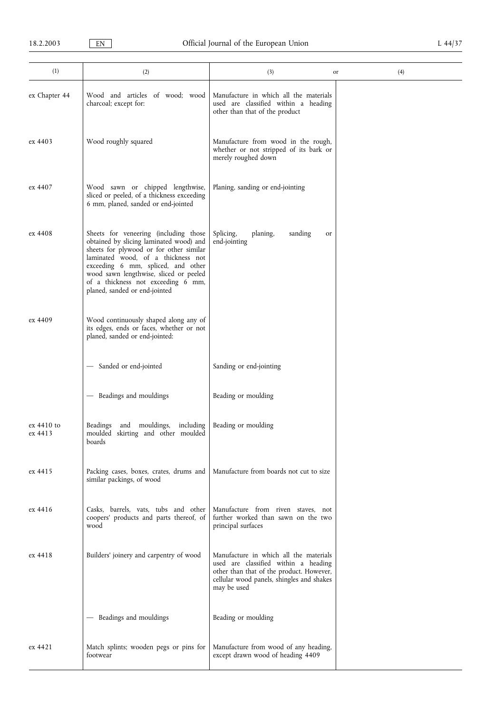| (1)                   | (2)                                                                                                                                                                                                                                                                                                                      | (3)                                                                                                                                                                                    | (4)<br>or |
|-----------------------|--------------------------------------------------------------------------------------------------------------------------------------------------------------------------------------------------------------------------------------------------------------------------------------------------------------------------|----------------------------------------------------------------------------------------------------------------------------------------------------------------------------------------|-----------|
| ex Chapter 44         | Wood and articles of wood; wood<br>charcoal; except for:                                                                                                                                                                                                                                                                 | Manufacture in which all the materials<br>used are classified within a heading<br>other than that of the product                                                                       |           |
| ex 4403               | Wood roughly squared                                                                                                                                                                                                                                                                                                     | Manufacture from wood in the rough,<br>whether or not stripped of its bark or<br>merely roughed down                                                                                   |           |
| ex 4407               | Wood sawn or chipped lengthwise,<br>sliced or peeled, of a thickness exceeding<br>6 mm, planed, sanded or end-jointed                                                                                                                                                                                                    | Planing, sanding or end-jointing                                                                                                                                                       |           |
| ex 4408               | Sheets for veneering (including those<br>obtained by slicing laminated wood) and<br>sheets for plywood or for other similar<br>laminated wood, of a thickness not<br>exceeding 6 mm, spliced, and other<br>wood sawn lengthwise, sliced or peeled<br>of a thickness not exceeding 6 mm,<br>planed, sanded or end-jointed | Splicing,<br>planing,<br>sanding<br>or<br>end-jointing                                                                                                                                 |           |
| ex 4409               | Wood continuously shaped along any of<br>its edges, ends or faces, whether or not<br>planed, sanded or end-jointed:                                                                                                                                                                                                      |                                                                                                                                                                                        |           |
|                       | Sanded or end-jointed                                                                                                                                                                                                                                                                                                    | Sanding or end-jointing                                                                                                                                                                |           |
|                       | Beadings and mouldings                                                                                                                                                                                                                                                                                                   | Beading or moulding                                                                                                                                                                    |           |
| ex 4410 to<br>ex 4413 | Beadings<br>and mouldings, including<br>moulded skirting and other moulded<br>boards                                                                                                                                                                                                                                     | Beading or moulding                                                                                                                                                                    |           |
| ex 4415               | Packing cases, boxes, crates, drums and<br>similar packings, of wood                                                                                                                                                                                                                                                     | Manufacture from boards not cut to size                                                                                                                                                |           |
| ex 4416               | Casks, barrels, vats, tubs and other<br>coopers' products and parts thereof, of<br>wood                                                                                                                                                                                                                                  | Manufacture from riven staves, not<br>further worked than sawn on the two<br>principal surfaces                                                                                        |           |
| ex 4418               | Builders' joinery and carpentry of wood                                                                                                                                                                                                                                                                                  | Manufacture in which all the materials<br>used are classified within a heading<br>other than that of the product. However,<br>cellular wood panels, shingles and shakes<br>may be used |           |
|                       | Beadings and mouldings                                                                                                                                                                                                                                                                                                   | Beading or moulding                                                                                                                                                                    |           |
| ex 4421               | Match splints; wooden pegs or pins for<br>footwear                                                                                                                                                                                                                                                                       | Manufacture from wood of any heading,<br>except drawn wood of heading 4409                                                                                                             |           |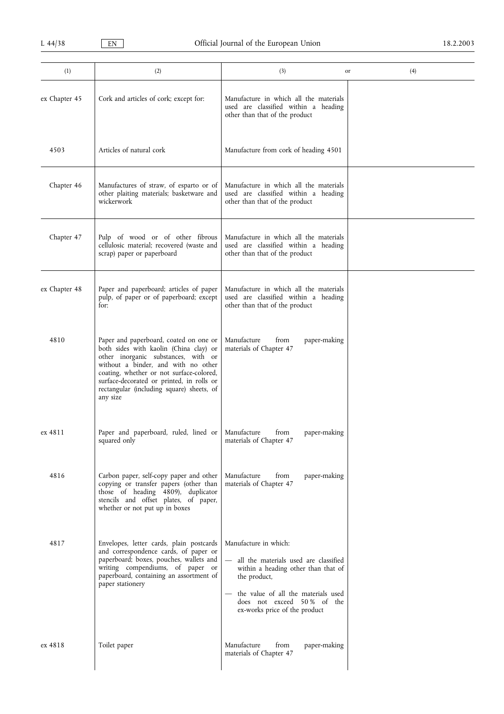| (1)           | (2)                                                                                                                                                                                                                                                                                                              | (3)                                                                                                                                                                                                                         | (4)<br>or |
|---------------|------------------------------------------------------------------------------------------------------------------------------------------------------------------------------------------------------------------------------------------------------------------------------------------------------------------|-----------------------------------------------------------------------------------------------------------------------------------------------------------------------------------------------------------------------------|-----------|
| ex Chapter 45 | Cork and articles of cork; except for:                                                                                                                                                                                                                                                                           | Manufacture in which all the materials<br>used are classified within a heading<br>other than that of the product                                                                                                            |           |
| 4503          | Articles of natural cork                                                                                                                                                                                                                                                                                         | Manufacture from cork of heading 4501                                                                                                                                                                                       |           |
| Chapter 46    | Manufactures of straw, of esparto or of<br>other plaiting materials; basketware and<br>wickerwork                                                                                                                                                                                                                | Manufacture in which all the materials<br>used are classified within a heading<br>other than that of the product                                                                                                            |           |
| Chapter 47    | Pulp of wood or of other fibrous<br>cellulosic material; recovered (waste and<br>scrap) paper or paperboard                                                                                                                                                                                                      | Manufacture in which all the materials<br>used are classified within a heading<br>other than that of the product                                                                                                            |           |
| ex Chapter 48 | Paper and paperboard; articles of paper<br>pulp, of paper or of paperboard; except<br>for:                                                                                                                                                                                                                       | Manufacture in which all the materials<br>used are classified within a heading<br>other than that of the product                                                                                                            |           |
| 4810          | Paper and paperboard, coated on one or<br>both sides with kaolin (China clay) or<br>other inorganic substances, with or<br>without a binder, and with no other<br>coating, whether or not surface-colored,<br>surface-decorated or printed, in rolls or<br>rectangular (including square) sheets, of<br>any size | Manufacture<br>from<br>paper-making<br>materials of Chapter 47                                                                                                                                                              |           |
| ex 4811       | Paper and paperboard, ruled, lined or Manufacture<br>squared only                                                                                                                                                                                                                                                | paper-making<br>from<br>materials of Chapter 47                                                                                                                                                                             |           |
| 4816          | Carbon paper, self-copy paper and other<br>copying or transfer papers (other than<br>those of heading 4809), duplicator<br>stencils and offset plates, of paper,<br>whether or not put up in boxes                                                                                                               | Manufacture<br>from<br>paper-making<br>materials of Chapter 47                                                                                                                                                              |           |
| 4817          | Envelopes, letter cards, plain postcards<br>and correspondence cards, of paper or<br>paperboard; boxes, pouches, wallets and<br>writing compendiums, of paper or<br>paperboard, containing an assortment of<br>paper stationery                                                                                  | Manufacture in which:<br>all the materials used are classified<br>within a heading other than that of<br>the product,<br>the value of all the materials used<br>does not exceed 50% of the<br>ex-works price of the product |           |
| ex 4818       | Toilet paper                                                                                                                                                                                                                                                                                                     | Manufacture<br>from<br>paper-making<br>materials of Chapter 47                                                                                                                                                              |           |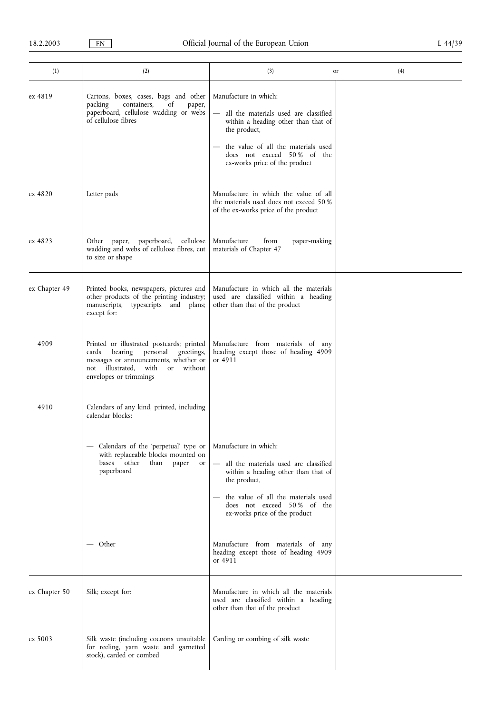| (1)           | (2)                                                                                                                                                                                                     | (3)                                                                                                                                                                                                                           | (4)<br>or |
|---------------|---------------------------------------------------------------------------------------------------------------------------------------------------------------------------------------------------------|-------------------------------------------------------------------------------------------------------------------------------------------------------------------------------------------------------------------------------|-----------|
| ex 4819       | Cartons, boxes, cases, bags and other<br>packing<br>of<br>containers,<br>paper,<br>paperboard, cellulose wadding or webs<br>of cellulose fibres                                                         | Manufacture in which:<br>- all the materials used are classified<br>within a heading other than that of<br>the product,<br>the value of all the materials used<br>does not exceed 50% of the<br>ex-works price of the product |           |
| ex 4820       | Letter pads                                                                                                                                                                                             | Manufacture in which the value of all<br>the materials used does not exceed 50 %<br>of the ex-works price of the product                                                                                                      |           |
| ex 4823       | Other paper, paperboard, cellulose<br>wadding and webs of cellulose fibres, cut<br>to size or shape                                                                                                     | Manufacture<br>from<br>paper-making<br>materials of Chapter 47                                                                                                                                                                |           |
| ex Chapter 49 | Printed books, newspapers, pictures and<br>other products of the printing industry;<br>manuscripts, typescripts and plans;<br>except for:                                                               | Manufacture in which all the materials<br>used are classified within a heading<br>other than that of the product                                                                                                              |           |
| 4909          | Printed or illustrated postcards; printed<br>bearing<br>personal<br>greetings,<br>cards<br>messages or announcements, whether or<br>not illustrated,<br>with<br>without<br>or<br>envelopes or trimmings | Manufacture from materials of any<br>heading except those of heading 4909<br>or 4911                                                                                                                                          |           |
| 4910          | Calendars of any kind, printed, including<br>calendar blocks:                                                                                                                                           |                                                                                                                                                                                                                               |           |
|               | Calendars of the 'perpetual' type or<br>with replaceable blocks mounted on<br>other<br>bases<br>than<br>paper<br>or<br>paperboard                                                                       | Manufacture in which:<br>- all the materials used are classified<br>within a heading other than that of<br>the product,<br>the value of all the materials used<br>does not exceed 50% of the<br>ex-works price of the product |           |
|               | Other                                                                                                                                                                                                   | Manufacture from materials of any<br>heading except those of heading 4909<br>or 4911                                                                                                                                          |           |
| ex Chapter 50 | Silk; except for:                                                                                                                                                                                       | Manufacture in which all the materials<br>used are classified within a heading<br>other than that of the product                                                                                                              |           |
| ex 5003       | Silk waste (including cocoons unsuitable<br>for reeling, yarn waste and garnetted<br>stock), carded or combed                                                                                           | Carding or combing of silk waste                                                                                                                                                                                              |           |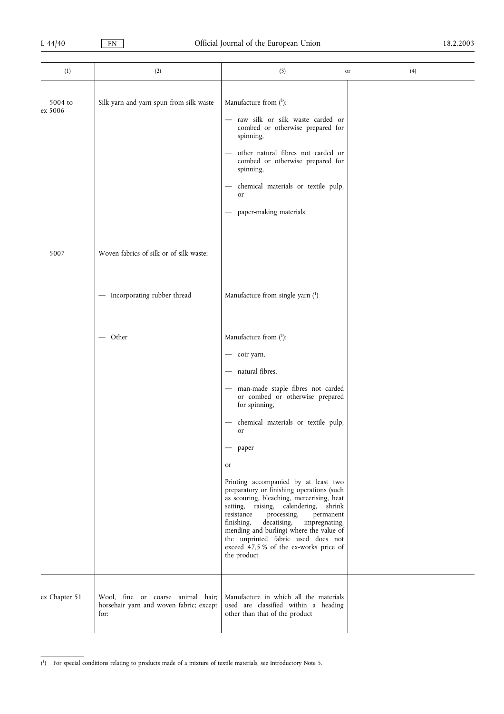| (1)                | (2)                                                                                  | (3)                                                                                                                                                                                                                                                                                                                                                                                                                                                                                                                                                                                                                                           | (4)<br>or |
|--------------------|--------------------------------------------------------------------------------------|-----------------------------------------------------------------------------------------------------------------------------------------------------------------------------------------------------------------------------------------------------------------------------------------------------------------------------------------------------------------------------------------------------------------------------------------------------------------------------------------------------------------------------------------------------------------------------------------------------------------------------------------------|-----------|
| 5004 to<br>ex 5006 | Silk yarn and yarn spun from silk waste                                              | Manufacture from $(^1)$ :<br>- raw silk or silk waste carded or<br>combed or otherwise prepared for<br>spinning,<br>other natural fibres not carded or<br>combed or otherwise prepared for<br>spinning,<br>chemical materials or textile pulp,<br>or<br>paper-making materials                                                                                                                                                                                                                                                                                                                                                                |           |
| 5007               | Woven fabrics of silk or of silk waste:                                              |                                                                                                                                                                                                                                                                                                                                                                                                                                                                                                                                                                                                                                               |           |
|                    | - Incorporating rubber thread                                                        | Manufacture from single yarn $(1)$                                                                                                                                                                                                                                                                                                                                                                                                                                                                                                                                                                                                            |           |
|                    | $-$ Other                                                                            | Manufacture from $(^1)$ :<br>- coir yarn,<br>- natural fibres,<br>- man-made staple fibres not carded<br>or combed or otherwise prepared<br>for spinning,<br>chemical materials or textile pulp,<br><sub>or</sub><br>paper<br>or<br>Printing accompanied by at least two<br>preparatory or finishing operations (such<br>as scouring, bleaching, mercerising, heat<br>setting, raising, calendering, shrink<br>resistance<br>processing,<br>permanent<br>decatising,<br>finishing,<br>impregnating,<br>mending and burling) where the value of<br>the unprinted fabric used does not<br>exceed 47,5 % of the ex-works price of<br>the product |           |
| ex Chapter 51      | Wool, fine or coarse animal hair;<br>horsehair yarn and woven fabric; except<br>for: | Manufacture in which all the materials<br>used are classified within a heading<br>other than that of the product                                                                                                                                                                                                                                                                                                                                                                                                                                                                                                                              |           |

<sup>(</sup> 1) For special conditions relating to products made of a mixture of textile materials, see Introductory Note 5.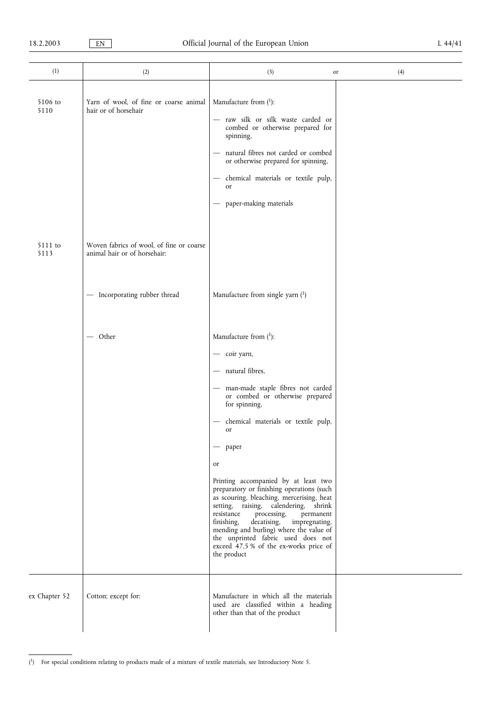| (1)             | (2)                                                                      | (3)                                                                                                                                                                                                                                                                                                                                                                                                                                                                                                                                                                                                                                | (4)<br>or |
|-----------------|--------------------------------------------------------------------------|------------------------------------------------------------------------------------------------------------------------------------------------------------------------------------------------------------------------------------------------------------------------------------------------------------------------------------------------------------------------------------------------------------------------------------------------------------------------------------------------------------------------------------------------------------------------------------------------------------------------------------|-----------|
| 5106 to<br>5110 | Yarn of wool, of fine or coarse animal<br>hair or of horsehair           | Manufacture from $(1)$ :<br>- raw silk or silk waste carded or<br>combed or otherwise prepared for<br>spinning,<br>- natural fibres not carded or combed<br>or otherwise prepared for spinning,<br>chemical materials or textile pulp,<br>$\overline{\phantom{0}}$<br>or<br>paper-making materials<br>—                                                                                                                                                                                                                                                                                                                            |           |
| 5111 to<br>5113 | Woven fabrics of wool, of fine or coarse<br>animal hair or of horsehair: |                                                                                                                                                                                                                                                                                                                                                                                                                                                                                                                                                                                                                                    |           |
|                 | - Incorporating rubber thread                                            | Manufacture from single yarn $(1)$                                                                                                                                                                                                                                                                                                                                                                                                                                                                                                                                                                                                 |           |
|                 | — Other                                                                  | Manufacture from $(^1)$ :<br>- coir yarn,<br>- natural fibres,<br>- man-made staple fibres not carded<br>or combed or otherwise prepared<br>for spinning,<br>chemical materials or textile pulp,<br>or<br>paper<br>or<br>Printing accompanied by at least two<br>preparatory or finishing operations (such<br>as scouring, bleaching, mercerising, heat<br>setting, raising, calendering, shrink<br>resistance<br>processing,<br>permanent<br>finishing,<br>decatising,<br>impregnating,<br>mending and burling) where the value of<br>the unprinted fabric used does not<br>exceed 47,5 % of the ex-works price of<br>the product |           |
| ex Chapter 52   | Cotton; except for:                                                      | Manufacture in which all the materials<br>used are classified within a heading<br>other than that of the product                                                                                                                                                                                                                                                                                                                                                                                                                                                                                                                   |           |

<sup>(</sup> 1) For special conditions relating to products made of a mixture of textile materials, see Introductory Note 5.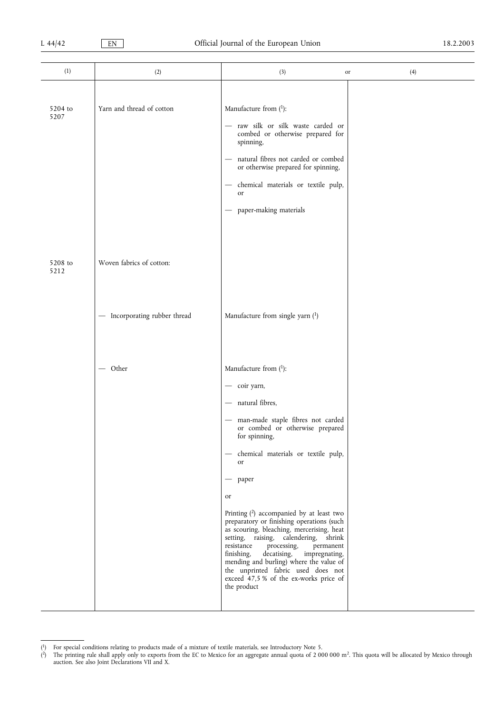| (1)             | (2)                           | (3)                                                                                                                                                                                                                                                                                                                                                                                                                                                                                                                                                                                                                                           | (4)<br>or |
|-----------------|-------------------------------|-----------------------------------------------------------------------------------------------------------------------------------------------------------------------------------------------------------------------------------------------------------------------------------------------------------------------------------------------------------------------------------------------------------------------------------------------------------------------------------------------------------------------------------------------------------------------------------------------------------------------------------------------|-----------|
| 5204 to<br>5207 | Yarn and thread of cotton     | Manufacture from $(1)$ :<br>- raw silk or silk waste carded or<br>combed or otherwise prepared for<br>spinning,<br>natural fibres not carded or combed<br>or otherwise prepared for spinning,<br>chemical materials or textile pulp,<br>or<br>paper-making materials                                                                                                                                                                                                                                                                                                                                                                          |           |
| 5208 to<br>5212 | Woven fabrics of cotton:      |                                                                                                                                                                                                                                                                                                                                                                                                                                                                                                                                                                                                                                               |           |
|                 | - Incorporating rubber thread | Manufacture from single yarn $(1)$                                                                                                                                                                                                                                                                                                                                                                                                                                                                                                                                                                                                            |           |
|                 | $-$ Other                     | Manufacture from $(1)$ :<br>- coir yarn,<br>- natural fibres,<br>- man-made staple fibres not carded<br>or combed or otherwise prepared<br>for spinning,<br>- chemical materials or textile pulp,<br>or<br>$-$ paper<br>or<br>Printing $(2)$ accompanied by at least two<br>preparatory or finishing operations (such<br>as scouring, bleaching, mercerising, heat<br>setting, raising, calendering, shrink<br>resistance<br>processing,<br>permanent<br>finishing,<br>decatising,<br>impregnating,<br>mending and burling) where the value of<br>the unprinted fabric used does not<br>exceed 47,5 % of the ex-works price of<br>the product |           |

<sup>(</sup> 1) For special conditions relating to products made of a mixture of textile materials, see Introductory Note 5.

<sup>(</sup> $^2$ ) The printing rule shall apply only to exports from the EC to Mexico for an aggregate annual quota of 2 000 000 m<sup>2</sup>. This quota will be allocated by Mexico through auction. See also Joint Declarations VII and X.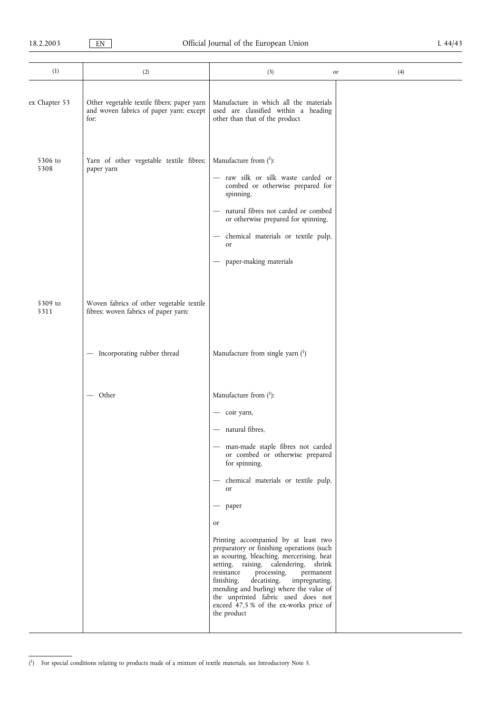| (1)             | (2)                                                                                           | (3)                                                                                                                                                                                                                                                                                                                                                                                                                                                                                                                                                                                                                                                        | (4)<br>or |  |
|-----------------|-----------------------------------------------------------------------------------------------|------------------------------------------------------------------------------------------------------------------------------------------------------------------------------------------------------------------------------------------------------------------------------------------------------------------------------------------------------------------------------------------------------------------------------------------------------------------------------------------------------------------------------------------------------------------------------------------------------------------------------------------------------------|-----------|--|
| ex Chapter 53   | Other vegetable textile fibers; paper yarn<br>and woven fabrics of paper yarn; except<br>for: | Manufacture in which all the materials<br>used are classified within a heading<br>other than that of the product                                                                                                                                                                                                                                                                                                                                                                                                                                                                                                                                           |           |  |
| 5306 to<br>5308 | Yarn of other vegetable textile fibres;<br>paper yarn                                         | Manufacture from $(^1)$ :<br>raw silk or silk waste carded or<br>combed or otherwise prepared for<br>spinning,<br>natural fibres not carded or combed<br>or otherwise prepared for spinning,<br>chemical materials or textile pulp,<br>or<br>paper-making materials                                                                                                                                                                                                                                                                                                                                                                                        |           |  |
| 5309 to<br>5311 | Woven fabrics of other vegetable textile<br>fibres; woven fabrics of paper yarn:              |                                                                                                                                                                                                                                                                                                                                                                                                                                                                                                                                                                                                                                                            |           |  |
|                 | - Incorporating rubber thread                                                                 | Manufacture from single yarn $(1)$                                                                                                                                                                                                                                                                                                                                                                                                                                                                                                                                                                                                                         |           |  |
|                 | — Other                                                                                       | Manufacture from $(^1)$ :<br>- coir yarn,<br>natural fibres,<br>man-made staple fibres not carded<br>or combed or otherwise prepared<br>for spinning,<br>chemical materials or textile pulp,<br>$\overline{\phantom{m}}$<br>or<br>paper<br>or<br>Printing accompanied by at least two<br>preparatory or finishing operations (such<br>as scouring, bleaching, mercerising, heat<br>setting, raising, calendering, shrink<br>resistance<br>processing,<br>permanent<br>finishing,<br>decatising,<br>impregnating,<br>mending and burling) where the value of<br>the unprinted fabric used does not<br>exceed 47,5 % of the ex-works price of<br>the product |           |  |

<sup>(</sup> 1) For special conditions relating to products made of a mixture of textile materials, see Introductory Note 5.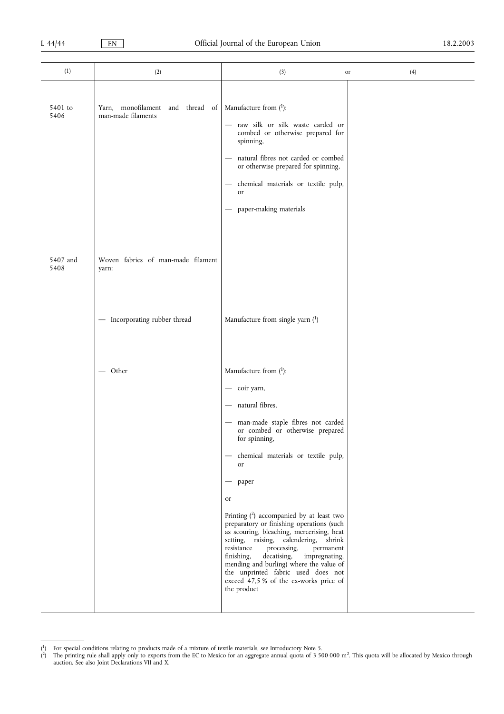| (1)              | (2)                                                       | (3)                                                                                                                                                                                                                                                                                                                                                                                                                                                                                                                                                                                                                                   | (4)<br>or |
|------------------|-----------------------------------------------------------|---------------------------------------------------------------------------------------------------------------------------------------------------------------------------------------------------------------------------------------------------------------------------------------------------------------------------------------------------------------------------------------------------------------------------------------------------------------------------------------------------------------------------------------------------------------------------------------------------------------------------------------|-----------|
| 5401 to<br>5406  | Yarn, monofilament<br>and thread of<br>man-made filaments | Manufacture from $(1)$ :<br>raw silk or silk waste carded or<br>combed or otherwise prepared for<br>spinning,<br>natural fibres not carded or combed<br>$\overline{\phantom{m}}$<br>or otherwise prepared for spinning,<br>chemical materials or textile pulp,<br>$\overline{\phantom{0}}$<br>or<br>paper-making materials                                                                                                                                                                                                                                                                                                            |           |
| 5407 and<br>5408 | Woven fabrics of man-made filament<br>yarn:               |                                                                                                                                                                                                                                                                                                                                                                                                                                                                                                                                                                                                                                       |           |
|                  | - Incorporating rubber thread                             | Manufacture from single yarn $(1)$                                                                                                                                                                                                                                                                                                                                                                                                                                                                                                                                                                                                    |           |
|                  | $-$ Other                                                 | Manufacture from $(1)$ :<br>- coir yarn,<br>- natural fibres,<br>man-made staple fibres not carded<br>or combed or otherwise prepared<br>for spinning,<br>- chemical materials or textile pulp,<br>or<br>paper<br>or<br>Printing (2) accompanied by at least two<br>preparatory or finishing operations (such<br>as scouring, bleaching, mercerising, heat<br>setting, raising, calendering, shrink<br>resistance<br>processing,<br>permanent<br>finishing,<br>decatising,<br>impregnating,<br>mending and burling) where the value of<br>the unprinted fabric used does not<br>exceed 47,5 % of the ex-works price of<br>the product |           |

<sup>(</sup> <sup>1</sup>) For special conditions relating to products made of a mixture of textile materials, see Introductory Note 5.

<sup>(</sup> 2) The printing rule shall apply only to exports from the EC to Mexico for an aggregate annual quota of 3 500 000 m2. This quota will be allocated by Mexico through auction. See also Joint Declarations VII and X.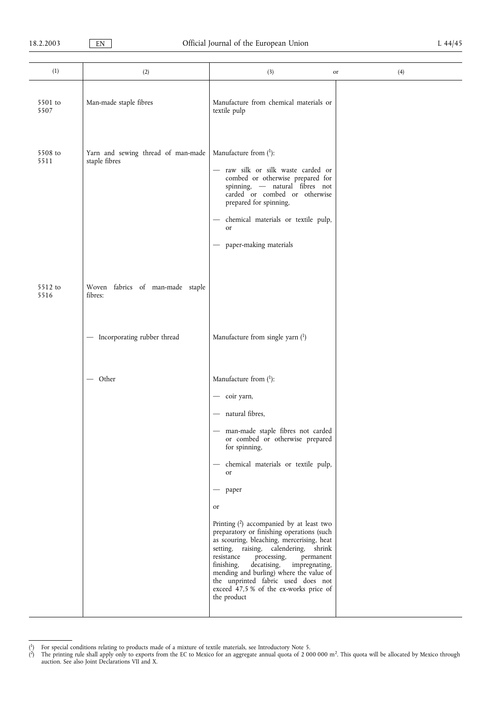| (1)             | (2)                                                 | (3)                                                                                                                                                                                                                                                                                                                                                                                                                                                                                                                                                                                                                                                | (4)<br>or |
|-----------------|-----------------------------------------------------|----------------------------------------------------------------------------------------------------------------------------------------------------------------------------------------------------------------------------------------------------------------------------------------------------------------------------------------------------------------------------------------------------------------------------------------------------------------------------------------------------------------------------------------------------------------------------------------------------------------------------------------------------|-----------|
| 5501 to<br>5507 | Man-made staple fibres                              | Manufacture from chemical materials or<br>textile pulp                                                                                                                                                                                                                                                                                                                                                                                                                                                                                                                                                                                             |           |
| 5508 to<br>5511 | Yarn and sewing thread of man-made<br>staple fibres | Manufacture from $(^1)$ :<br>raw silk or silk waste carded or<br>combed or otherwise prepared for<br>spinning, - natural fibres not<br>carded or combed or otherwise<br>prepared for spinning,<br>chemical materials or textile pulp,<br>or<br>paper-making materials<br>$\overbrace{\phantom{13333}}$                                                                                                                                                                                                                                                                                                                                             |           |
| 5512 to<br>5516 | Woven fabrics of man-made staple<br>fibres:         |                                                                                                                                                                                                                                                                                                                                                                                                                                                                                                                                                                                                                                                    |           |
|                 | - Incorporating rubber thread                       | Manufacture from single yarn $(1)$                                                                                                                                                                                                                                                                                                                                                                                                                                                                                                                                                                                                                 |           |
|                 | – Other                                             | Manufacture from $(^1)$ :<br>- coir yarn,<br>- natural fibres,<br>- man-made staple fibres not carded<br>or combed or otherwise prepared<br>for spinning,<br>chemical materials or textile pulp,<br><b>or</b><br>paper<br>or<br>Printing $(2)$ accompanied by at least two<br>preparatory or finishing operations (such<br>as scouring, bleaching, mercerising, heat<br>setting, raising, calendering,<br>shrink<br>resistance<br>processing,<br>permanent<br>finishing,<br>decatising,<br>impregnating,<br>mending and burling) where the value of<br>the unprinted fabric used does not<br>exceed 47,5 % of the ex-works price of<br>the product |           |

<sup>(</sup> <sup>1</sup>) For special conditions relating to products made of a mixture of textile materials, see Introductory Note 5.

<sup>(</sup>  $^{2)}$  The printing rule shall apply only to exports from the EC to Mexico for an aggregate annual quota of 2 000 000 m<sup>2</sup>. This quota will be allocated by Mexico through auction. See also Joint Declarations VII and X.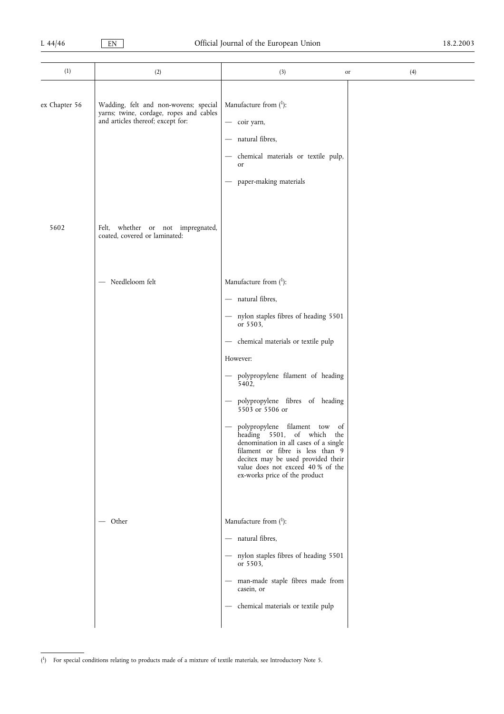| (1)           | (2)                                                                                                                   | (3)                                                                                                                                                                                                                                                                                                                                                                                                                                                                                                                     | (4)<br>or |
|---------------|-----------------------------------------------------------------------------------------------------------------------|-------------------------------------------------------------------------------------------------------------------------------------------------------------------------------------------------------------------------------------------------------------------------------------------------------------------------------------------------------------------------------------------------------------------------------------------------------------------------------------------------------------------------|-----------|
| ex Chapter 56 | Wadding, felt and non-wovens; special<br>yarns; twine, cordage, ropes and cables<br>and articles thereof; except for: | Manufacture from $(1)$ :<br>- coir yarn,<br>natural fibres,<br>chemical materials or textile pulp,<br>or<br>paper-making materials                                                                                                                                                                                                                                                                                                                                                                                      |           |
| 5602          | Felt, whether or not impregnated,<br>coated, covered or laminated:                                                    |                                                                                                                                                                                                                                                                                                                                                                                                                                                                                                                         |           |
|               | - Needleloom felt                                                                                                     | Manufacture from $(1)$ :<br>- natural fibres,<br>- nylon staples fibres of heading 5501<br>or 5503,<br>- chemical materials or textile pulp<br>However:<br>- polypropylene filament of heading<br>5402,<br>polypropylene fibres of heading<br>$5503$ or 5506 or<br>polypropylene filament tow of<br>heading 5501, of which the<br>denomination in all cases of a single<br>filament or fibre is less than 9<br>decitex may be used provided their<br>value does not exceed 40 % of the<br>ex-works price of the product |           |
|               | — Other                                                                                                               | Manufacture from $(1)$ :<br>- natural fibres,<br>- nylon staples fibres of heading 5501<br>or 5503,<br>man-made staple fibres made from<br>$\overline{\phantom{0}}$<br>casein, or<br>- chemical materials or textile pulp                                                                                                                                                                                                                                                                                               |           |

<sup>(</sup> 1) For special conditions relating to products made of a mixture of textile materials, see Introductory Note 5.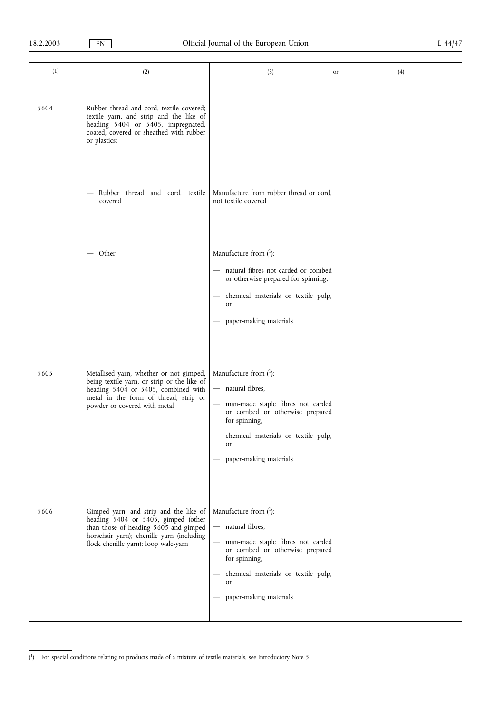| (1)  | (2)                                                                                                                                                                                                         | (3)                                                                                                                                                                                                                     | (4)<br>or |
|------|-------------------------------------------------------------------------------------------------------------------------------------------------------------------------------------------------------------|-------------------------------------------------------------------------------------------------------------------------------------------------------------------------------------------------------------------------|-----------|
| 5604 | Rubber thread and cord, textile covered;<br>textile yarn, and strip and the like of<br>heading 5404 or 5405, impregnated,<br>coated, covered or sheathed with rubber<br>or plastics:                        |                                                                                                                                                                                                                         |           |
|      | Rubber thread and cord, textile<br>covered                                                                                                                                                                  | Manufacture from rubber thread or cord,<br>not textile covered                                                                                                                                                          |           |
|      | — Other                                                                                                                                                                                                     | Manufacture from $(1)$ :<br>- natural fibres not carded or combed<br>or otherwise prepared for spinning,<br>chemical materials or textile pulp,<br>or<br>paper-making materials                                         |           |
| 5605 | Metallised yarn, whether or not gimped,<br>being textile yarn, or strip or the like of<br>heading 5404 or 5405, combined with<br>metal in the form of thread, strip or<br>powder or covered with metal      | Manufacture from $(^1)$ :<br>- natural fibres,<br>man-made staple fibres not carded<br>or combed or otherwise prepared<br>for spinning,<br>- chemical materials or textile pulp,<br><b>or</b><br>paper-making materials |           |
| 5606 | Gimped yarn, and strip and the like of<br>heading 5404 or 5405, gimped (other<br>than those of heading 5605 and gimped<br>horsehair yarn); chenille yarn (including<br>flock chenille yarn); loop wale-yarn | Manufacture from $(^1)$ :<br>- natural fibres,<br>man-made staple fibres not carded<br>or combed or otherwise prepared<br>for spinning,<br>chemical materials or textile pulp,<br>or<br>- paper-making materials        |           |

<sup>(</sup> 1) For special conditions relating to products made of a mixture of textile materials, see Introductory Note 5.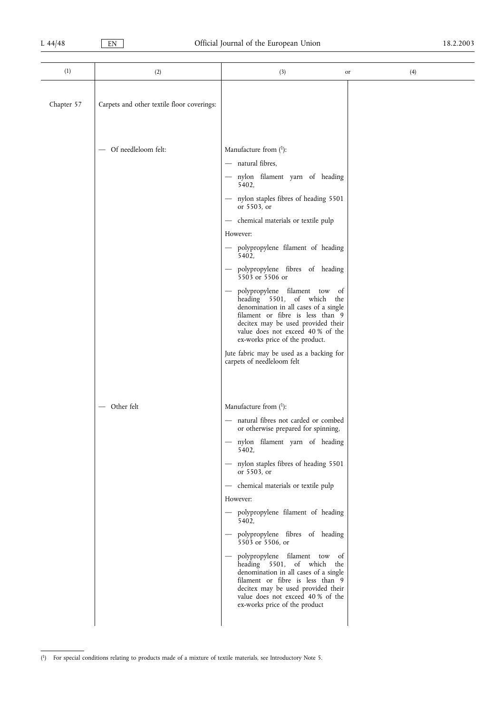| (1)        | (2)                                        | (3)                                                                                                                                                                                                                                                                                                                                                                                                                                                                                                                                                                                                                                                              | (4)<br>or |
|------------|--------------------------------------------|------------------------------------------------------------------------------------------------------------------------------------------------------------------------------------------------------------------------------------------------------------------------------------------------------------------------------------------------------------------------------------------------------------------------------------------------------------------------------------------------------------------------------------------------------------------------------------------------------------------------------------------------------------------|-----------|
| Chapter 57 | Carpets and other textile floor coverings: |                                                                                                                                                                                                                                                                                                                                                                                                                                                                                                                                                                                                                                                                  |           |
|            | - Of needleloom felt:                      | Manufacture from $(1)$ :<br>- natural fibres,<br>- nylon filament yarn of heading<br>5402,<br>- nylon staples fibres of heading 5501<br>or 5503, or<br>- chemical materials or textile pulp<br>However:<br>- polypropylene filament of heading<br>5402,<br>- polypropylene fibres of heading<br>5503 or 5506 or<br>polypropylene filament tow<br><sub>of</sub><br>heading 5501, of which the<br>denomination in all cases of a single<br>filament or fibre is less than 9<br>decitex may be used provided their<br>value does not exceed 40 % of the<br>ex-works price of the product.<br>Jute fabric may be used as a backing for<br>carpets of needleloom felt |           |
|            | - Other felt                               | Manufacture from $(1)$ :<br>- natural fibres not carded or combed<br>or otherwise prepared for spinning,<br>- nylon filament yarn of heading<br>5402,<br>- nylon staples fibres of heading 5501<br>or 5503, or<br>- chemical materials or textile pulp<br>However:<br>- polypropylene filament of heading<br>5402,<br>- polypropylene fibres of heading<br>5503 or 5506, or<br>- polypropylene filament tow of<br>heading 5501, of which the<br>denomination in all cases of a single<br>filament or fibre is less than 9<br>decitex may be used provided their<br>value does not exceed 40 % of the<br>ex-works price of the product                            |           |

<sup>(</sup> 1) For special conditions relating to products made of a mixture of textile materials, see Introductory Note 5.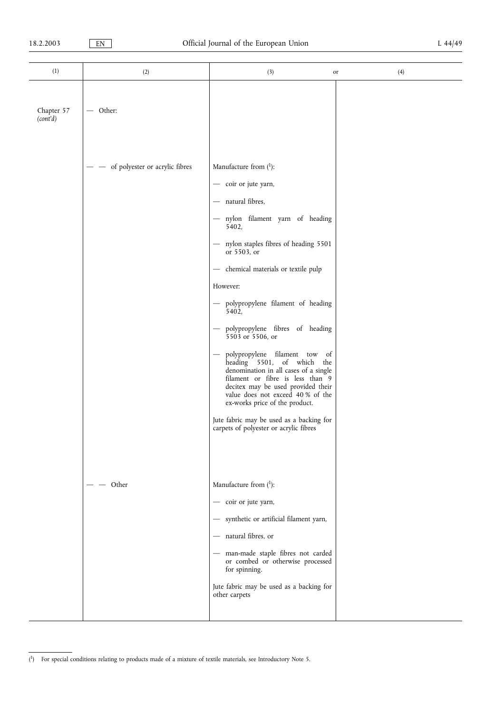| (1)                    | (2)                            | (3)                                                                                                                                                                                                                                                                                                                                                                                                                                                                                                                                                                                                                                                                                                                | (4)<br>or |
|------------------------|--------------------------------|--------------------------------------------------------------------------------------------------------------------------------------------------------------------------------------------------------------------------------------------------------------------------------------------------------------------------------------------------------------------------------------------------------------------------------------------------------------------------------------------------------------------------------------------------------------------------------------------------------------------------------------------------------------------------------------------------------------------|-----------|
| Chapter 57<br>(cont'd) | Other:                         |                                                                                                                                                                                                                                                                                                                                                                                                                                                                                                                                                                                                                                                                                                                    |           |
|                        | of polyester or acrylic fibres | Manufacture from $(1)$ :<br>- coir or jute yarn,<br>- natural fibres,<br>- nylon filament yarn of heading<br>5402,<br>- nylon staples fibres of heading 5501<br>or 5503, or<br>- chemical materials or textile pulp<br>However:<br>- polypropylene filament of heading<br>5402,<br>- polypropylene fibres of heading<br>5503 or 5506, or<br>polypropylene filament tow<br>of<br>$\qquad \qquad -$<br>heading 5501, of which<br>the<br>denomination in all cases of a single<br>filament or fibre is less than 9<br>decitex may be used provided their<br>value does not exceed 40 % of the<br>ex-works price of the product.<br>Jute fabric may be used as a backing for<br>carpets of polyester or acrylic fibres |           |
|                        | Other                          | Manufacture from $(^1)$ :<br>- coir or jute yarn,<br>- synthetic or artificial filament yarn,<br>- natural fibres, or<br>- man-made staple fibres not carded<br>or combed or otherwise processed<br>for spinning.<br>Jute fabric may be used as a backing for<br>other carpets                                                                                                                                                                                                                                                                                                                                                                                                                                     |           |

<sup>(</sup> 1) For special conditions relating to products made of a mixture of textile materials, see Introductory Note 5.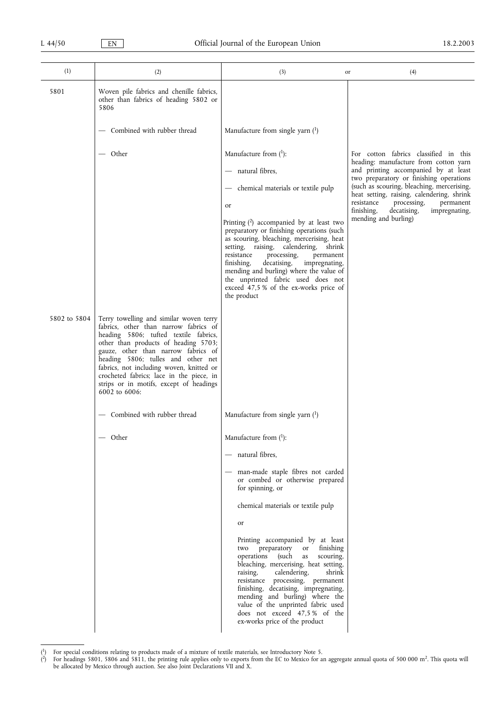| (1)          | (2)                                                                                                                                                                                                                                                                                                                                                                                                | (3)                                                                                                                                                                                                                                                                                                                                                                                                                                                                                                             | (4)<br>or                                                                                                                                                                                                                                                                                                                                                                     |
|--------------|----------------------------------------------------------------------------------------------------------------------------------------------------------------------------------------------------------------------------------------------------------------------------------------------------------------------------------------------------------------------------------------------------|-----------------------------------------------------------------------------------------------------------------------------------------------------------------------------------------------------------------------------------------------------------------------------------------------------------------------------------------------------------------------------------------------------------------------------------------------------------------------------------------------------------------|-------------------------------------------------------------------------------------------------------------------------------------------------------------------------------------------------------------------------------------------------------------------------------------------------------------------------------------------------------------------------------|
| 5801         | Woven pile fabrics and chenille fabrics,<br>other than fabrics of heading 5802 or<br>5806                                                                                                                                                                                                                                                                                                          |                                                                                                                                                                                                                                                                                                                                                                                                                                                                                                                 |                                                                                                                                                                                                                                                                                                                                                                               |
|              | — Combined with rubber thread                                                                                                                                                                                                                                                                                                                                                                      | Manufacture from single yarn $(1)$                                                                                                                                                                                                                                                                                                                                                                                                                                                                              |                                                                                                                                                                                                                                                                                                                                                                               |
|              | — Other                                                                                                                                                                                                                                                                                                                                                                                            | Manufacture from $(^1)$ :<br>- natural fibres,<br>- chemical materials or textile pulp<br>or<br>Printing $(2)$ accompanied by at least two<br>preparatory or finishing operations (such<br>as scouring, bleaching, mercerising, heat<br>setting, raising, calendering, shrink<br>resistance<br>processing,<br>permanent<br>finishing,<br>decatising,<br>impregnating,<br>mending and burling) where the value of<br>the unprinted fabric used does not<br>exceed 47,5 % of the ex-works price of<br>the product | For cotton fabrics classified in this<br>heading: manufacture from cotton yarn<br>and printing accompanied by at least<br>two preparatory or finishing operations<br>(such as scouring, bleaching, mercerising,<br>heat setting, raising, calendering, shrink<br>resistance<br>processing,<br>permanent<br>finishing,<br>decatising,<br>impregnating,<br>mending and burling) |
| 5802 to 5804 | Terry towelling and similar woven terry<br>fabrics, other than narrow fabrics of<br>heading 5806; tufted textile fabrics,<br>other than products of heading 5703;<br>gauze, other than narrow fabrics of<br>heading 5806; tulles and other net<br>fabrics, not including woven, knitted or<br>crocheted fabrics; lace in the piece, in<br>strips or in motifs, except of headings<br>6002 to 6006: |                                                                                                                                                                                                                                                                                                                                                                                                                                                                                                                 |                                                                                                                                                                                                                                                                                                                                                                               |
|              | - Combined with rubber thread                                                                                                                                                                                                                                                                                                                                                                      | Manufacture from single yarn $(1)$                                                                                                                                                                                                                                                                                                                                                                                                                                                                              |                                                                                                                                                                                                                                                                                                                                                                               |
|              | — Other                                                                                                                                                                                                                                                                                                                                                                                            | Manufacture from $(1)$ :                                                                                                                                                                                                                                                                                                                                                                                                                                                                                        |                                                                                                                                                                                                                                                                                                                                                                               |
|              |                                                                                                                                                                                                                                                                                                                                                                                                    | - natural fibres,                                                                                                                                                                                                                                                                                                                                                                                                                                                                                               |                                                                                                                                                                                                                                                                                                                                                                               |
|              |                                                                                                                                                                                                                                                                                                                                                                                                    | man-made staple fibres not carded<br>$\overbrace{\phantom{13333}}$<br>or combed or otherwise prepared<br>for spinning, or                                                                                                                                                                                                                                                                                                                                                                                       |                                                                                                                                                                                                                                                                                                                                                                               |
|              |                                                                                                                                                                                                                                                                                                                                                                                                    | chemical materials or textile pulp                                                                                                                                                                                                                                                                                                                                                                                                                                                                              |                                                                                                                                                                                                                                                                                                                                                                               |
|              |                                                                                                                                                                                                                                                                                                                                                                                                    | or                                                                                                                                                                                                                                                                                                                                                                                                                                                                                                              |                                                                                                                                                                                                                                                                                                                                                                               |
|              |                                                                                                                                                                                                                                                                                                                                                                                                    | Printing accompanied by at least<br>two preparatory<br>finishing<br>or<br>operations (such<br>scouring,<br>as<br>bleaching, mercerising, heat setting,<br>shrink<br>raising,<br>calendering,<br>resistance processing, permanent<br>finishing, decatising, impregnating,<br>mending and burling) where the<br>value of the unprinted fabric used<br>does not exceed 47,5% of the<br>ex-works price of the product                                                                                               |                                                                                                                                                                                                                                                                                                                                                                               |

<sup>(</sup> <sup>1</sup>) For special conditions relating to products made of a mixture of textile materials, see Introductory Note 5.

<sup>(</sup> <sup>2</sup>) For headings 5801, 5806 and 5811, the printing rule applies only to exports from the EC to Mexico for an aggregate annual quota of 500 000 m<sup>2</sup>. This quota will be allocated by Mexico through auction. See also Joint Declarations VII and X.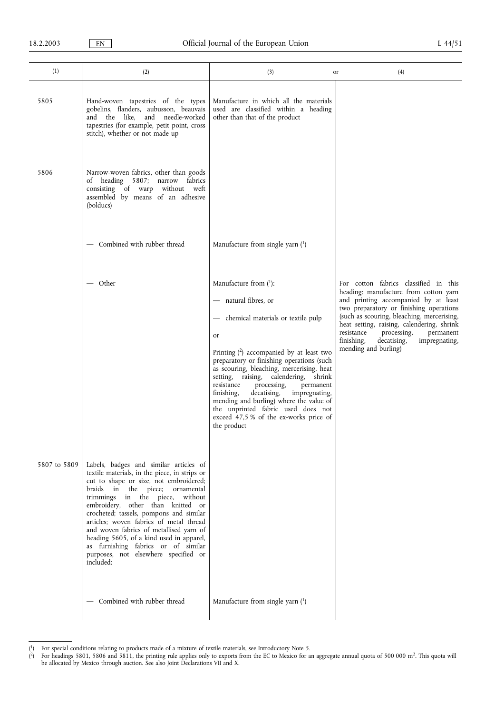| (1)          | (2)                                                                                                                                                                                                                                                                                                                                                                                                                                                                                                                      | (3)                                                                                                                                                                                                                                                                                                                                                                                                                                                                                                                | (4)<br>or                                                                                                                                                                                                                                                                                                                                                                     |
|--------------|--------------------------------------------------------------------------------------------------------------------------------------------------------------------------------------------------------------------------------------------------------------------------------------------------------------------------------------------------------------------------------------------------------------------------------------------------------------------------------------------------------------------------|--------------------------------------------------------------------------------------------------------------------------------------------------------------------------------------------------------------------------------------------------------------------------------------------------------------------------------------------------------------------------------------------------------------------------------------------------------------------------------------------------------------------|-------------------------------------------------------------------------------------------------------------------------------------------------------------------------------------------------------------------------------------------------------------------------------------------------------------------------------------------------------------------------------|
| 5805         | Hand-woven tapestries of the types<br>gobelins, flanders, aubusson, beauvais<br>and the like, and needle-worked<br>tapestries (for example, petit point, cross<br>stitch), whether or not made up                                                                                                                                                                                                                                                                                                                        | Manufacture in which all the materials<br>used are classified within a heading<br>other than that of the product                                                                                                                                                                                                                                                                                                                                                                                                   |                                                                                                                                                                                                                                                                                                                                                                               |
| 5806         | Narrow-woven fabrics, other than goods<br>of heading 5807; narrow fabrics<br>consisting of warp without weft<br>assembled by means of an adhesive<br>(bolducs)                                                                                                                                                                                                                                                                                                                                                           |                                                                                                                                                                                                                                                                                                                                                                                                                                                                                                                    |                                                                                                                                                                                                                                                                                                                                                                               |
|              | Combined with rubber thread                                                                                                                                                                                                                                                                                                                                                                                                                                                                                              | Manufacture from single yarn $(1)$                                                                                                                                                                                                                                                                                                                                                                                                                                                                                 |                                                                                                                                                                                                                                                                                                                                                                               |
|              | — Other                                                                                                                                                                                                                                                                                                                                                                                                                                                                                                                  | Manufacture from $(^1)$ :<br>- natural fibres, or<br>- chemical materials or textile pulp<br>or<br>Printing $(2)$ accompanied by at least two<br>preparatory or finishing operations (such<br>as scouring, bleaching, mercerising, heat<br>setting, raising, calendering, shrink<br>resistance<br>processing,<br>permanent<br>finishing,<br>decatising,<br>impregnating,<br>mending and burling) where the value of<br>the unprinted fabric used does not<br>exceed 47,5 % of the ex-works price of<br>the product | For cotton fabrics classified in this<br>heading: manufacture from cotton yarn<br>and printing accompanied by at least<br>two preparatory or finishing operations<br>(such as scouring, bleaching, mercerising,<br>heat setting, raising, calendering, shrink<br>resistance<br>processing,<br>permanent<br>decatising,<br>finishing,<br>impregnating,<br>mending and burling) |
| 5807 to 5809 | Labels, badges and similar articles of<br>textile materials, in the piece, in strips or<br>cut to shape or size, not embroidered;<br>braids in the piece; ornamental<br>trimmings in the piece,<br>without<br>embroidery, other than knitted or<br>crocheted; tassels, pompons and similar<br>articles; woven fabrics of metal thread<br>and woven fabrics of metallised yarn of<br>heading 5605, of a kind used in apparel,<br>as furnishing fabrics or of similar<br>purposes, not elsewhere specified or<br>included: |                                                                                                                                                                                                                                                                                                                                                                                                                                                                                                                    |                                                                                                                                                                                                                                                                                                                                                                               |
|              | - Combined with rubber thread                                                                                                                                                                                                                                                                                                                                                                                                                                                                                            | Manufacture from single yarn $(^1)$                                                                                                                                                                                                                                                                                                                                                                                                                                                                                |                                                                                                                                                                                                                                                                                                                                                                               |

<sup>(</sup> <sup>1</sup>) For special conditions relating to products made of a mixture of textile materials, see Introductory Note 5.

<sup>(</sup>  $^{2)}$  For headings 5801, 5806 and 5811, the printing rule applies only to exports from the EC to Mexico for an aggregate annual quota of 500 000 m<sup>2</sup>. This quota will be allocated by Mexico through auction. See also Joint Declarations VII and X.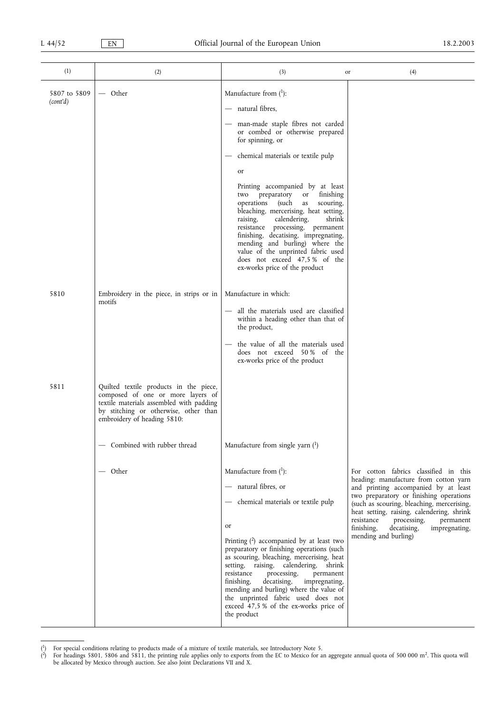| (1)          | (2)                                                                                                                                                                                             | (3)                                                                                                                                                                                                                                                                                                                                                                                                                                                                                                               | (4)<br>or                                                                                                                                                                                                                                                                                                                                                                     |
|--------------|-------------------------------------------------------------------------------------------------------------------------------------------------------------------------------------------------|-------------------------------------------------------------------------------------------------------------------------------------------------------------------------------------------------------------------------------------------------------------------------------------------------------------------------------------------------------------------------------------------------------------------------------------------------------------------------------------------------------------------|-------------------------------------------------------------------------------------------------------------------------------------------------------------------------------------------------------------------------------------------------------------------------------------------------------------------------------------------------------------------------------|
| 5807 to 5809 | — Other                                                                                                                                                                                         | Manufacture from $(1)$ :                                                                                                                                                                                                                                                                                                                                                                                                                                                                                          |                                                                                                                                                                                                                                                                                                                                                                               |
| (cont'd)     |                                                                                                                                                                                                 | - natural fibres,                                                                                                                                                                                                                                                                                                                                                                                                                                                                                                 |                                                                                                                                                                                                                                                                                                                                                                               |
|              |                                                                                                                                                                                                 | - man-made staple fibres not carded<br>or combed or otherwise prepared<br>for spinning, or                                                                                                                                                                                                                                                                                                                                                                                                                        |                                                                                                                                                                                                                                                                                                                                                                               |
|              |                                                                                                                                                                                                 | - chemical materials or textile pulp                                                                                                                                                                                                                                                                                                                                                                                                                                                                              |                                                                                                                                                                                                                                                                                                                                                                               |
|              |                                                                                                                                                                                                 | or                                                                                                                                                                                                                                                                                                                                                                                                                                                                                                                |                                                                                                                                                                                                                                                                                                                                                                               |
|              |                                                                                                                                                                                                 | Printing accompanied by at least<br>preparatory<br>finishing<br>or<br>two<br>operations<br>(such<br>scouring,<br>as<br>bleaching, mercerising, heat setting,<br>raising,<br>calendering,<br>shrink<br>resistance processing, permanent<br>finishing, decatising, impregnating,<br>mending and burling) where the<br>value of the unprinted fabric used<br>does not exceed 47,5% of the<br>ex-works price of the product                                                                                           |                                                                                                                                                                                                                                                                                                                                                                               |
| 5810         | Embroidery in the piece, in strips or in                                                                                                                                                        | Manufacture in which:                                                                                                                                                                                                                                                                                                                                                                                                                                                                                             |                                                                                                                                                                                                                                                                                                                                                                               |
|              | motifs                                                                                                                                                                                          | all the materials used are classified<br>within a heading other than that of<br>the product,<br>the value of all the materials used                                                                                                                                                                                                                                                                                                                                                                               |                                                                                                                                                                                                                                                                                                                                                                               |
|              |                                                                                                                                                                                                 | does not exceed 50% of the<br>ex-works price of the product                                                                                                                                                                                                                                                                                                                                                                                                                                                       |                                                                                                                                                                                                                                                                                                                                                                               |
| 5811         | Quilted textile products in the piece,<br>composed of one or more layers of<br>textile materials assembled with padding<br>by stitching or otherwise, other than<br>embroidery of heading 5810: |                                                                                                                                                                                                                                                                                                                                                                                                                                                                                                                   |                                                                                                                                                                                                                                                                                                                                                                               |
|              | Combined with rubber thread                                                                                                                                                                     | Manufacture from single yarn $(1)$                                                                                                                                                                                                                                                                                                                                                                                                                                                                                |                                                                                                                                                                                                                                                                                                                                                                               |
|              | — Other                                                                                                                                                                                         | Manufacture from $(1)$ :<br>- natural fibres, or<br>- chemical materials or textile pulp<br>or<br>Printing $(2)$ accompanied by at least two<br>preparatory or finishing operations (such<br>as scouring, bleaching, mercerising, heat<br>setting, raising, calendering, shrink<br>resistance<br>processing,<br>permanent<br>finishing,<br>decatising,<br>impregnating,<br>mending and burling) where the value of<br>the unprinted fabric used does not<br>exceed 47,5 % of the ex-works price of<br>the product | For cotton fabrics classified in this<br>heading: manufacture from cotton yarn<br>and printing accompanied by at least<br>two preparatory or finishing operations<br>(such as scouring, bleaching, mercerising,<br>heat setting, raising, calendering, shrink<br>resistance<br>processing,<br>permanent<br>finishing,<br>decatising,<br>impregnating,<br>mending and burling) |

<sup>(</sup> <sup>1</sup>) For special conditions relating to products made of a mixture of textile materials, see Introductory Note 5.

<sup>(</sup> <sup>2</sup>) For headings 5801, 5806 and 5811, the printing rule applies only to exports from the EC to Mexico for an aggregate annual quota of 500 000 m<sup>2</sup>. This quota will be allocated by Mexico through auction. See also Joint Declarations VII and X.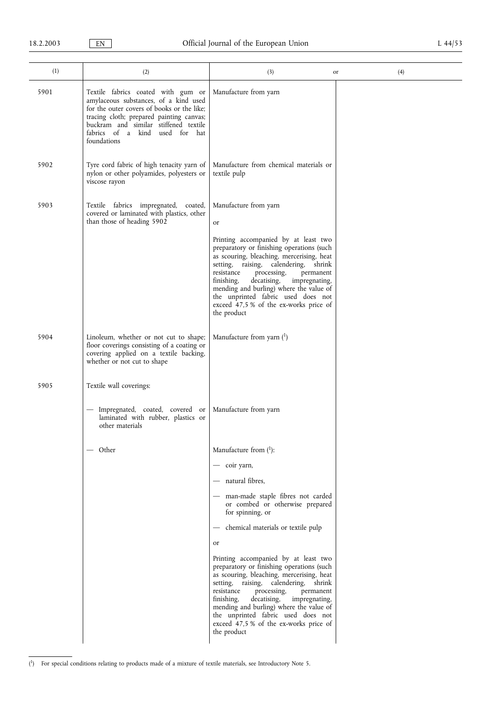| (1)  | (2)                                                                                                                                                                                                                                                             | (3)                                                                                                                                                                                                                                                                                                                                                                                                          | (4)<br>or |
|------|-----------------------------------------------------------------------------------------------------------------------------------------------------------------------------------------------------------------------------------------------------------------|--------------------------------------------------------------------------------------------------------------------------------------------------------------------------------------------------------------------------------------------------------------------------------------------------------------------------------------------------------------------------------------------------------------|-----------|
| 5901 | Textile fabrics coated with gum or<br>amylaceous substances, of a kind used<br>for the outer covers of books or the like;<br>tracing cloth; prepared painting canvas;<br>buckram and similar stiffened textile<br>fabrics of a kind used for hat<br>foundations | Manufacture from yarn                                                                                                                                                                                                                                                                                                                                                                                        |           |
| 5902 | Tyre cord fabric of high tenacity yarn of<br>nylon or other polyamides, polyesters or<br>viscose rayon                                                                                                                                                          | Manufacture from chemical materials or<br>textile pulp                                                                                                                                                                                                                                                                                                                                                       |           |
| 5903 | Textile fabrics impregnated, coated,<br>covered or laminated with plastics, other<br>than those of heading 5902                                                                                                                                                 | Manufacture from yarn<br>or                                                                                                                                                                                                                                                                                                                                                                                  |           |
|      |                                                                                                                                                                                                                                                                 | Printing accompanied by at least two<br>preparatory or finishing operations (such<br>as scouring, bleaching, mercerising, heat<br>setting, raising, calendering,<br>shrink<br>resistance<br>processing,<br>permanent<br>finishing,<br>decatising,<br>impregnating,<br>mending and burling) where the value of<br>the unprinted fabric used does not<br>exceed 47,5 % of the ex-works price of<br>the product |           |
| 5904 | Linoleum, whether or not cut to shape;<br>floor coverings consisting of a coating or<br>covering applied on a textile backing,<br>whether or not cut to shape                                                                                                   | Manufacture from yarn $(1)$                                                                                                                                                                                                                                                                                                                                                                                  |           |
| 5905 | Textile wall coverings:                                                                                                                                                                                                                                         |                                                                                                                                                                                                                                                                                                                                                                                                              |           |
|      | - Impregnated, coated, covered or<br>laminated with rubber, plastics or<br>other materials                                                                                                                                                                      | Manufacture from yarn                                                                                                                                                                                                                                                                                                                                                                                        |           |
|      | — Other                                                                                                                                                                                                                                                         | Manufacture from $(1)$ :                                                                                                                                                                                                                                                                                                                                                                                     |           |
|      |                                                                                                                                                                                                                                                                 | - coir yarn,                                                                                                                                                                                                                                                                                                                                                                                                 |           |
|      |                                                                                                                                                                                                                                                                 | - natural fibres,                                                                                                                                                                                                                                                                                                                                                                                            |           |
|      |                                                                                                                                                                                                                                                                 | - man-made staple fibres not carded<br>or combed or otherwise prepared<br>for spinning, or                                                                                                                                                                                                                                                                                                                   |           |
|      |                                                                                                                                                                                                                                                                 | chemical materials or textile pulp<br>$\overbrace{\phantom{13333}}$                                                                                                                                                                                                                                                                                                                                          |           |
|      |                                                                                                                                                                                                                                                                 | or                                                                                                                                                                                                                                                                                                                                                                                                           |           |
|      |                                                                                                                                                                                                                                                                 | Printing accompanied by at least two<br>preparatory or finishing operations (such<br>as scouring, bleaching, mercerising, heat<br>setting, raising, calendering, shrink<br>resistance<br>processing,<br>permanent<br>finishing,<br>decatising,<br>impregnating,<br>mending and burling) where the value of<br>the unprinted fabric used does not<br>exceed 47,5 % of the ex-works price of<br>the product    |           |

<sup>(</sup> 1) For special conditions relating to products made of a mixture of textile materials, see Introductory Note 5.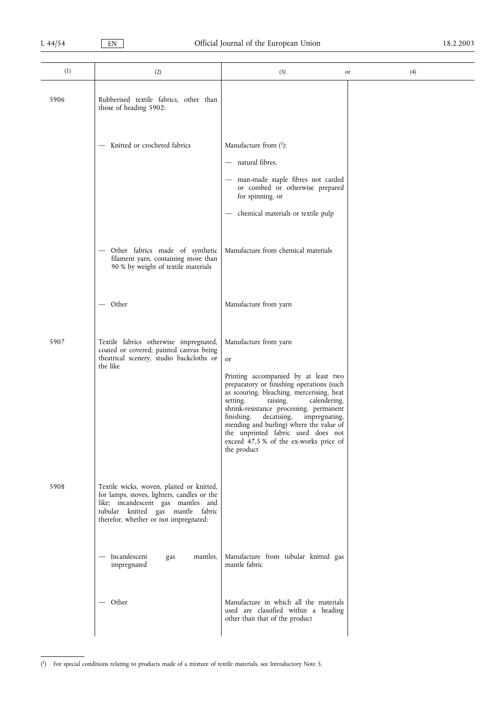| (1)  | (2)                                                                                                                                                                                                          | (3)                                                                                                                                                                                                                                                                                                                                                                                                                                      | (4)<br>or |
|------|--------------------------------------------------------------------------------------------------------------------------------------------------------------------------------------------------------------|------------------------------------------------------------------------------------------------------------------------------------------------------------------------------------------------------------------------------------------------------------------------------------------------------------------------------------------------------------------------------------------------------------------------------------------|-----------|
| 5906 | Rubberised textile fabrics, other than<br>those of heading 5902:                                                                                                                                             |                                                                                                                                                                                                                                                                                                                                                                                                                                          |           |
|      | - Knitted or crocheted fabrics                                                                                                                                                                               | Manufacture from $(1)$ :<br>- natural fibres,<br>man-made staple fibres not carded<br>or combed or otherwise prepared<br>for spinning, or<br>chemical materials or textile pulp                                                                                                                                                                                                                                                          |           |
|      | - Other fabrics made of synthetic<br>filament yarn, containing more than<br>90 % by weight of textile materials                                                                                              | Manufacture from chemical materials                                                                                                                                                                                                                                                                                                                                                                                                      |           |
|      | — Other                                                                                                                                                                                                      | Manufacture from yarn                                                                                                                                                                                                                                                                                                                                                                                                                    |           |
| 5907 | Textile fabrics otherwise impregnated,<br>coated or covered; painted canvas being<br>theatrical scenery, studio backcloths or<br>the like                                                                    | Manufacture from yarn<br>or<br>Printing accompanied by at least two<br>preparatory or finishing operations (such<br>as scouring, bleaching, mercerising, heat<br>setting,<br>raising,<br>calendering,<br>shrink-resistance processing, permanent<br>finishing,<br>decatising,<br>impregnating,<br>mending and burling) where the value of<br>the unprinted fabric used does not<br>exceed 47,5 % of the ex-works price of<br>the product |           |
| 5908 | Textile wicks, woven, plaited or knitted,<br>for lamps, stoves, lighters, candles or the<br>like; incandescent gas mantles and<br>tubular knitted gas mantle fabric<br>therefor, whether or not impregnated: |                                                                                                                                                                                                                                                                                                                                                                                                                                          |           |
|      | - Incandescent<br>gas<br>mantles,<br>impregnated                                                                                                                                                             | Manufacture from tubular knitted gas<br>mantle fabric                                                                                                                                                                                                                                                                                                                                                                                    |           |
|      | — Other                                                                                                                                                                                                      | Manufacture in which all the materials<br>used are classified within a heading<br>other than that of the product                                                                                                                                                                                                                                                                                                                         |           |

<sup>(</sup> 1) For special conditions relating to products made of a mixture of textile materials, see Introductory Note 5.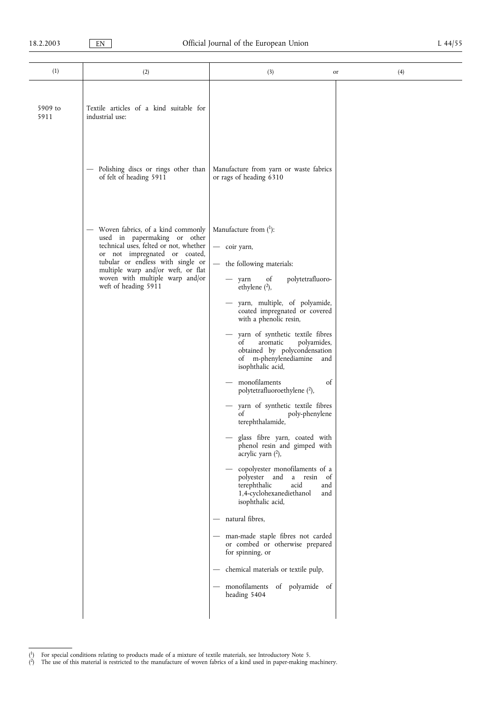| (1)             | (2)                                                                                                                                                                                                                                                                                  | (3)                                                                                                                                                                                                                                                                                                                                                                                                                                                                                                                                                                                                                                                                                                                                                                                                                                                                                                                                                                                                                   | (4)<br>or |
|-----------------|--------------------------------------------------------------------------------------------------------------------------------------------------------------------------------------------------------------------------------------------------------------------------------------|-----------------------------------------------------------------------------------------------------------------------------------------------------------------------------------------------------------------------------------------------------------------------------------------------------------------------------------------------------------------------------------------------------------------------------------------------------------------------------------------------------------------------------------------------------------------------------------------------------------------------------------------------------------------------------------------------------------------------------------------------------------------------------------------------------------------------------------------------------------------------------------------------------------------------------------------------------------------------------------------------------------------------|-----------|
| 5909 to<br>5911 | Textile articles of a kind suitable for<br>industrial use:                                                                                                                                                                                                                           |                                                                                                                                                                                                                                                                                                                                                                                                                                                                                                                                                                                                                                                                                                                                                                                                                                                                                                                                                                                                                       |           |
|                 | Polishing discs or rings other than<br>$\qquad \qquad -$<br>of felt of heading 5911                                                                                                                                                                                                  | Manufacture from yarn or waste fabrics<br>or rags of heading 6310                                                                                                                                                                                                                                                                                                                                                                                                                                                                                                                                                                                                                                                                                                                                                                                                                                                                                                                                                     |           |
|                 | - Woven fabrics, of a kind commonly<br>used in papermaking or other<br>technical uses, felted or not, whether<br>or not impregnated or coated,<br>tubular or endless with single or<br>multiple warp and/or weft, or flat<br>woven with multiple warp and/or<br>weft of heading 5911 | Manufacture from $(1)$ :<br>- coir yarn,<br>the following materials:<br>$\overline{\phantom{0}}$<br>polytetrafluoro-<br>of<br>$-$ yarn<br>ethylene $(2)$ ,<br>yarn, multiple, of polyamide,<br>coated impregnated or covered<br>with a phenolic resin,<br>yarn of synthetic textile fibres<br>of<br>aromatic<br>polyamides,<br>obtained by polycondensation<br>of m-phenylenediamine and<br>isophthalic acid,<br>monofilaments<br>of<br>polytetrafluoroethylene (2),<br>yarn of synthetic textile fibres<br>of<br>poly-phenylene<br>terephthalamide,<br>glass fibre yarn, coated with<br>phenol resin and gimped with<br>acrylic yarn $(2)$ ,<br>copolyester monofilaments of a<br>polyester and<br>a resin<br>of<br>terephthalic<br>acid<br>and<br>1,4-cyclohexanediethanol<br>and<br>isophthalic acid,<br>- natural fibres,<br>- man-made staple fibres not carded<br>or combed or otherwise prepared<br>for spinning, or<br>chemical materials or textile pulp,<br>- monofilaments of polyamide of<br>heading 5404 |           |

<sup>(</sup> 1) For special conditions relating to products made of a mixture of textile materials, see Introductory Note 5.

<sup>(</sup> 2) The use of this material is restricted to the manufacture of woven fabrics of a kind used in paper-making machinery.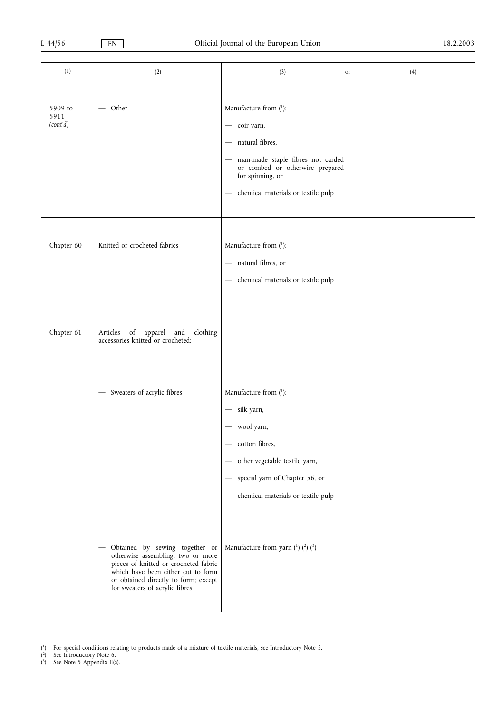| (1)                         | (2)                                                                                                                                                                                                                            | (3)<br>or                                                                                                                                                                                                                     | (4) |
|-----------------------------|--------------------------------------------------------------------------------------------------------------------------------------------------------------------------------------------------------------------------------|-------------------------------------------------------------------------------------------------------------------------------------------------------------------------------------------------------------------------------|-----|
| 5909 to<br>5911<br>(cont'd) | $-$ Other                                                                                                                                                                                                                      | Manufacture from $(1)$ :<br>- coir yarn,<br>- natural fibres,<br>- man-made staple fibres not carded<br>or combed or otherwise prepared<br>for spinning, or<br>chemical materials or textile pulp<br>$\overline{\phantom{0}}$ |     |
| Chapter 60                  | Knitted or crocheted fabrics                                                                                                                                                                                                   | Manufacture from $(1)$ :<br>natural fibres, or<br>- chemical materials or textile pulp                                                                                                                                        |     |
| Chapter 61                  | Articles of apparel and<br>accessories knitted or crocheted:<br>clothing                                                                                                                                                       |                                                                                                                                                                                                                               |     |
|                             | - Sweaters of acrylic fibres                                                                                                                                                                                                   | Manufacture from $(1)$ :<br>- silk yarn,<br>wool yarn,<br>- cotton fibres,<br>other vegetable textile yarn,<br>$\overbrace{\phantom{123331}}$<br>- special yarn of Chapter 56, or<br>- chemical materials or textile pulp     |     |
|                             | - Obtained by sewing together or<br>otherwise assembling, two or more<br>pieces of knitted or crocheted fabric<br>which have been either cut to form<br>or obtained directly to form; except<br>for sweaters of acrylic fibres | Manufacture from yarn $(1)$ $(2)$ $(3)$                                                                                                                                                                                       |     |

<sup>(</sup> 1) For special conditions relating to products made of a mixture of textile materials, see Introductory Note 5.

( 2) See Introductory Note 6.

<sup>(</sup> 3) See Note 5 Appendix II(a).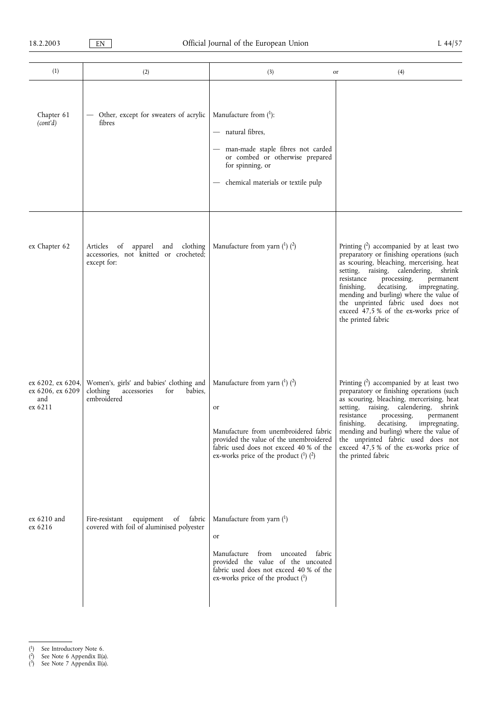| (1)                                                     | (2)                                                                                                  | (3)<br>or                                                                                                                                                                                                           | (4)                                                                                                                                                                                                                                                                                                                                                                                                                    |
|---------------------------------------------------------|------------------------------------------------------------------------------------------------------|---------------------------------------------------------------------------------------------------------------------------------------------------------------------------------------------------------------------|------------------------------------------------------------------------------------------------------------------------------------------------------------------------------------------------------------------------------------------------------------------------------------------------------------------------------------------------------------------------------------------------------------------------|
| Chapter 61<br>(cont'd)                                  | - Other, except for sweaters of acrylic<br>fibres                                                    | Manufacture from $(1)$ :<br>- natural fibres,<br>man-made staple fibres not carded<br>or combed or otherwise prepared<br>for spinning, or<br>- chemical materials or textile pulp                                   |                                                                                                                                                                                                                                                                                                                                                                                                                        |
| ex Chapter 62                                           | apparel and clothing<br>Articles<br>of<br>accessories, not knitted or crocheted;<br>except for:      | Manufacture from yarn $(1)$ $(2)$                                                                                                                                                                                   | Printing $(2)$ accompanied by at least two<br>preparatory or finishing operations (such<br>as scouring, bleaching, mercerising, heat<br>setting, raising, calendering, shrink<br>resistance<br>processing,<br>permanent<br>decatising,<br>finishing,<br>impregnating,<br>mending and burling) where the value of<br>the unprinted fabric used does not<br>exceed 47,5 % of the ex-works price of<br>the printed fabric |
| ex 6202, ex 6204,<br>ex 6206, ex 6209<br>and<br>ex 6211 | Women's, girls' and babies' clothing and<br>for<br>clothing<br>accessories<br>babies,<br>embroidered | Manufacture from yarn $(1)$ $(2)$<br>or<br>Manufacture from unembroidered fabric<br>provided the value of the unembroidered<br>fabric used does not exceed 40 % of the<br>ex-works price of the product $(1)$ $(2)$ | Printing $(2)$ accompanied by at least two<br>preparatory or finishing operations (such<br>as scouring, bleaching, mercerising, heat<br>setting, raising, calendering, shrink<br>resistance<br>processing,<br>permanent<br>finishing,<br>decatising,<br>impregnating,<br>mending and burling) where the value of<br>the unprinted fabric used does not<br>exceed 47,5 % of the ex-works price of<br>the printed fabric |
| $ex~6210$ and<br>ex 6216                                | Fire-resistant<br>equipment of fabric<br>covered with foil of aluminised polyester                   | Manufacture from yarn $(1)$<br>or<br>Manufacture from uncoated<br>fabric<br>provided the value of the uncoated<br>fabric used does not exceed 40 % of the<br>ex-works price of the product $(1)$                    |                                                                                                                                                                                                                                                                                                                                                                                                                        |

- ( 2) See Note 6 Appendix II(a).
- ( 3) See Note 7 Appendix II(a).

<sup>(</sup> 1) See Introductory Note 6.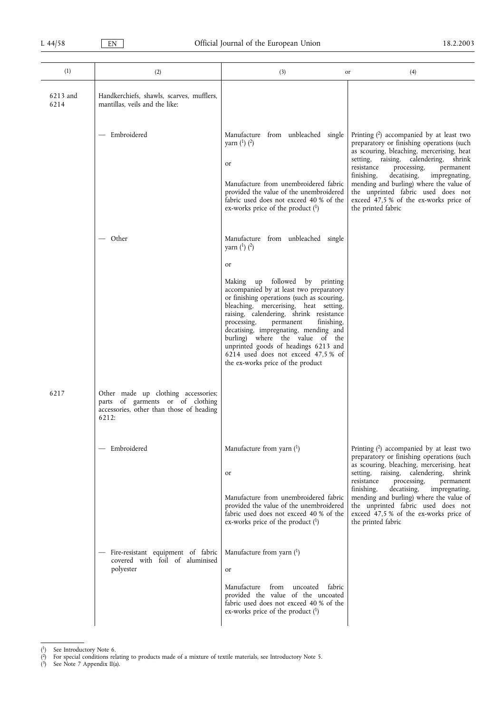| (1)              | (2)                                                                                                                          | (3)                                                                                                                                                                                                                                                                                                                                                                                                                                                                                                                         | (4)<br>or                                                                                                                                                                                                                                                                                                                                                                                                              |
|------------------|------------------------------------------------------------------------------------------------------------------------------|-----------------------------------------------------------------------------------------------------------------------------------------------------------------------------------------------------------------------------------------------------------------------------------------------------------------------------------------------------------------------------------------------------------------------------------------------------------------------------------------------------------------------------|------------------------------------------------------------------------------------------------------------------------------------------------------------------------------------------------------------------------------------------------------------------------------------------------------------------------------------------------------------------------------------------------------------------------|
| 6213 and<br>6214 | Handkerchiefs, shawls, scarves, mufflers,<br>mantillas, veils and the like:                                                  |                                                                                                                                                                                                                                                                                                                                                                                                                                                                                                                             |                                                                                                                                                                                                                                                                                                                                                                                                                        |
|                  | — Embroidered                                                                                                                | Manufacture from unbleached single<br>yarn $(^{1})$ $(^{2})$<br>or<br>Manufacture from unembroidered fabric<br>provided the value of the unembroidered<br>fabric used does not exceed 40 % of the<br>ex-works price of the product $(1)$                                                                                                                                                                                                                                                                                    | Printing $(2)$ accompanied by at least two<br>preparatory or finishing operations (such<br>as scouring, bleaching, mercerising, heat<br>setting, raising, calendering, shrink<br>resistance<br>processing,<br>permanent<br>finishing,<br>decatising,<br>impregnating,<br>mending and burling) where the value of<br>the unprinted fabric used does not<br>exceed 47,5 % of the ex-works price of<br>the printed fabric |
|                  | — Other                                                                                                                      | Manufacture from unbleached single<br>yarn $(^{1})$ $(^{2})$<br>or<br>Making up followed by printing<br>accompanied by at least two preparatory<br>or finishing operations (such as scouring,<br>bleaching, mercerising, heat setting,<br>raising, calendering, shrink resistance<br>processing,<br>permanent<br>finishing,<br>decatising, impregnating, mending and<br>burling) where the value of the<br>unprinted goods of headings 6213 and<br>6214 used does not exceed 47,5 % of<br>the ex-works price of the product |                                                                                                                                                                                                                                                                                                                                                                                                                        |
| 6217             | Other made up clothing accessories;<br>parts of garments or of clothing<br>accessories, other than those of heading<br>6212: |                                                                                                                                                                                                                                                                                                                                                                                                                                                                                                                             |                                                                                                                                                                                                                                                                                                                                                                                                                        |
|                  | Embroidered                                                                                                                  | Manufacture from yarn $(1)$<br>or<br>Manufacture from unembroidered fabric<br>provided the value of the unembroidered<br>fabric used does not exceed 40 % of the<br>ex-works price of the product $(1)$                                                                                                                                                                                                                                                                                                                     | Printing $(2)$ accompanied by at least two<br>preparatory or finishing operations (such<br>as scouring, bleaching, mercerising, heat<br>setting, raising, calendering, shrink<br>resistance<br>processing,<br>permanent<br>finishing,<br>decatising,<br>impregnating,<br>mending and burling) where the value of<br>the unprinted fabric used does not<br>exceed 47,5 % of the ex-works price of<br>the printed fabric |
|                  | Fire-resistant equipment of fabric<br>covered with foil of aluminised<br>polyester                                           | Manufacture from yarn $(1)$<br>or<br>Manufacture from uncoated<br>fabric<br>provided the value of the uncoated<br>fabric used does not exceed 40 % of the<br>ex-works price of the product (1)                                                                                                                                                                                                                                                                                                                              |                                                                                                                                                                                                                                                                                                                                                                                                                        |

<sup>(</sup> 1) See Introductory Note 6.

( 3) See Note 7 Appendix II(a).

<sup>(</sup> 2) For special conditions relating to products made of a mixture of textile materials, see Introductory Note 5.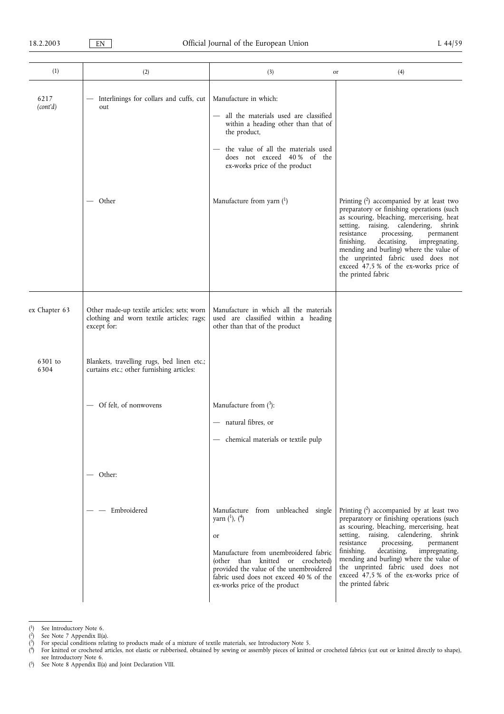| (1)              | (2)                                                                                                    | (3)                                                                                                                                                                                                                                                                   | (4)<br>or                                                                                                                                                                                                                                                                                                                                                                                                              |
|------------------|--------------------------------------------------------------------------------------------------------|-----------------------------------------------------------------------------------------------------------------------------------------------------------------------------------------------------------------------------------------------------------------------|------------------------------------------------------------------------------------------------------------------------------------------------------------------------------------------------------------------------------------------------------------------------------------------------------------------------------------------------------------------------------------------------------------------------|
| 6217<br>(cont'd) | Interlinings for collars and cuffs, cut<br>out                                                         | Manufacture in which:<br>- all the materials used are classified<br>within a heading other than that of<br>the product,<br>the value of all the materials used<br>does not exceed 40% of the<br>ex-works price of the product                                         |                                                                                                                                                                                                                                                                                                                                                                                                                        |
|                  | Other                                                                                                  | Manufacture from yarn $(1)$                                                                                                                                                                                                                                           | Printing $(2)$ accompanied by at least two<br>preparatory or finishing operations (such<br>as scouring, bleaching, mercerising, heat<br>setting, raising, calendering, shrink<br>resistance<br>processing,<br>permanent<br>decatising,<br>finishing,<br>impregnating,<br>mending and burling) where the value of<br>the unprinted fabric used does not<br>exceed 47,5 % of the ex-works price of<br>the printed fabric |
| ex Chapter 63    | Other made-up textile articles; sets; worn<br>clothing and worn textile articles; rags;<br>except for: | Manufacture in which all the materials<br>used are classified within a heading<br>other than that of the product                                                                                                                                                      |                                                                                                                                                                                                                                                                                                                                                                                                                        |
| 6301 to<br>6304  | Blankets, travelling rugs, bed linen etc.;<br>curtains etc.; other furnishing articles:                |                                                                                                                                                                                                                                                                       |                                                                                                                                                                                                                                                                                                                                                                                                                        |
|                  | - Of felt, of nonwovens<br>— Other:                                                                    | Manufacture from $(^3)$ :<br>- natural fibres, or<br>- chemical materials or textile pulp                                                                                                                                                                             |                                                                                                                                                                                                                                                                                                                                                                                                                        |
|                  | Embroidered                                                                                            | Manufacture from unbleached single<br>yarn $(^1)$ , $(^4)$<br>or<br>Manufacture from unembroidered fabric<br>(other than knitted or crocheted)<br>provided the value of the unembroidered<br>fabric used does not exceed 40 % of the<br>ex-works price of the product | Printing $(2)$ accompanied by at least two<br>preparatory or finishing operations (such<br>as scouring, bleaching, mercerising, heat<br>setting, raising, calendering, shrink<br>resistance<br>processing,<br>permanent<br>decatising,<br>finishing,<br>impregnating,<br>mending and burling) where the value of<br>the unprinted fabric used does not<br>exceed 47,5 % of the ex-works price of<br>the printed fabric |

<sup>(</sup> 1) See Introductory Note 6.

( 2) See Note 7 Appendix II(a).

<sup>(</sup> 3) For special conditions relating to products made of a mixture of textile materials, see Introductory Note 5.

<sup>(</sup> 4) For knitted or crocheted articles, not elastic or rubberised, obtained by sewing or assembly pieces of knitted or crocheted fabrics (cut out or knitted directly to shape), see Introductory Note 6.

<sup>(</sup> 5) See Note 8 Appendix II(a) and Joint Declaration VIII.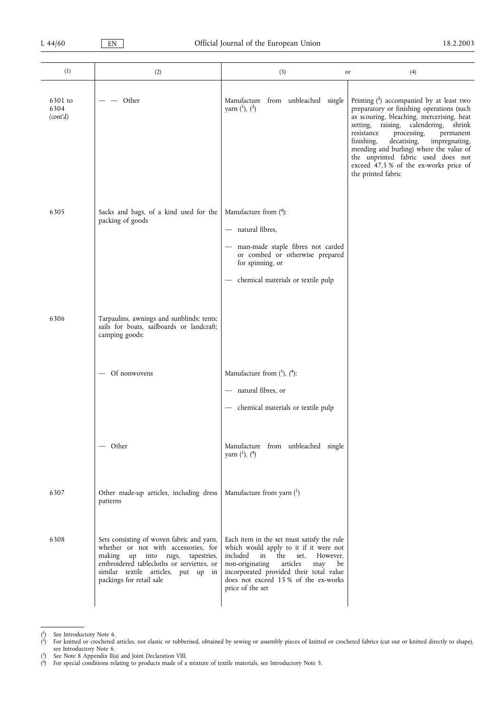| (1)                         | (2)                                                                                                                                                                                                                                      | (3)                                                                                                                                                                                                                                                                              | (4)<br>or                                                                                                                                                                                                                                                                                                                                                                                                              |
|-----------------------------|------------------------------------------------------------------------------------------------------------------------------------------------------------------------------------------------------------------------------------------|----------------------------------------------------------------------------------------------------------------------------------------------------------------------------------------------------------------------------------------------------------------------------------|------------------------------------------------------------------------------------------------------------------------------------------------------------------------------------------------------------------------------------------------------------------------------------------------------------------------------------------------------------------------------------------------------------------------|
| 6301 to<br>6304<br>(cont'd) | — Other                                                                                                                                                                                                                                  | Manufacture from unbleached single<br>yarn $(^1)$ , $(^2)$                                                                                                                                                                                                                       | Printing $(2)$ accompanied by at least two<br>preparatory or finishing operations (such<br>as scouring, bleaching, mercerising, heat<br>setting, raising, calendering, shrink<br>resistance<br>processing,<br>permanent<br>finishing,<br>decatising,<br>impregnating,<br>mending and burling) where the value of<br>the unprinted fabric used does not<br>exceed 47,5 % of the ex-works price of<br>the printed fabric |
| 6305                        | Sacks and bags, of a kind used for the<br>packing of goods                                                                                                                                                                               | Manufacture from (4):<br>- natural fibres,<br>man-made staple fibres not carded<br>or combed or otherwise prepared<br>for spinning, or<br>chemical materials or textile pulp                                                                                                     |                                                                                                                                                                                                                                                                                                                                                                                                                        |
| 6306                        | Tarpaulins, awnings and sunblinds; tents;<br>sails for boats, sailboards or landcraft;<br>camping goods:                                                                                                                                 |                                                                                                                                                                                                                                                                                  |                                                                                                                                                                                                                                                                                                                                                                                                                        |
|                             | Of nonwovens                                                                                                                                                                                                                             | Manufacture from $(1)$ , $(4)$ :<br>- natural fibres, or<br>- chemical materials or textile pulp                                                                                                                                                                                 |                                                                                                                                                                                                                                                                                                                                                                                                                        |
|                             | — Other                                                                                                                                                                                                                                  | Manufacture from unbleached single<br>yarn $(^1)$ , $(^4)$                                                                                                                                                                                                                       |                                                                                                                                                                                                                                                                                                                                                                                                                        |
| 6307                        | Other made-up articles, including dress<br>patterns                                                                                                                                                                                      | Manufacture from yarn $(^1)$                                                                                                                                                                                                                                                     |                                                                                                                                                                                                                                                                                                                                                                                                                        |
| 6308                        | Sets consisting of woven fabric and yarn,<br>whether or not with accessories, for<br>making up into rugs,<br>tapestries,<br>embroidered tablecloths or serviettes, or<br>similar textile articles, put up in<br>packings for retail sale | Each item in the set must satisfy the rule<br>which would apply to it if it were not<br>in the<br>included<br>set.<br>However,<br>non-originating<br>articles<br>may<br>be<br>incorporated provided their total value<br>does not exceed 15% of the ex-works<br>price of the set |                                                                                                                                                                                                                                                                                                                                                                                                                        |

<sup>(</sup> 1) See Introductory Note 6.

<sup>(</sup> 2) For knitted or crocheted articles, not elastic or rubberised, obtained by sewing or assembly pieces of knitted or crocheted fabrics (cut out or knitted directly to shape), see Introductory Note 6.

<sup>(</sup> 3) See Note 8 Appendix II(a) and Joint Declaration VIII.

<sup>(</sup> 4) For special conditions relating to products made of a mixture of textile materials, see Introductory Note 5.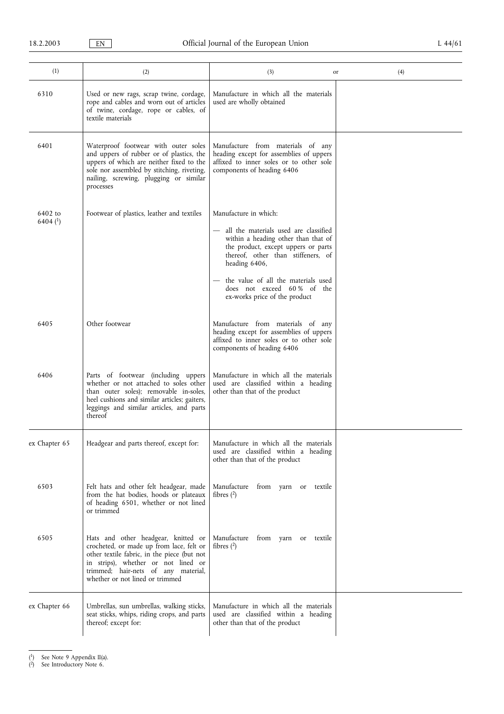| (1)                               | (2)                                                                                                                                                                                                                                             | (3)                                                                                                                                                                                                                                                                                                         | (4)<br>or |
|-----------------------------------|-------------------------------------------------------------------------------------------------------------------------------------------------------------------------------------------------------------------------------------------------|-------------------------------------------------------------------------------------------------------------------------------------------------------------------------------------------------------------------------------------------------------------------------------------------------------------|-----------|
| 6310                              | Used or new rags, scrap twine, cordage,<br>rope and cables and worn out of articles<br>of twine, cordage, rope or cables, of<br>textile materials                                                                                               | Manufacture in which all the materials<br>used are wholly obtained                                                                                                                                                                                                                                          |           |
| 6401                              | Waterproof footwear with outer soles<br>and uppers of rubber or of plastics, the<br>uppers of which are neither fixed to the<br>sole nor assembled by stitching, riveting,<br>nailing, screwing, plugging or similar<br>processes               | Manufacture from materials of any<br>heading except for assemblies of uppers<br>affixed to inner soles or to other sole<br>components of heading 6406                                                                                                                                                       |           |
| 6402 to<br>$6404$ <sup>(1</sup> ) | Footwear of plastics, leather and textiles                                                                                                                                                                                                      | Manufacture in which:<br>- all the materials used are classified<br>within a heading other than that of<br>the product, except uppers or parts<br>thereof, other than stiffeners, of<br>heading 6406,<br>the value of all the materials used<br>does not exceed 60% of the<br>ex-works price of the product |           |
| 6405                              | Other footwear                                                                                                                                                                                                                                  | Manufacture from materials of any<br>heading except for assemblies of uppers<br>affixed to inner soles or to other sole<br>components of heading 6406                                                                                                                                                       |           |
| 6406                              | Parts of footwear (including uppers<br>whether or not attached to soles other<br>than outer soles); removable in-soles,<br>heel cushions and similar articles; gaiters,<br>leggings and similar articles, and parts<br>thereof                  | Manufacture in which all the materials<br>used are classified within a heading<br>other than that of the product                                                                                                                                                                                            |           |
| ex Chapter 65                     | Headgear and parts thereof, except for:                                                                                                                                                                                                         | Manufacture in which all the materials<br>used are classified within a heading<br>other than that of the product                                                                                                                                                                                            |           |
| 6503                              | Felt hats and other felt headgear, made<br>from the hat bodies, hoods or plateaux<br>of heading 6501, whether or not lined<br>or trimmed                                                                                                        | Manufacture from yarn or textile<br>fibres $(2)$                                                                                                                                                                                                                                                            |           |
| 6505                              | Hats and other headgear, knitted or<br>crocheted, or made up from lace, felt or<br>other textile fabric, in the piece (but not<br>in strips), whether or not lined or<br>trimmed; hair-nets of any material,<br>whether or not lined or trimmed | Manufacture from yarn or textile<br>fibres $(2)$                                                                                                                                                                                                                                                            |           |
| ex Chapter 66                     | Umbrellas, sun umbrellas, walking sticks,<br>seat sticks, whips, riding crops, and parts<br>thereof; except for:                                                                                                                                | Manufacture in which all the materials<br>used are classified within a heading<br>other than that of the product                                                                                                                                                                                            |           |

<sup>(</sup> 1) See Note 9 Appendix II(a).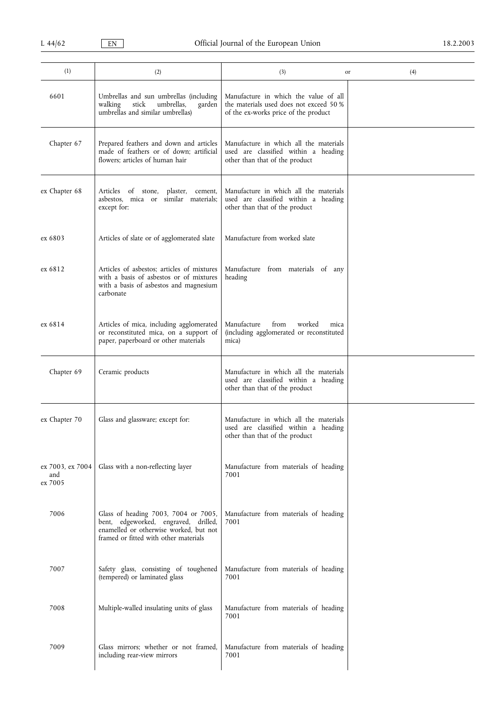| (1)                                | (2)                                                                                                                                                             | (3)                                                                                                                      | (4)<br>or |
|------------------------------------|-----------------------------------------------------------------------------------------------------------------------------------------------------------------|--------------------------------------------------------------------------------------------------------------------------|-----------|
| 6601                               | Umbrellas and sun umbrellas (including<br>stick<br>umbrellas,<br>walking<br>garden<br>umbrellas and similar umbrellas)                                          | Manufacture in which the value of all<br>the materials used does not exceed 50 %<br>of the ex-works price of the product |           |
| Chapter 67                         | Prepared feathers and down and articles<br>made of feathers or of down; artificial<br>flowers; articles of human hair                                           | Manufacture in which all the materials<br>used are classified within a heading<br>other than that of the product         |           |
| ex Chapter 68                      | Articles of stone,<br>plaster,<br>cement,<br>asbestos, mica or similar materials;<br>except for:                                                                | Manufacture in which all the materials<br>used are classified within a heading<br>other than that of the product         |           |
| ex 6803                            | Articles of slate or of agglomerated slate                                                                                                                      | Manufacture from worked slate                                                                                            |           |
| ex 6812                            | Articles of asbestos; articles of mixtures<br>with a basis of asbestos or of mixtures<br>with a basis of asbestos and magnesium<br>carbonate                    | Manufacture from materials of any<br>heading                                                                             |           |
| ex 6814                            | Articles of mica, including agglomerated<br>or reconstituted mica, on a support of<br>paper, paperboard or other materials                                      | Manufacture<br>from<br>worked<br>mica<br>(including agglomerated or reconstituted<br>mica)                               |           |
| Chapter 69                         | Ceramic products                                                                                                                                                | Manufacture in which all the materials<br>used are classified within a heading<br>other than that of the product         |           |
| ex Chapter 70                      | Glass and glassware; except for:                                                                                                                                | Manufacture in which all the materials<br>used are classified within a heading<br>other than that of the product         |           |
| ex 7003, ex 7004<br>and<br>ex 7005 | Glass with a non-reflecting layer                                                                                                                               | Manufacture from materials of heading<br>7001                                                                            |           |
| 7006                               | Glass of heading 7003, 7004 or 7005,<br>bent, edgeworked, engraved, drilled,<br>enamelled or otherwise worked, but not<br>framed or fitted with other materials | Manufacture from materials of heading<br>7001                                                                            |           |
| 7007                               | Safety glass, consisting of toughened<br>(tempered) or laminated glass                                                                                          | Manufacture from materials of heading<br>7001                                                                            |           |
| 7008                               | Multiple-walled insulating units of glass                                                                                                                       | Manufacture from materials of heading<br>7001                                                                            |           |
| 7009                               | Glass mirrors; whether or not framed,<br>including rear-view mirrors                                                                                            | Manufacture from materials of heading<br>7001                                                                            |           |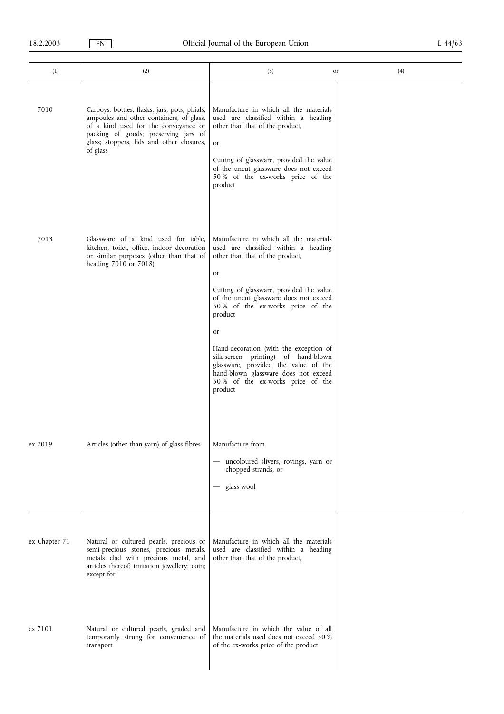| (1)           | (2)                                                                                                                                                                                                                                | (3)                                                                                                                                                                                                                                                                                                                                                                                                                                                                                  | (4)<br>or |
|---------------|------------------------------------------------------------------------------------------------------------------------------------------------------------------------------------------------------------------------------------|--------------------------------------------------------------------------------------------------------------------------------------------------------------------------------------------------------------------------------------------------------------------------------------------------------------------------------------------------------------------------------------------------------------------------------------------------------------------------------------|-----------|
| 7010          | Carboys, bottles, flasks, jars, pots, phials,<br>ampoules and other containers, of glass,<br>of a kind used for the conveyance or<br>packing of goods; preserving jars of<br>glass; stoppers, lids and other closures,<br>of glass | Manufacture in which all the materials<br>used are classified within a heading<br>other than that of the product,<br><sub>or</sub><br>Cutting of glassware, provided the value<br>of the uncut glassware does not exceed<br>50 % of the ex-works price of the<br>product                                                                                                                                                                                                             |           |
| 7013          | Glassware of a kind used for table,<br>kitchen, toilet, office, indoor decoration<br>or similar purposes (other than that of<br>heading 7010 or 7018)                                                                              | Manufacture in which all the materials<br>used are classified within a heading<br>other than that of the product,<br>or<br>Cutting of glassware, provided the value<br>of the uncut glassware does not exceed<br>50 % of the ex-works price of the<br>product<br>or<br>Hand-decoration (with the exception of<br>silk-screen printing) of hand-blown<br>glassware, provided the value of the<br>hand-blown glassware does not exceed<br>50 % of the ex-works price of the<br>product |           |
| ex 7019       | Articles (other than yarn) of glass fibres                                                                                                                                                                                         | Manufacture from<br>- uncoloured slivers, rovings, yarn or<br>chopped strands, or<br>- glass wool                                                                                                                                                                                                                                                                                                                                                                                    |           |
| ex Chapter 71 | Natural or cultured pearls, precious or<br>semi-precious stones, precious metals,<br>metals clad with precious metal, and<br>articles thereof; imitation jewellery; coin;<br>except for:                                           | Manufacture in which all the materials<br>used are classified within a heading<br>other than that of the product,                                                                                                                                                                                                                                                                                                                                                                    |           |
| ex 7101       | Natural or cultured pearls, graded and<br>temporarily strung for convenience of<br>transport                                                                                                                                       | Manufacture in which the value of all<br>the materials used does not exceed 50 %<br>of the ex-works price of the product                                                                                                                                                                                                                                                                                                                                                             |           |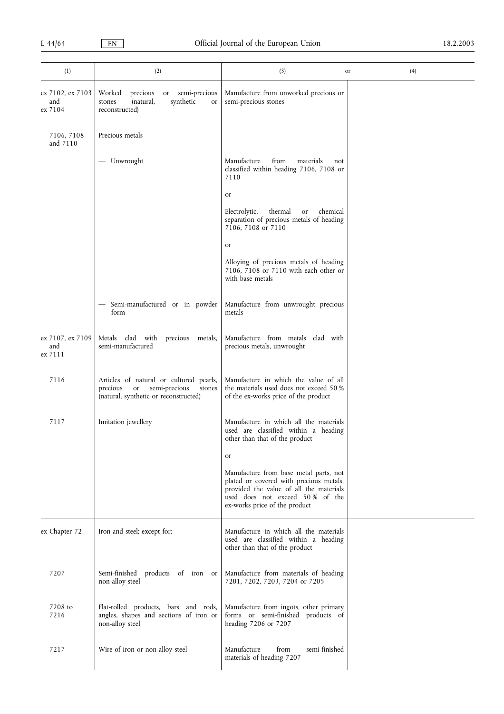| (1)                                | (2)                                                                                                                              | (3)                                                                                                                                                                                              | (4)<br>or |
|------------------------------------|----------------------------------------------------------------------------------------------------------------------------------|--------------------------------------------------------------------------------------------------------------------------------------------------------------------------------------------------|-----------|
| ex 7102, ex 7103<br>and<br>ex 7104 | Worked<br>precious<br>or semi-precious<br>synthetic<br>(natural,<br>stones<br>or<br>reconstructed)                               | Manufacture from unworked precious or<br>semi-precious stones                                                                                                                                    |           |
| 7106, 7108<br>and 7110             | Precious metals                                                                                                                  |                                                                                                                                                                                                  |           |
|                                    | - Unwrought                                                                                                                      | Manufacture<br>from<br>materials<br>not<br>classified within heading 7106, 7108 or<br>7110                                                                                                       |           |
|                                    |                                                                                                                                  | or                                                                                                                                                                                               |           |
|                                    |                                                                                                                                  | Electrolytic,<br>chemical<br>thermal<br>or<br>separation of precious metals of heading<br>7106, 7108 or 7110                                                                                     |           |
|                                    |                                                                                                                                  | or                                                                                                                                                                                               |           |
|                                    |                                                                                                                                  | Alloying of precious metals of heading<br>7106, 7108 or 7110 with each other or<br>with base metals                                                                                              |           |
|                                    | Semi-manufactured or in powder<br>form                                                                                           | Manufacture from unwrought precious<br>metals                                                                                                                                                    |           |
| ex 7107, ex 7109<br>and<br>ex 7111 | Metals clad with precious metals,<br>semi-manufactured                                                                           | Manufacture from metals clad with<br>precious metals, unwrought                                                                                                                                  |           |
| 7116                               | Articles of natural or cultured pearls,<br>semi-precious<br>precious<br>or or<br>stones<br>(natural, synthetic or reconstructed) | Manufacture in which the value of all<br>the materials used does not exceed 50 %<br>of the ex-works price of the product                                                                         |           |
| 7117                               | Imitation jewellery                                                                                                              | Manufacture in which all the materials<br>used are classified within a heading<br>other than that of the product                                                                                 |           |
|                                    |                                                                                                                                  | or                                                                                                                                                                                               |           |
|                                    |                                                                                                                                  | Manufacture from base metal parts, not<br>plated or covered with precious metals,<br>provided the value of all the materials<br>used does not exceed 50% of the<br>ex-works price of the product |           |
| ex Chapter 72                      | Iron and steel; except for:                                                                                                      | Manufacture in which all the materials<br>used are classified within a heading<br>other than that of the product                                                                                 |           |
| 7207                               | Semi-finished products of iron or<br>non-alloy steel                                                                             | Manufacture from materials of heading<br>7201, 7202, 7203, 7204 or 7205                                                                                                                          |           |
| 7208 to<br>7216                    | Flat-rolled products, bars and rods,<br>angles, shapes and sections of iron or<br>non-alloy steel                                | Manufacture from ingots, other primary<br>forms or semi-finished products of<br>heading 7206 or 7207                                                                                             |           |
| 7217                               | Wire of iron or non-alloy steel                                                                                                  | semi-finished<br>Manufacture<br>from<br>materials of heading 7207                                                                                                                                |           |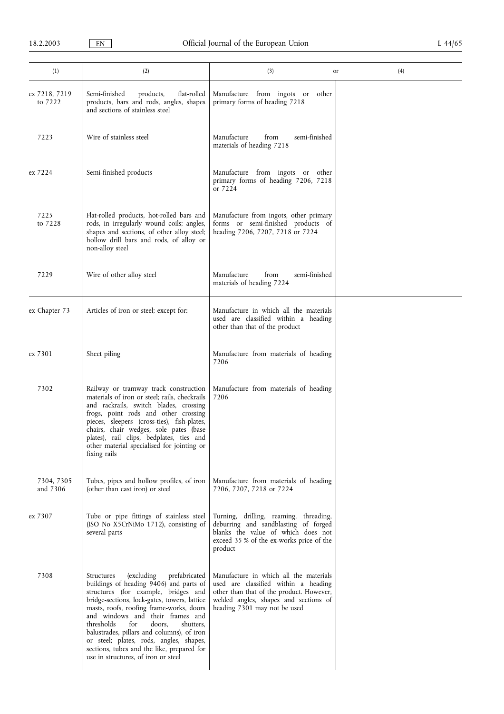| (1)                      | (2)                                                                                                                                                                                                                                                                                                                                                                                                                                                                                     | (3)                                                                                                                                                                                                 | (4)<br>or |
|--------------------------|-----------------------------------------------------------------------------------------------------------------------------------------------------------------------------------------------------------------------------------------------------------------------------------------------------------------------------------------------------------------------------------------------------------------------------------------------------------------------------------------|-----------------------------------------------------------------------------------------------------------------------------------------------------------------------------------------------------|-----------|
| ex 7218, 7219<br>to 7222 | Semi-finished<br>flat-rolled<br>products,<br>products, bars and rods, angles, shapes<br>and sections of stainless steel                                                                                                                                                                                                                                                                                                                                                                 | Manufacture from ingots or<br>other<br>primary forms of heading 7218                                                                                                                                |           |
| 7223                     | Wire of stainless steel                                                                                                                                                                                                                                                                                                                                                                                                                                                                 | Manufacture<br>semi-finished<br>from<br>materials of heading 7218                                                                                                                                   |           |
| ex 7224                  | Semi-finished products                                                                                                                                                                                                                                                                                                                                                                                                                                                                  | Manufacture from ingots or other<br>primary forms of heading 7206, 7218<br>or 7224                                                                                                                  |           |
| 7225<br>to 7228          | Flat-rolled products, hot-rolled bars and<br>rods, in irregularly wound coils; angles,<br>shapes and sections, of other alloy steel;<br>hollow drill bars and rods, of alloy or<br>non-alloy steel                                                                                                                                                                                                                                                                                      | Manufacture from ingots, other primary<br>forms or semi-finished products of<br>heading 7206, 7207, 7218 or 7224                                                                                    |           |
| 7229                     | Wire of other alloy steel                                                                                                                                                                                                                                                                                                                                                                                                                                                               | Manufacture<br>from<br>semi-finished<br>materials of heading 7224                                                                                                                                   |           |
| ex Chapter 73            | Articles of iron or steel; except for:                                                                                                                                                                                                                                                                                                                                                                                                                                                  | Manufacture in which all the materials<br>used are classified within a heading<br>other than that of the product                                                                                    |           |
| ex 7301                  | Sheet piling                                                                                                                                                                                                                                                                                                                                                                                                                                                                            | Manufacture from materials of heading<br>7206                                                                                                                                                       |           |
| 7302                     | Railway or tramway track construction<br>materials of iron or steel; rails, checkrails<br>and rackrails, switch blades, crossing<br>frogs, point rods and other crossing<br>pieces, sleepers (cross-ties), fish-plates,<br>chairs, chair wedges, sole pates (base<br>plates), rail clips, bedplates, ties and<br>other material specialised for jointing or<br>fixing rails                                                                                                             | Manufacture from materials of heading<br>7206                                                                                                                                                       |           |
| 7304, 7305<br>and 7306   | Tubes, pipes and hollow profiles, of iron<br>(other than cast iron) or steel                                                                                                                                                                                                                                                                                                                                                                                                            | Manufacture from materials of heading<br>7206, 7207, 7218 or 7224                                                                                                                                   |           |
| ex 7307                  | Tube or pipe fittings of stainless steel<br>(ISO No X5CrNiMo 1712), consisting of<br>several parts                                                                                                                                                                                                                                                                                                                                                                                      | Turning, drilling, reaming, threading,<br>deburring and sandblasting of forged<br>blanks the value of which does not<br>exceed 35 % of the ex-works price of the<br>product                         |           |
| 7308                     | (excluding)<br>prefabricated<br>Structures<br>buildings of heading 9406) and parts of<br>structures (for example, bridges and<br>bridge-sections, lock-gates, towers, lattice<br>masts, roofs, roofing frame-works, doors<br>and windows and their frames and<br>thresholds<br>for<br>doors,<br>shutters,<br>balustrades, pillars and columns), of iron<br>or steel; plates, rods, angles, shapes,<br>sections, tubes and the like, prepared for<br>use in structures, of iron or steel | Manufacture in which all the materials<br>used are classified within a heading<br>other than that of the product. However,<br>welded angles, shapes and sections of<br>heading 7301 may not be used |           |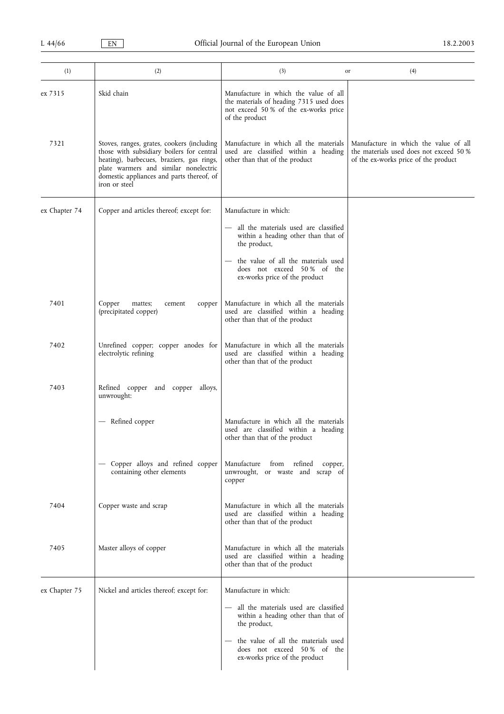| (1)           | (2)                                                                                                                                                                                                                                         | (3)<br>or                                                                                                                                   | (4)                                                                                                                      |
|---------------|---------------------------------------------------------------------------------------------------------------------------------------------------------------------------------------------------------------------------------------------|---------------------------------------------------------------------------------------------------------------------------------------------|--------------------------------------------------------------------------------------------------------------------------|
| ex 7315       | Skid chain                                                                                                                                                                                                                                  | Manufacture in which the value of all<br>the materials of heading 7315 used does<br>not exceed 50 % of the ex-works price<br>of the product |                                                                                                                          |
| 7321          | Stoves, ranges, grates, cookers (including<br>those with subsidiary boilers for central<br>heating), barbecues, braziers, gas rings,<br>plate warmers and similar nonelectric<br>domestic appliances and parts thereof, of<br>iron or steel | Manufacture in which all the materials<br>used are classified within a heading<br>other than that of the product                            | Manufacture in which the value of all<br>the materials used does not exceed 50 %<br>of the ex-works price of the product |
| ex Chapter 74 | Copper and articles thereof; except for:                                                                                                                                                                                                    | Manufacture in which:                                                                                                                       |                                                                                                                          |
|               |                                                                                                                                                                                                                                             | all the materials used are classified<br>within a heading other than that of<br>the product,                                                |                                                                                                                          |
|               |                                                                                                                                                                                                                                             | the value of all the materials used<br>does not exceed 50% of the<br>ex-works price of the product                                          |                                                                                                                          |
| 7401          | Copper<br>mattes;<br>copper<br>cement<br>(precipitated copper)                                                                                                                                                                              | Manufacture in which all the materials<br>used are classified within a heading<br>other than that of the product                            |                                                                                                                          |
| 7402          | Unrefined copper; copper anodes for<br>electrolytic refining                                                                                                                                                                                | Manufacture in which all the materials<br>used are classified within a heading<br>other than that of the product                            |                                                                                                                          |
| 7403          | Refined copper and copper alloys,<br>unwrought:                                                                                                                                                                                             |                                                                                                                                             |                                                                                                                          |
|               | — Refined copper                                                                                                                                                                                                                            | Manufacture in which all the materials<br>used are classified within a heading<br>other than that of the product                            |                                                                                                                          |
|               | Copper alloys and refined copper<br>containing other elements                                                                                                                                                                               | Manufacture from refined copper,<br>unwrought, or waste and scrap of<br>copper                                                              |                                                                                                                          |
| 7404          | Copper waste and scrap                                                                                                                                                                                                                      | Manufacture in which all the materials<br>used are classified within a heading<br>other than that of the product                            |                                                                                                                          |
| 7405          | Master alloys of copper                                                                                                                                                                                                                     | Manufacture in which all the materials<br>used are classified within a heading<br>other than that of the product                            |                                                                                                                          |
| ex Chapter 75 | Nickel and articles thereof; except for:                                                                                                                                                                                                    | Manufacture in which:                                                                                                                       |                                                                                                                          |
|               |                                                                                                                                                                                                                                             | all the materials used are classified<br>within a heading other than that of<br>the product,                                                |                                                                                                                          |
|               |                                                                                                                                                                                                                                             | the value of all the materials used<br>does not exceed 50% of the<br>ex-works price of the product                                          |                                                                                                                          |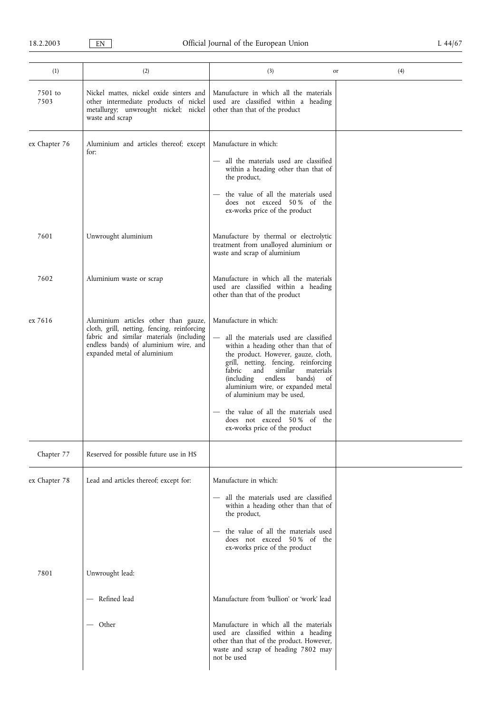| (1)             | (2)                                                                                                                                                                                                    | (3)                                                                                                                                                                                                                                                                                                                                                                                                                                                                        | (4)<br>or |
|-----------------|--------------------------------------------------------------------------------------------------------------------------------------------------------------------------------------------------------|----------------------------------------------------------------------------------------------------------------------------------------------------------------------------------------------------------------------------------------------------------------------------------------------------------------------------------------------------------------------------------------------------------------------------------------------------------------------------|-----------|
| 7501 to<br>7503 | Nickel mattes, nickel oxide sinters and<br>other intermediate products of nickel<br>metallurgy; unwrought nickel; nickel<br>waste and scrap                                                            | Manufacture in which all the materials<br>used are classified within a heading<br>other than that of the product                                                                                                                                                                                                                                                                                                                                                           |           |
| ex Chapter 76   | Aluminium and articles thereof; except<br>for:                                                                                                                                                         | Manufacture in which:<br>- all the materials used are classified<br>within a heading other than that of<br>the product,<br>- the value of all the materials used<br>does not exceed 50% of the<br>ex-works price of the product                                                                                                                                                                                                                                            |           |
| 7601            | Unwrought aluminium                                                                                                                                                                                    | Manufacture by thermal or electrolytic<br>treatment from unalloyed aluminium or<br>waste and scrap of aluminium                                                                                                                                                                                                                                                                                                                                                            |           |
| 7602            | Aluminium waste or scrap                                                                                                                                                                               | Manufacture in which all the materials<br>used are classified within a heading<br>other than that of the product                                                                                                                                                                                                                                                                                                                                                           |           |
| ex 7616         | Aluminium articles other than gauze,<br>cloth, grill, netting, fencing, reinforcing<br>fabric and similar materials (including<br>endless bands) of aluminium wire, and<br>expanded metal of aluminium | Manufacture in which:<br>all the materials used are classified<br>$\qquad \qquad -$<br>within a heading other than that of<br>the product. However, gauze, cloth,<br>grill, netting, fencing, reinforcing<br>similar<br>fabric<br>and<br>materials<br><i>(including</i><br>endless<br>bands)<br>of<br>aluminium wire, or expanded metal<br>of aluminium may be used,<br>the value of all the materials used<br>does not exceed 50% of the<br>ex-works price of the product |           |
| Chapter 77      | Reserved for possible future use in HS                                                                                                                                                                 |                                                                                                                                                                                                                                                                                                                                                                                                                                                                            |           |
| ex Chapter 78   | Lead and articles thereof; except for:                                                                                                                                                                 | Manufacture in which:<br>all the materials used are classified<br>within a heading other than that of<br>the product,<br>the value of all the materials used<br>does not exceed 50% of the<br>ex-works price of the product                                                                                                                                                                                                                                                |           |
| 7801            | Unwrought lead:                                                                                                                                                                                        |                                                                                                                                                                                                                                                                                                                                                                                                                                                                            |           |
|                 | Refined lead                                                                                                                                                                                           | Manufacture from 'bullion' or 'work' lead                                                                                                                                                                                                                                                                                                                                                                                                                                  |           |
|                 | — Other                                                                                                                                                                                                | Manufacture in which all the materials<br>used are classified within a heading<br>other than that of the product. However,<br>waste and scrap of heading 7802 may<br>not be used                                                                                                                                                                                                                                                                                           |           |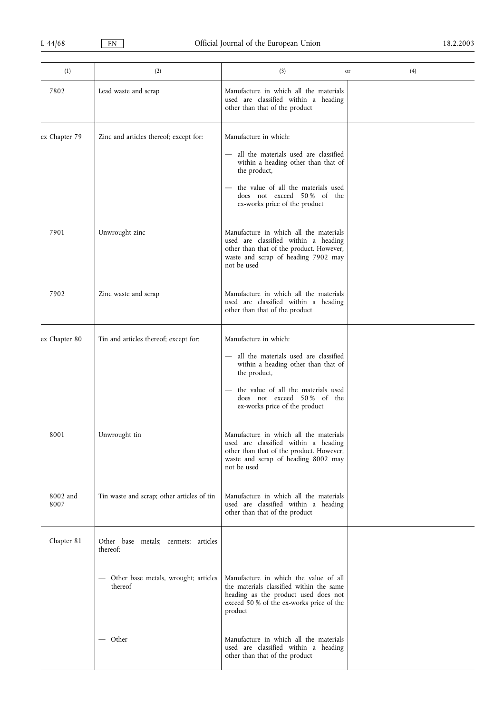| (1)              | (2)                                               | (3)                                                                                                                                                                              | (4)<br>or |
|------------------|---------------------------------------------------|----------------------------------------------------------------------------------------------------------------------------------------------------------------------------------|-----------|
| 7802             | Lead waste and scrap                              | Manufacture in which all the materials<br>used are classified within a heading<br>other than that of the product                                                                 |           |
| ex Chapter 79    | Zinc and articles thereof; except for:            | Manufacture in which:                                                                                                                                                            |           |
|                  |                                                   | - all the materials used are classified<br>within a heading other than that of<br>the product,                                                                                   |           |
|                  |                                                   | - the value of all the materials used<br>does not exceed 50% of the<br>ex-works price of the product                                                                             |           |
| 7901             | Unwrought zinc                                    | Manufacture in which all the materials<br>used are classified within a heading<br>other than that of the product. However,<br>waste and scrap of heading 7902 may<br>not be used |           |
| 7902             | Zinc waste and scrap                              | Manufacture in which all the materials<br>used are classified within a heading<br>other than that of the product                                                                 |           |
| ex Chapter 80    | Tin and articles thereof; except for:             | Manufacture in which:                                                                                                                                                            |           |
|                  |                                                   | - all the materials used are classified<br>within a heading other than that of<br>the product,                                                                                   |           |
|                  |                                                   | the value of all the materials used<br>does not exceed 50% of the<br>ex-works price of the product                                                                               |           |
| 8001             | Unwrought tin                                     | Manufacture in which all the materials<br>used are classified within a heading<br>other than that of the product. However,<br>waste and scrap of heading 8002 may<br>not be used |           |
| 8002 and<br>8007 | Tin waste and scrap; other articles of tin        | Manufacture in which all the materials<br>used are classified within a heading<br>other than that of the product                                                                 |           |
| Chapter 81       | Other base metals; cermets; articles<br>thereof:  |                                                                                                                                                                                  |           |
|                  | - Other base metals, wrought; articles<br>thereof | Manufacture in which the value of all<br>the materials classified within the same<br>heading as the product used does not<br>exceed 50 % of the ex-works price of the<br>product |           |
|                  | — Other                                           | Manufacture in which all the materials<br>used are classified within a heading<br>other than that of the product                                                                 |           |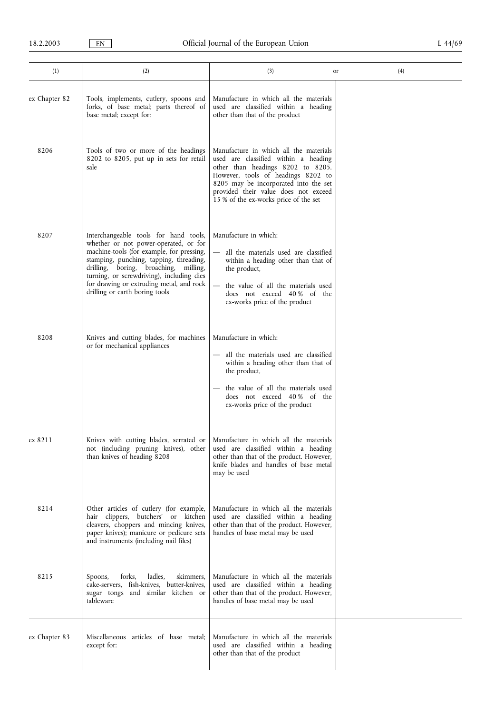| (1)           | (2)                                                                                                                                                                                                                                                                                                                                        | (3)                                                                                                                                                                                                                                                                                 | (4)<br>or |
|---------------|--------------------------------------------------------------------------------------------------------------------------------------------------------------------------------------------------------------------------------------------------------------------------------------------------------------------------------------------|-------------------------------------------------------------------------------------------------------------------------------------------------------------------------------------------------------------------------------------------------------------------------------------|-----------|
| ex Chapter 82 | Tools, implements, cutlery, spoons and<br>forks, of base metal; parts thereof of<br>base metal; except for:                                                                                                                                                                                                                                | Manufacture in which all the materials<br>used are classified within a heading<br>other than that of the product                                                                                                                                                                    |           |
| 8206          | Tools of two or more of the headings<br>8202 to 8205, put up in sets for retail<br>sale                                                                                                                                                                                                                                                    | Manufacture in which all the materials<br>used are classified within a heading<br>other than headings 8202 to 8205.<br>However, tools of headings 8202 to<br>8205 may be incorporated into the set<br>provided their value does not exceed<br>15 % of the ex-works price of the set |           |
| 8207          | Interchangeable tools for hand tools,<br>whether or not power-operated, or for<br>machine-tools (for example, for pressing,<br>stamping, punching, tapping, threading,<br>drilling, boring, broaching, milling,<br>turning, or screwdriving), including dies<br>for drawing or extruding metal, and rock<br>drilling or earth boring tools | Manufacture in which:<br>all the materials used are classified<br>within a heading other than that of<br>the product,<br>the value of all the materials used<br>does not exceed 40% of the<br>ex-works price of the product                                                         |           |
| 8208          | Knives and cutting blades, for machines<br>or for mechanical appliances                                                                                                                                                                                                                                                                    | Manufacture in which:<br>all the materials used are classified<br>within a heading other than that of<br>the product,<br>the value of all the materials used<br>does not exceed 40% of the<br>ex-works price of the product                                                         |           |
| ex 8211       | Knives with cutting blades, serrated or<br>not (including pruning knives), other<br>than knives of heading 8208                                                                                                                                                                                                                            | Manufacture in which all the materials<br>used are classified within a heading<br>other than that of the product. However,<br>knife blades and handles of base metal<br>may be used                                                                                                 |           |
| 8214          | Other articles of cutlery (for example,<br>hair clippers, butchers' or kitchen<br>cleavers, choppers and mincing knives,<br>paper knives); manicure or pedicure sets<br>and instruments (including nail files)                                                                                                                             | Manufacture in which all the materials<br>used are classified within a heading<br>other than that of the product. However,<br>handles of base metal may be used                                                                                                                     |           |
| 8215          | forks,<br>ladles,<br>skimmers,<br>Spoons,<br>cake-servers, fish-knives, butter-knives,<br>sugar tongs and similar kitchen or<br>tableware                                                                                                                                                                                                  | Manufacture in which all the materials<br>used are classified within a heading<br>other than that of the product. However,<br>handles of base metal may be used                                                                                                                     |           |
| ex Chapter 83 | Miscellaneous articles of base metal;<br>except for:                                                                                                                                                                                                                                                                                       | Manufacture in which all the materials<br>used are classified within a heading<br>other than that of the product                                                                                                                                                                    |           |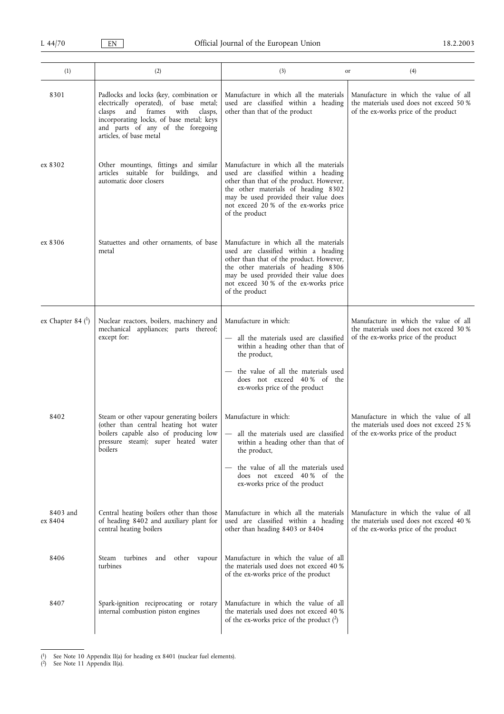| (1)                 | (2)                                                                                                                                                                                                                                   | (3)                                                                                                                                                                                                                                                                   | (4)<br>or                                                                                                                |
|---------------------|---------------------------------------------------------------------------------------------------------------------------------------------------------------------------------------------------------------------------------------|-----------------------------------------------------------------------------------------------------------------------------------------------------------------------------------------------------------------------------------------------------------------------|--------------------------------------------------------------------------------------------------------------------------|
| 8301                | Padlocks and locks (key, combination or<br>electrically operated), of base metal;<br>clasps<br>and frames with<br>clasps,<br>incorporating locks, of base metal; keys<br>and parts of any of the foregoing<br>articles, of base metal | Manufacture in which all the materials<br>used are classified within a heading<br>other than that of the product                                                                                                                                                      | Manufacture in which the value of all<br>the materials used does not exceed 50 %<br>of the ex-works price of the product |
| ex 8302             | Other mountings, fittings and similar<br>articles suitable for buildings,<br>and<br>automatic door closers                                                                                                                            | Manufacture in which all the materials<br>used are classified within a heading<br>other than that of the product. However,<br>the other materials of heading 8302<br>may be used provided their value does<br>not exceed 20 % of the ex-works price<br>of the product |                                                                                                                          |
| ex 8306             | Statuettes and other ornaments, of base<br>metal                                                                                                                                                                                      | Manufacture in which all the materials<br>used are classified within a heading<br>other than that of the product. However,<br>the other materials of heading 8306<br>may be used provided their value does<br>not exceed 30% of the ex-works price<br>of the product  |                                                                                                                          |
| ex Chapter 84 $(1)$ | Nuclear reactors, boilers, machinery and<br>mechanical appliances; parts thereof;<br>except for:                                                                                                                                      | Manufacture in which:<br>- all the materials used are classified<br>within a heading other than that of<br>the product,<br>the value of all the materials used<br>does not exceed 40% of the<br>ex-works price of the product                                         | Manufacture in which the value of all<br>the materials used does not exceed 30 %<br>of the ex-works price of the product |
| 8402                | Steam or other vapour generating boilers<br>(other than central heating hot water<br>boilers capable also of producing low<br>pressure steam); super heated water<br>boilers                                                          | Manufacture in which:<br>— all the materials used are classified<br>within a heading other than that of<br>the product,<br>the value of all the materials used<br>does not exceed 40% of the<br>ex-works price of the product                                         | Manufacture in which the value of all<br>the materials used does not exceed 25 %<br>of the ex-works price of the product |
| 8403 and<br>ex 8404 | Central heating boilers other than those<br>of heading 8402 and auxiliary plant for<br>central heating boilers                                                                                                                        | Manufacture in which all the materials<br>used are classified within a heading<br>other than heading 8403 or 8404                                                                                                                                                     | Manufacture in which the value of all<br>the materials used does not exceed 40 %<br>of the ex-works price of the product |
| 8406                | turbines<br>and other vapour<br>Steam<br>turbines                                                                                                                                                                                     | Manufacture in which the value of all<br>the materials used does not exceed 40 %<br>of the ex-works price of the product                                                                                                                                              |                                                                                                                          |
| 8407                | Spark-ignition reciprocating or rotary<br>internal combustion piston engines                                                                                                                                                          | Manufacture in which the value of all<br>the materials used does not exceed 40 %<br>of the ex-works price of the product $(2)$                                                                                                                                        |                                                                                                                          |

<sup>(</sup> 1) See Note 10 Appendix II(a) for heading ex 8401 (nuclear fuel elements).

<sup>(</sup> 2) See Note 11 Appendix II(a).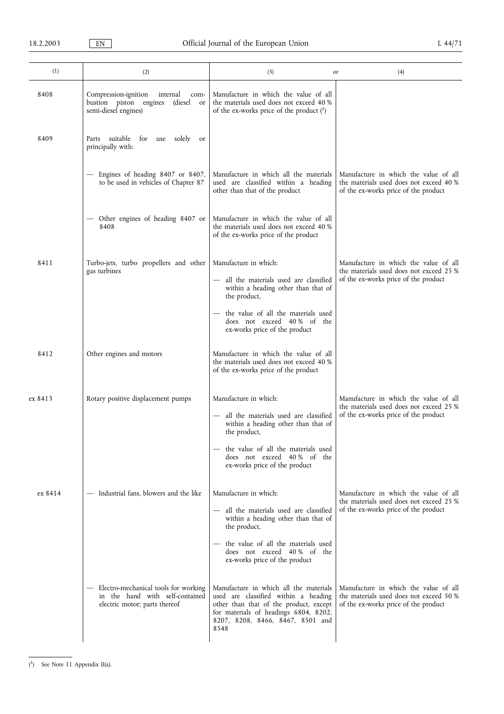| (1)     | (2)                                                                                                         | (3)                                                                                                                                                                                                                             | (4)<br>or                                                                                                                |
|---------|-------------------------------------------------------------------------------------------------------------|---------------------------------------------------------------------------------------------------------------------------------------------------------------------------------------------------------------------------------|--------------------------------------------------------------------------------------------------------------------------|
| 8408    | Compression-ignition<br>internal<br>com-<br>bustion piston engines<br>(diesel<br>or<br>semi-diesel engines) | Manufacture in which the value of all<br>the materials used does not exceed 40 %<br>of the ex-works price of the product $(1)$                                                                                                  |                                                                                                                          |
| 8409    | Parts suitable for use solely or<br>principally with:                                                       |                                                                                                                                                                                                                                 |                                                                                                                          |
|         | - Engines of heading 8407 or 8407,<br>to be used in vehicles of Chapter 87                                  | Manufacture in which all the materials<br>used are classified within a heading<br>other than that of the product                                                                                                                | Manufacture in which the value of all<br>the materials used does not exceed 40 %<br>of the ex-works price of the product |
|         | - Other engines of heading 8407 or<br>8408                                                                  | Manufacture in which the value of all<br>the materials used does not exceed 40 %<br>of the ex-works price of the product                                                                                                        |                                                                                                                          |
| 8411    | Turbo-jets, turbo propellers and other<br>gas turbines                                                      | Manufacture in which:<br>- all the materials used are classified<br>within a heading other than that of<br>the product,<br>- the value of all the materials used<br>does not exceed 40% of the<br>ex-works price of the product | Manufacture in which the value of all<br>the materials used does not exceed 25 %<br>of the ex-works price of the product |
| 8412    | Other engines and motors                                                                                    | Manufacture in which the value of all<br>the materials used does not exceed 40 %<br>of the ex-works price of the product                                                                                                        |                                                                                                                          |
| ex 8413 | Rotary positive displacement pumps                                                                          | Manufacture in which:<br>- all the materials used are classified<br>within a heading other than that of<br>the product,<br>- the value of all the materials used<br>does not exceed 40% of the<br>ex-works price of the product | Manufacture in which the value of all<br>the materials used does not exceed 25 %<br>of the ex-works price of the product |
| ex 8414 | - Industrial fans, blowers and the like                                                                     | Manufacture in which:<br>- all the materials used are classified<br>within a heading other than that of<br>the product,<br>- the value of all the materials used<br>does not exceed 40% of the<br>ex-works price of the product | Manufacture in which the value of all<br>the materials used does not exceed 25 %<br>of the ex-works price of the product |
|         | Electro-mechanical tools for working<br>in the hand with self-contained<br>electric motor; parts thereof    | Manufacture in which all the materials<br>used are classified within a heading<br>other than that of the product, except<br>for materials of headings 6804, 8202,<br>8207, 8208, 8466, 8467, 8501 and<br>8548                   | Manufacture in which the value of all<br>the materials used does not exceed 50 %<br>of the ex-works price of the product |

( 1) See Note 11 Appendix II(a).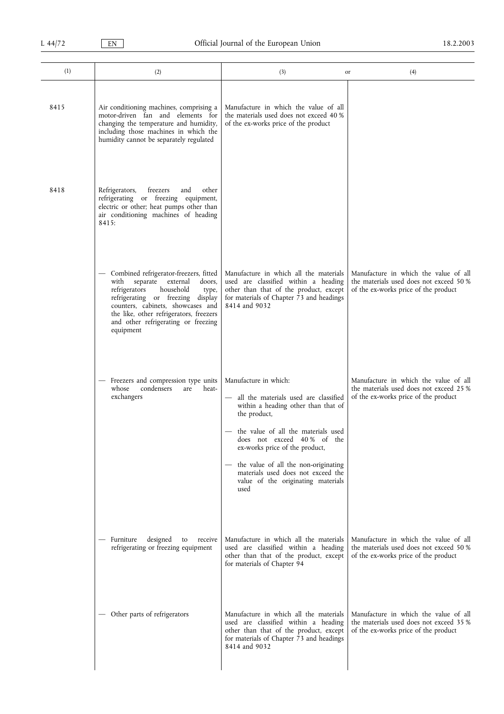| (1)  | (2)                                                                                                                                                                                                                                                                                           | (3)<br>or                                                                                                                                                                                                                                                                                                                                                    | (4)                                                                                                                      |
|------|-----------------------------------------------------------------------------------------------------------------------------------------------------------------------------------------------------------------------------------------------------------------------------------------------|--------------------------------------------------------------------------------------------------------------------------------------------------------------------------------------------------------------------------------------------------------------------------------------------------------------------------------------------------------------|--------------------------------------------------------------------------------------------------------------------------|
| 8415 | Air conditioning machines, comprising a<br>motor-driven fan and elements for<br>changing the temperature and humidity,<br>including those machines in which the<br>humidity cannot be separately regulated                                                                                    | Manufacture in which the value of all<br>the materials used does not exceed 40 %<br>of the ex-works price of the product                                                                                                                                                                                                                                     |                                                                                                                          |
| 8418 | Refrigerators,<br>freezers<br>and<br>other<br>refrigerating or freezing equipment,<br>electric or other; heat pumps other than<br>air conditioning machines of heading<br>8415:                                                                                                               |                                                                                                                                                                                                                                                                                                                                                              |                                                                                                                          |
|      | Combined refrigerator-freezers, fitted<br>separate external<br>doors,<br>with<br>refrigerators<br>household<br>type,<br>refrigerating or freezing display<br>counters, cabinets, showcases and<br>the like, other refrigerators, freezers<br>and other refrigerating or freezing<br>equipment | Manufacture in which all the materials<br>used are classified within a heading<br>other than that of the product, except<br>for materials of Chapter 73 and headings<br>8414 and 9032                                                                                                                                                                        | Manufacture in which the value of all<br>the materials used does not exceed 50 %<br>of the ex-works price of the product |
|      | Freezers and compression type units<br>heat-<br>condensers<br>whose<br>are<br>exchangers                                                                                                                                                                                                      | Manufacture in which:<br>- all the materials used are classified<br>within a heading other than that of<br>the product,<br>- the value of all the materials used<br>does not exceed 40% of the<br>ex-works price of the product,<br>the value of all the non-originating<br>materials used does not exceed the<br>value of the originating materials<br>used | Manufacture in which the value of all<br>the materials used does not exceed 25 %<br>of the ex-works price of the product |
|      | designed<br>receive<br>Furniture<br>to<br>refrigerating or freezing equipment                                                                                                                                                                                                                 | Manufacture in which all the materials<br>used are classified within a heading<br>other than that of the product, except<br>for materials of Chapter 94                                                                                                                                                                                                      | Manufacture in which the value of all<br>the materials used does not exceed 50 %<br>of the ex-works price of the product |
|      | Other parts of refrigerators                                                                                                                                                                                                                                                                  | Manufacture in which all the materials<br>used are classified within a heading<br>other than that of the product, except<br>for materials of Chapter 73 and headings<br>8414 and 9032                                                                                                                                                                        | Manufacture in which the value of all<br>the materials used does not exceed 35 %<br>of the ex-works price of the product |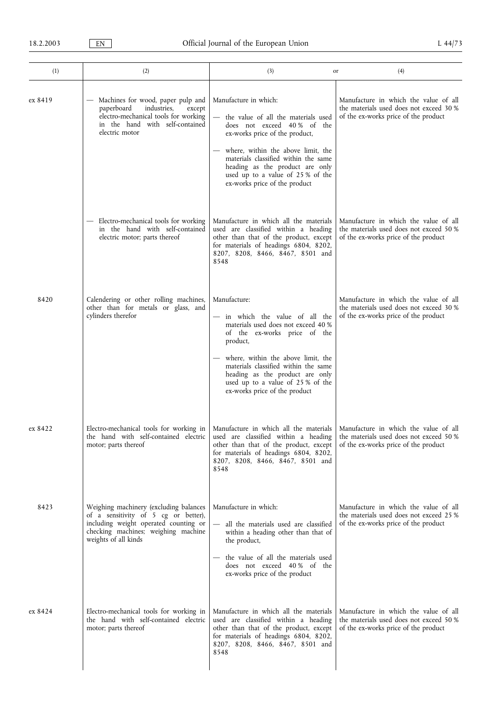| (1)     | (2)                                                                                                                                                                                    | (3)                                                                                                                                                                                                                                                                                                                       | (4)<br>or                                                                                                                                                  |
|---------|----------------------------------------------------------------------------------------------------------------------------------------------------------------------------------------|---------------------------------------------------------------------------------------------------------------------------------------------------------------------------------------------------------------------------------------------------------------------------------------------------------------------------|------------------------------------------------------------------------------------------------------------------------------------------------------------|
| ex 8419 | - Machines for wood, paper pulp and<br>paperboard<br>industries,<br>except<br>electro-mechanical tools for working<br>in the hand with self-contained<br>electric motor                | Manufacture in which:<br>- the value of all the materials used<br>does not exceed 40% of the<br>ex-works price of the product,<br>where, within the above limit, the<br>materials classified within the same<br>heading as the product are only<br>used up to a value of 25 % of the<br>ex-works price of the product     | Manufacture in which the value of all<br>the materials used does not exceed 30 %<br>of the ex-works price of the product                                   |
|         | - Electro-mechanical tools for working<br>in the hand with self-contained<br>electric motor; parts thereof                                                                             | Manufacture in which all the materials<br>used are classified within a heading<br>other than that of the product, except<br>for materials of headings 6804, 8202,<br>8207, 8208, 8466, 8467, 8501 and<br>8548                                                                                                             | Manufacture in which the value of all<br>the materials used does not exceed 50 %<br>of the ex-works price of the product                                   |
| 8420    | Calendering or other rolling machines,<br>other than for metals or glass, and<br>cylinders therefor                                                                                    | Manufacture:<br>- in which the value of all the<br>materials used does not exceed 40 %<br>of the ex-works price of the<br>product,<br>where, within the above limit, the<br>materials classified within the same<br>heading as the product are only<br>used up to a value of 25 % of the<br>ex-works price of the product | Manufacture in which the value of all<br>the materials used does not exceed 30 %<br>of the ex-works price of the product                                   |
| ex 8422 | motor; parts thereof                                                                                                                                                                   | Electro-mechanical tools for working in   Manufacture in which all the materials   Manufacture in which the value of all<br>other than that of the product, except<br>for materials of headings 6804, 8202,<br>8207, 8208, 8466, 8467, 8501 and<br>8548                                                                   | the hand with self-contained electric used are classified within a heading the materials used does not exceed 50 %<br>of the ex-works price of the product |
| 8423    | Weighing machinery (excluding balances<br>of a sensitivity of 5 cg or better),<br>including weight operated counting or<br>checking machines; weighing machine<br>weights of all kinds | Manufacture in which:<br>- all the materials used are classified<br>within a heading other than that of<br>the product,<br>the value of all the materials used<br>does not exceed 40% of the<br>ex-works price of the product                                                                                             | Manufacture in which the value of all<br>the materials used does not exceed 25 %<br>of the ex-works price of the product                                   |
| ex 8424 | Electro-mechanical tools for working in<br>the hand with self-contained electric<br>motor; parts thereof                                                                               | Manufacture in which all the materials<br>used are classified within a heading<br>other than that of the product, except<br>for materials of headings 6804, 8202,<br>8207, 8208, 8466, 8467, 8501 and<br>8548                                                                                                             | Manufacture in which the value of all<br>the materials used does not exceed 50 %<br>of the ex-works price of the product                                   |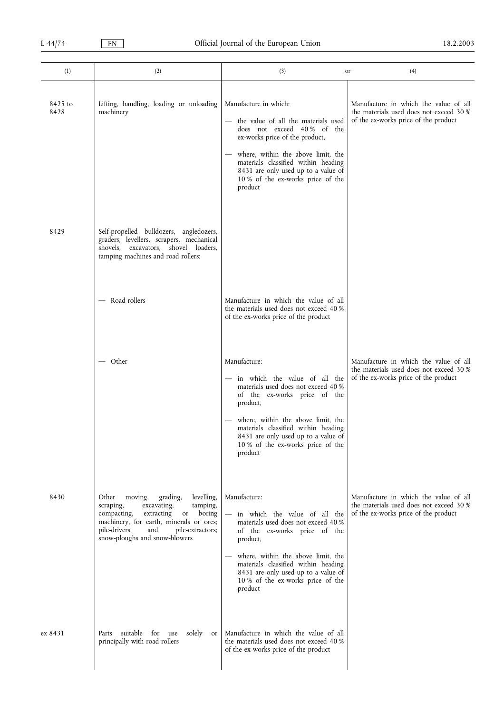| (1)             | (2)                                                                                                                                                                                                                                                         | (3)                                                                                                                                                                                                                                                                                                      | (4)<br>or                                                                                                                |
|-----------------|-------------------------------------------------------------------------------------------------------------------------------------------------------------------------------------------------------------------------------------------------------------|----------------------------------------------------------------------------------------------------------------------------------------------------------------------------------------------------------------------------------------------------------------------------------------------------------|--------------------------------------------------------------------------------------------------------------------------|
| 8425 to<br>8428 | Lifting, handling, loading or unloading<br>machinery                                                                                                                                                                                                        | Manufacture in which:<br>- the value of all the materials used<br>does not exceed 40% of the<br>ex-works price of the product,<br>where, within the above limit, the<br>materials classified within heading<br>8431 are only used up to a value of<br>10 % of the ex-works price of the<br>product       | Manufacture in which the value of all<br>the materials used does not exceed 30 %<br>of the ex-works price of the product |
| 8429            | Self-propelled bulldozers, angledozers,<br>graders, levellers, scrapers, mechanical<br>shovels, excavators, shovel loaders,<br>tamping machines and road rollers:                                                                                           |                                                                                                                                                                                                                                                                                                          |                                                                                                                          |
|                 | Road rollers                                                                                                                                                                                                                                                | Manufacture in which the value of all<br>the materials used does not exceed 40 %<br>of the ex-works price of the product                                                                                                                                                                                 |                                                                                                                          |
|                 | - Other                                                                                                                                                                                                                                                     | Manufacture:<br>- in which the value of all the<br>materials used does not exceed 40 %<br>of the ex-works price of the<br>product,<br>- where, within the above limit, the<br>materials classified within heading<br>8431 are only used up to a value of<br>10 % of the ex-works price of the<br>product | Manufacture in which the value of all<br>the materials used does not exceed 30 %<br>of the ex-works price of the product |
| 8430            | Other<br>moving,<br>grading,<br>levelling,<br>excavating,<br>scraping,<br>tamping,<br>compacting,<br>extracting<br>boring<br>$\,$ or<br>machinery, for earth, minerals or ores;<br>pile-drivers<br>and<br>pile-extractors;<br>snow-ploughs and snow-blowers | Manufacture:<br>in which the value of all the<br>materials used does not exceed 40 %<br>of the ex-works price of the<br>product,<br>where, within the above limit, the<br>materials classified within heading<br>8431 are only used up to a value of<br>10 % of the ex-works price of the<br>product     | Manufacture in which the value of all<br>the materials used does not exceed 30 %<br>of the ex-works price of the product |
| ex 8431         | suitable for use<br>solely<br>Parts<br>or<br>principally with road rollers                                                                                                                                                                                  | Manufacture in which the value of all<br>the materials used does not exceed 40 %<br>of the ex-works price of the product                                                                                                                                                                                 |                                                                                                                          |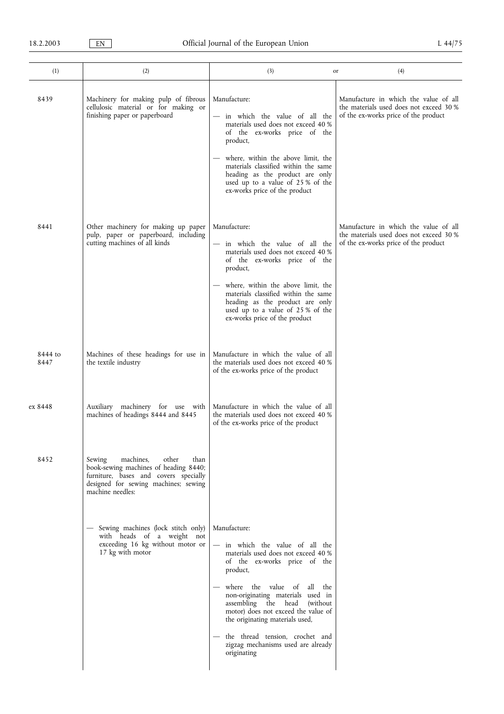| (1)             | (2)                                                                                                                                                                                | (3)                                                                                                                                                                                                                                                                                                                                                                                                            | (4)<br>or                                                                                                                |
|-----------------|------------------------------------------------------------------------------------------------------------------------------------------------------------------------------------|----------------------------------------------------------------------------------------------------------------------------------------------------------------------------------------------------------------------------------------------------------------------------------------------------------------------------------------------------------------------------------------------------------------|--------------------------------------------------------------------------------------------------------------------------|
| 8439            | Machinery for making pulp of fibrous<br>cellulosic material or for making or<br>finishing paper or paperboard                                                                      | Manufacture:<br>in which the value of all the<br>materials used does not exceed 40 %<br>of the ex-works price of the<br>product,<br>where, within the above limit, the<br>materials classified within the same<br>heading as the product are only<br>used up to a value of 25 % of the<br>ex-works price of the product                                                                                        | Manufacture in which the value of all<br>the materials used does not exceed 30 %<br>of the ex-works price of the product |
| 8441            | Other machinery for making up paper<br>pulp, paper or paperboard, including<br>cutting machines of all kinds                                                                       | Manufacture:<br>- in which the value of all the<br>materials used does not exceed 40 %<br>of the ex-works price of the<br>product,<br>- where, within the above limit, the<br>materials classified within the same<br>heading as the product are only<br>used up to a value of 25 % of the<br>ex-works price of the product                                                                                    | Manufacture in which the value of all<br>the materials used does not exceed 30 %<br>of the ex-works price of the product |
| 8444 to<br>8447 | Machines of these headings for use in<br>the textile industry                                                                                                                      | Manufacture in which the value of all<br>the materials used does not exceed 40 %<br>of the ex-works price of the product                                                                                                                                                                                                                                                                                       |                                                                                                                          |
| ex 8448         | Auxiliary machinery for use with<br>machines of headings 8444 and 8445                                                                                                             | Manufacture in which the value of all<br>the materials used does not exceed 40 %<br>of the ex-works price of the product                                                                                                                                                                                                                                                                                       |                                                                                                                          |
| 8452            | machines,<br>Sewing<br>other<br>than<br>book-sewing machines of heading 8440;<br>furniture, bases and covers specially<br>designed for sewing machines; sewing<br>machine needles: |                                                                                                                                                                                                                                                                                                                                                                                                                |                                                                                                                          |
|                 | - Sewing machines (lock stitch only)<br>with heads of a weight not<br>exceeding 16 kg without motor or<br>17 kg with motor                                                         | Manufacture:<br>- in which the value of all the<br>materials used does not exceed 40 %<br>of the ex-works price of the<br>product,<br>- where the value of<br>all the<br>non-originating materials used in<br>assembling the head (without<br>motor) does not exceed the value of<br>the originating materials used,<br>- the thread tension, crochet and<br>zigzag mechanisms used are already<br>originating |                                                                                                                          |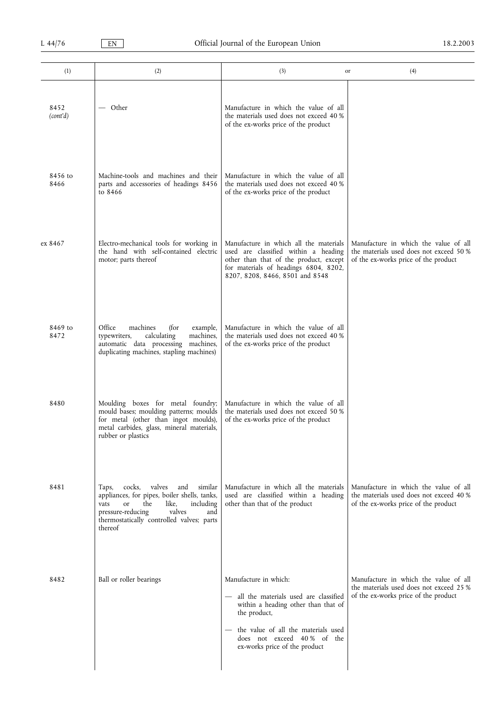| (1)              | (2)                                                                                                                                                                                                                                  | (3)                                                                                                                                                                                                                           | (4)<br>or                                                                                                                |
|------------------|--------------------------------------------------------------------------------------------------------------------------------------------------------------------------------------------------------------------------------------|-------------------------------------------------------------------------------------------------------------------------------------------------------------------------------------------------------------------------------|--------------------------------------------------------------------------------------------------------------------------|
| 8452<br>(cont'd) | — Other                                                                                                                                                                                                                              | Manufacture in which the value of all<br>the materials used does not exceed 40 %<br>of the ex-works price of the product                                                                                                      |                                                                                                                          |
| 8456 to<br>8466  | Machine-tools and machines and their<br>parts and accessories of headings 8456<br>to 8466                                                                                                                                            | Manufacture in which the value of all<br>the materials used does not exceed 40 %<br>of the ex-works price of the product                                                                                                      |                                                                                                                          |
| ex 8467          | Electro-mechanical tools for working in<br>the hand with self-contained electric<br>motor; parts thereof                                                                                                                             | Manufacture in which all the materials<br>used are classified within a heading<br>other than that of the product, except<br>for materials of headings 6804, 8202,<br>8207, 8208, 8466, 8501 and 8548                          | Manufacture in which the value of all<br>the materials used does not exceed 50 %<br>of the ex-works price of the product |
| 8469 to<br>8472  | Office<br>machines<br>(for<br>example,<br>calculating<br>machines,<br>typewriters,<br>automatic data processing<br>machines,<br>duplicating machines, stapling machines)                                                             | Manufacture in which the value of all<br>the materials used does not exceed 40 %<br>of the ex-works price of the product                                                                                                      |                                                                                                                          |
| 8480             | Moulding boxes for metal foundry;<br>mould bases; moulding patterns; moulds<br>for metal (other than ingot moulds),<br>metal carbides, glass, mineral materials,<br>rubber or plastics                                               | Manufacture in which the value of all<br>the materials used does not exceed 50 %<br>of the ex-works price of the product                                                                                                      |                                                                                                                          |
| 8481             | valves<br>cocks,<br>and<br>similar<br>Taps,<br>appliances, for pipes, boiler shells, tanks,<br>the<br>including<br>or<br>like,<br>vats<br>pressure-reducing<br>valves<br>and<br>thermostatically controlled valves; parts<br>thereof | Manufacture in which all the materials<br>used are classified within a heading<br>other than that of the product                                                                                                              | Manufacture in which the value of all<br>the materials used does not exceed 40 %<br>of the ex-works price of the product |
| 8482             | Ball or roller bearings                                                                                                                                                                                                              | Manufacture in which:<br>- all the materials used are classified<br>within a heading other than that of<br>the product,<br>the value of all the materials used<br>does not exceed 40% of the<br>ex-works price of the product | Manufacture in which the value of all<br>the materials used does not exceed 25 %<br>of the ex-works price of the product |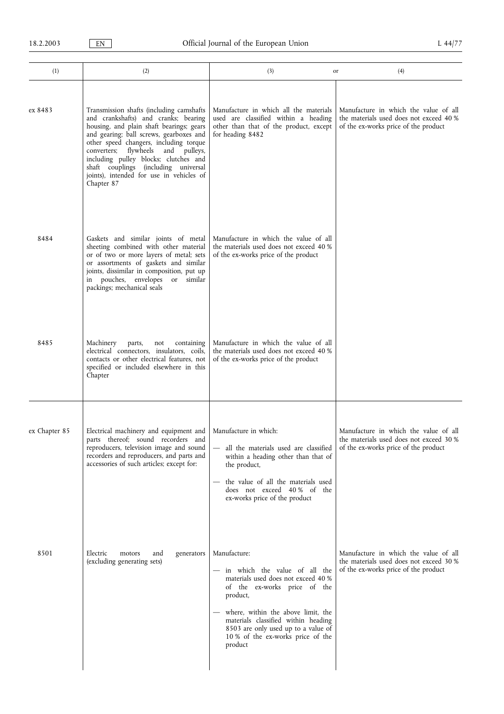| (1)           | (2)                                                                                                                                                                                                                                                                                                                                                                                                | (3)                                                                                                                                                                                                                                                                                                    | (4)<br>or                                                                                                                |
|---------------|----------------------------------------------------------------------------------------------------------------------------------------------------------------------------------------------------------------------------------------------------------------------------------------------------------------------------------------------------------------------------------------------------|--------------------------------------------------------------------------------------------------------------------------------------------------------------------------------------------------------------------------------------------------------------------------------------------------------|--------------------------------------------------------------------------------------------------------------------------|
| ex 8483       | Transmission shafts (including camshafts<br>and crankshafts) and cranks; bearing<br>housing, and plain shaft bearings; gears<br>and gearing; ball screws, gearboxes and<br>other speed changers, including torque<br>converters; flywheels and pulleys,<br>including pulley blocks; clutches and<br>shaft couplings (including universal<br>joints), intended for use in vehicles of<br>Chapter 87 | Manufacture in which all the materials<br>used are classified within a heading<br>other than that of the product, except<br>for heading 8482                                                                                                                                                           | Manufacture in which the value of all<br>the materials used does not exceed 40 %<br>of the ex-works price of the product |
| 8484          | Gaskets and similar joints of metal<br>sheeting combined with other material<br>or of two or more layers of metal; sets<br>or assortments of gaskets and similar<br>joints, dissimilar in composition, put up<br>in pouches, envelopes or similar<br>packings; mechanical seals                                                                                                                    | Manufacture in which the value of all<br>the materials used does not exceed 40 %<br>of the ex-works price of the product                                                                                                                                                                               |                                                                                                                          |
| 8485          | Machinery<br>parts,<br>not<br>containing<br>electrical connectors, insulators, coils,<br>contacts or other electrical features, not<br>specified or included elsewhere in this<br>Chapter                                                                                                                                                                                                          | Manufacture in which the value of all<br>the materials used does not exceed 40 %<br>of the ex-works price of the product                                                                                                                                                                               |                                                                                                                          |
| ex Chapter 85 | Electrical machinery and equipment and<br>parts thereof; sound recorders and<br>reproducers, television image and sound<br>recorders and reproducers, and parts and<br>accessories of such articles; except for:                                                                                                                                                                                   | Manufacture in which:<br>all the materials used are classified<br>within a heading other than that of<br>the product,<br>the value of all the materials used<br>does not exceed 40% of the<br>ex-works price of the product                                                                            | Manufacture in which the value of all<br>the materials used does not exceed 30 %<br>of the ex-works price of the product |
| 8501          | Electric<br>and<br>generators<br>motors<br>(excluding generating sets)                                                                                                                                                                                                                                                                                                                             | Manufacture:<br>- in which the value of all the<br>materials used does not exceed 40 %<br>of the ex-works price of the<br>product,<br>where, within the above limit, the<br>materials classified within heading<br>8503 are only used up to a value of<br>10 % of the ex-works price of the<br>product | Manufacture in which the value of all<br>the materials used does not exceed 30 %<br>of the ex-works price of the product |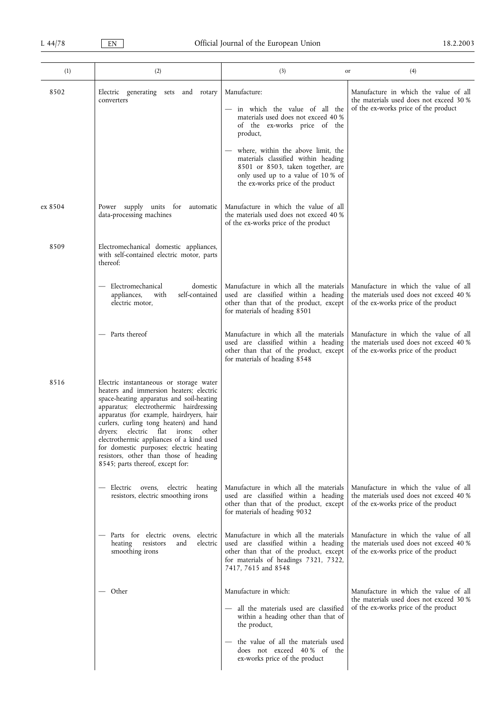| (1)     | (2)                                                                                                                                                                                                                                                                                                                                                                                                                                                                        | (3)                                                                                                                                                                                                                                                                                                                           | (4)<br>or                                                                                                                |
|---------|----------------------------------------------------------------------------------------------------------------------------------------------------------------------------------------------------------------------------------------------------------------------------------------------------------------------------------------------------------------------------------------------------------------------------------------------------------------------------|-------------------------------------------------------------------------------------------------------------------------------------------------------------------------------------------------------------------------------------------------------------------------------------------------------------------------------|--------------------------------------------------------------------------------------------------------------------------|
| 8502    | Electric generating sets and rotary<br>converters                                                                                                                                                                                                                                                                                                                                                                                                                          | Manufacture:<br>in which the value of all the<br>materials used does not exceed 40 %<br>of the ex-works price of the<br>product,<br>where, within the above limit, the<br>materials classified within heading<br>8501 or 8503, taken together, are<br>only used up to a value of 10 % of<br>the ex-works price of the product | Manufacture in which the value of all<br>the materials used does not exceed 30 %<br>of the ex-works price of the product |
| ex 8504 | Power supply units for automatic<br>data-processing machines                                                                                                                                                                                                                                                                                                                                                                                                               | Manufacture in which the value of all<br>the materials used does not exceed 40 %<br>of the ex-works price of the product                                                                                                                                                                                                      |                                                                                                                          |
| 8509    | Electromechanical domestic appliances,<br>with self-contained electric motor, parts<br>thereof:                                                                                                                                                                                                                                                                                                                                                                            |                                                                                                                                                                                                                                                                                                                               |                                                                                                                          |
|         | Electromechanical<br>domestic<br>self-contained<br>appliances,<br>with<br>electric motor,                                                                                                                                                                                                                                                                                                                                                                                  | Manufacture in which all the materials<br>used are classified within a heading<br>other than that of the product, except<br>for materials of heading 8501                                                                                                                                                                     | Manufacture in which the value of all<br>the materials used does not exceed 40 %<br>of the ex-works price of the product |
|         | Parts thereof                                                                                                                                                                                                                                                                                                                                                                                                                                                              | Manufacture in which all the materials<br>used are classified within a heading<br>other than that of the product, except<br>for materials of heading 8548                                                                                                                                                                     | Manufacture in which the value of all<br>the materials used does not exceed 40 %<br>of the ex-works price of the product |
| 8516    | Electric instantaneous or storage water<br>heaters and immersion heaters; electric<br>space-heating apparatus and soil-heating<br>apparatus; electrothermic hairdressing<br>apparatus (for example, hairdryers, hair<br>curlers, curling tong heaters) and hand<br>dryers; electric flat irons; other<br>electrothermic appliances of a kind used<br>for domestic purposes; electric heating<br>resistors, other than those of heading<br>8545; parts thereof, except for: |                                                                                                                                                                                                                                                                                                                               |                                                                                                                          |
|         | heating<br>— Electric ovens,<br>electric<br>resistors, electric smoothing irons                                                                                                                                                                                                                                                                                                                                                                                            | Manufacture in which all the materials<br>used are classified within a heading<br>other than that of the product, except<br>for materials of heading 9032                                                                                                                                                                     | Manufacture in which the value of all<br>the materials used does not exceed 40 %<br>of the ex-works price of the product |
|         | - Parts for electric ovens,<br>electric<br>heating<br>resistors<br>electric<br>and<br>smoothing irons                                                                                                                                                                                                                                                                                                                                                                      | Manufacture in which all the materials<br>used are classified within a heading<br>other than that of the product, except<br>for materials of headings 7321, 7322,<br>7417, 7615 and 8548                                                                                                                                      | Manufacture in which the value of all<br>the materials used does not exceed 40 %<br>of the ex-works price of the product |
|         | — Other                                                                                                                                                                                                                                                                                                                                                                                                                                                                    | Manufacture in which:<br>- all the materials used are classified<br>within a heading other than that of<br>the product,<br>the value of all the materials used<br>does not exceed 40% of the<br>ex-works price of the product                                                                                                 | Manufacture in which the value of all<br>the materials used does not exceed 30 %<br>of the ex-works price of the product |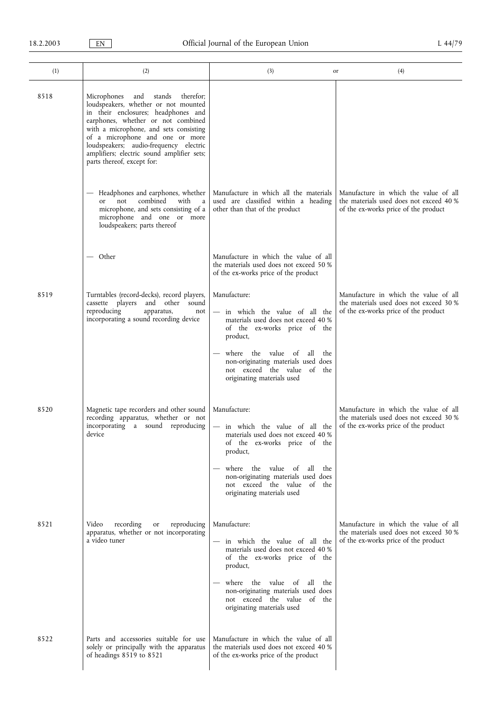| (1)  | (2)                                                                                                                                                                                                                                                                                                                                                               | (3)                                                                                                                                                                                                                                                                           | (4)<br>or                                                                                                                |
|------|-------------------------------------------------------------------------------------------------------------------------------------------------------------------------------------------------------------------------------------------------------------------------------------------------------------------------------------------------------------------|-------------------------------------------------------------------------------------------------------------------------------------------------------------------------------------------------------------------------------------------------------------------------------|--------------------------------------------------------------------------------------------------------------------------|
| 8518 | Microphones<br>and<br>stands<br>therefor;<br>loudspeakers, whether or not mounted<br>in their enclosures; headphones and<br>earphones, whether or not combined<br>with a microphone, and sets consisting<br>of a microphone and one or more<br>loudspeakers; audio-frequency electric<br>amplifiers; electric sound amplifier sets;<br>parts thereof, except for: |                                                                                                                                                                                                                                                                               |                                                                                                                          |
|      | Headphones and earphones, whether<br>combined<br>with<br>not<br>a<br><sub>or</sub><br>microphone, and sets consisting of a<br>microphone and one or more<br>loudspeakers; parts thereof                                                                                                                                                                           | Manufacture in which all the materials<br>used are classified within a heading<br>other than that of the product                                                                                                                                                              | Manufacture in which the value of all<br>the materials used does not exceed 40 %<br>of the ex-works price of the product |
|      | — Other                                                                                                                                                                                                                                                                                                                                                           | Manufacture in which the value of all<br>the materials used does not exceed 50 %<br>of the ex-works price of the product                                                                                                                                                      |                                                                                                                          |
| 8519 | Turntables (record-decks), record players,<br>cassette players and other sound<br>reproducing<br>apparatus,<br>not<br>incorporating a sound recording device                                                                                                                                                                                                      | Manufacture:<br>- in which the value of all the<br>materials used does not exceed 40 %<br>of the ex-works price of the<br>product,<br>where the value<br>of<br>all<br>the<br>non-originating materials used does<br>not exceed the value of the<br>originating materials used | Manufacture in which the value of all<br>the materials used does not exceed 30 %<br>of the ex-works price of the product |
| 8520 | Magnetic tape recorders and other sound<br>recording apparatus, whether or not<br>incorporating a sound reproducing<br>device                                                                                                                                                                                                                                     | Manufacture:<br>- in which the value of all the<br>materials used does not exceed 40 %<br>of the ex-works price of the<br>product,<br>where the value of<br>all the<br>non-originating materials used does<br>not exceed the value of the<br>originating materials used       | Manufacture in which the value of all<br>the materials used does not exceed 30 %<br>of the ex-works price of the product |
| 8521 | Video<br>recording<br>reproducing<br>or<br>apparatus, whether or not incorporating<br>a video tuner                                                                                                                                                                                                                                                               | Manufacture:<br>- in which the value of all the<br>materials used does not exceed 40 %<br>of the ex-works price of the<br>product,<br>where the value of<br>all<br>the<br>non-originating materials used does<br>not exceed the value of the<br>originating materials used    | Manufacture in which the value of all<br>the materials used does not exceed 30 %<br>of the ex-works price of the product |
| 8522 | Parts and accessories suitable for use<br>solely or principally with the apparatus<br>of headings 8519 to 8521                                                                                                                                                                                                                                                    | Manufacture in which the value of all<br>the materials used does not exceed 40 %<br>of the ex-works price of the product                                                                                                                                                      |                                                                                                                          |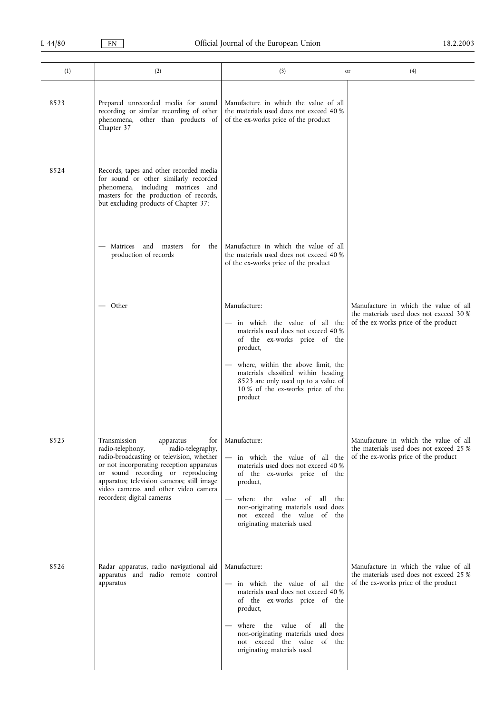| (1)  | (2)                                                                                                                                                                                                                                                                                                                         | (3)                                                                                                                                                                                                                                                                                                    | (4)<br>or                                                                                                                |
|------|-----------------------------------------------------------------------------------------------------------------------------------------------------------------------------------------------------------------------------------------------------------------------------------------------------------------------------|--------------------------------------------------------------------------------------------------------------------------------------------------------------------------------------------------------------------------------------------------------------------------------------------------------|--------------------------------------------------------------------------------------------------------------------------|
| 8523 | Prepared unrecorded media for sound<br>recording or similar recording of other<br>phenomena, other than products of<br>Chapter 37                                                                                                                                                                                           | Manufacture in which the value of all<br>the materials used does not exceed 40 %<br>of the ex-works price of the product                                                                                                                                                                               |                                                                                                                          |
| 8524 | Records, tapes and other recorded media<br>for sound or other similarly recorded<br>phenomena, including matrices and<br>masters for the production of records,<br>but excluding products of Chapter 37:                                                                                                                    |                                                                                                                                                                                                                                                                                                        |                                                                                                                          |
|      | for the<br>Matrices and masters<br>production of records                                                                                                                                                                                                                                                                    | Manufacture in which the value of all<br>the materials used does not exceed 40 %<br>of the ex-works price of the product                                                                                                                                                                               |                                                                                                                          |
|      | — Other                                                                                                                                                                                                                                                                                                                     | Manufacture:<br>- in which the value of all the<br>materials used does not exceed 40 %<br>of the ex-works price of the<br>product,<br>where, within the above limit, the<br>materials classified within heading<br>8523 are only used up to a value of<br>10 % of the ex-works price of the<br>product | Manufacture in which the value of all<br>the materials used does not exceed 30 %<br>of the ex-works price of the product |
| 8525 | Transmission<br>apparatus<br>for<br>radio-telephony,<br>radio-telegraphy,<br>radio-broadcasting or television, whether<br>or not incorporating reception apparatus<br>or sound recording or reproducing<br>apparatus; television cameras; still image<br>video cameras and other video camera<br>recorders; digital cameras | Manufacture:<br>in which the value of all the<br>materials used does not exceed 40 %<br>of the ex-works price of the<br>product,<br>where the value of all the<br>non-originating materials used does<br>not exceed the value of the<br>originating materials used                                     | Manufacture in which the value of all<br>the materials used does not exceed 25 %<br>of the ex-works price of the product |
| 8526 | Radar apparatus, radio navigational aid<br>apparatus and radio remote control<br>apparatus                                                                                                                                                                                                                                  | Manufacture:<br>- in which the value of all the<br>materials used does not exceed 40 %<br>of the ex-works price of the<br>product,<br>where the value of all the<br>non-originating materials used does<br>not exceed the value of the<br>originating materials used                                   | Manufacture in which the value of all<br>the materials used does not exceed 25 %<br>of the ex-works price of the product |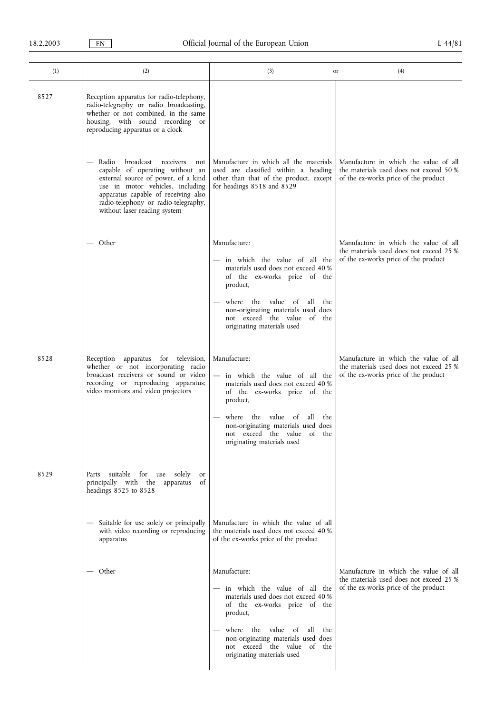| (1)  | (2)                                                                                                                                                                                                                                                                 | (3)                                                                                                                                                                                                                                                                  | (4)<br>or                                                                                                                |
|------|---------------------------------------------------------------------------------------------------------------------------------------------------------------------------------------------------------------------------------------------------------------------|----------------------------------------------------------------------------------------------------------------------------------------------------------------------------------------------------------------------------------------------------------------------|--------------------------------------------------------------------------------------------------------------------------|
| 8527 | Reception apparatus for radio-telephony,<br>radio-telegraphy or radio broadcasting,<br>whether or not combined, in the same<br>housing, with sound recording or<br>reproducing apparatus or a clock                                                                 |                                                                                                                                                                                                                                                                      |                                                                                                                          |
|      | Radio<br>broadcast<br>receivers<br>not<br>capable of operating without an<br>external source of power, of a kind<br>use in motor vehicles, including<br>apparatus capable of receiving also<br>radio-telephony or radio-telegraphy,<br>without laser reading system | Manufacture in which all the materials<br>used are classified within a heading<br>other than that of the product, except<br>for headings 8518 and 8529                                                                                                               | Manufacture in which the value of all<br>the materials used does not exceed 50 %<br>of the ex-works price of the product |
|      | — Other                                                                                                                                                                                                                                                             | Manufacture:                                                                                                                                                                                                                                                         | Manufacture in which the value of all                                                                                    |
|      |                                                                                                                                                                                                                                                                     | — in which the value of all the<br>materials used does not exceed 40 %<br>of the ex-works price of the<br>product,                                                                                                                                                   | the materials used does not exceed 25 %<br>of the ex-works price of the product                                          |
|      |                                                                                                                                                                                                                                                                     | where the value of<br>all<br>the<br>non-originating materials used does<br>not exceed the value of the<br>originating materials used                                                                                                                                 |                                                                                                                          |
| 8528 | Reception apparatus for television,<br>whether or not incorporating radio<br>broadcast receivers or sound or video<br>recording or reproducing apparatus;<br>video monitors and video projectors                                                                    | Manufacture:<br>- in which the value of all the<br>materials used does not exceed 40 %<br>of the ex-works price of the<br>product,<br>where the value of all the<br>non-originating materials used does<br>not exceed the value of the<br>originating materials used | Manufacture in which the value of all<br>the materials used does not exceed 25 %<br>of the ex-works price of the product |
| 8529 | Parts suitable for use solely<br><b>or</b><br>principally with the apparatus<br>of<br>headings 8525 to 8528                                                                                                                                                         |                                                                                                                                                                                                                                                                      |                                                                                                                          |
|      | - Suitable for use solely or principally<br>with video recording or reproducing<br>apparatus                                                                                                                                                                        | Manufacture in which the value of all<br>the materials used does not exceed 40 %<br>of the ex-works price of the product                                                                                                                                             |                                                                                                                          |
|      | — Other                                                                                                                                                                                                                                                             | Manufacture:<br>- in which the value of all the<br>materials used does not exceed 40 %<br>of the ex-works price of the<br>product,                                                                                                                                   | Manufacture in which the value of all<br>the materials used does not exceed 25 %<br>of the ex-works price of the product |
|      |                                                                                                                                                                                                                                                                     | where the value of<br>all<br>the<br>non-originating materials used does<br>not exceed the value of the<br>originating materials used                                                                                                                                 |                                                                                                                          |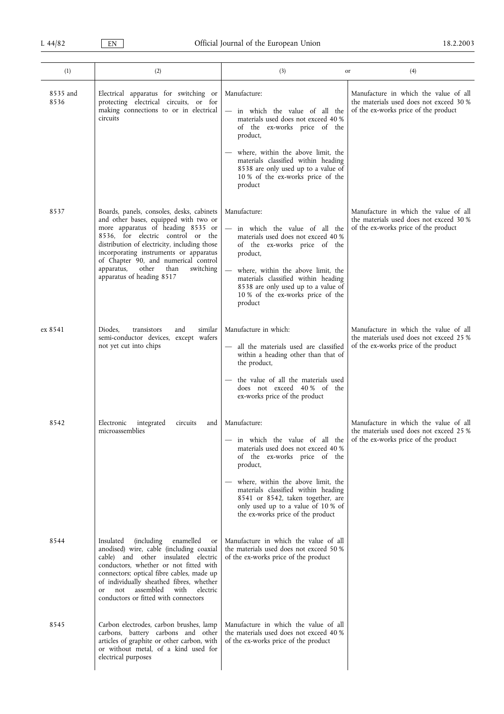| (1)              | (2)                                                                                                                                                                                                                                                                                                                                                                   | (3)                                                                                                                                                                                                                                                                                                                                                                | (4)<br>or                                                                                                                |
|------------------|-----------------------------------------------------------------------------------------------------------------------------------------------------------------------------------------------------------------------------------------------------------------------------------------------------------------------------------------------------------------------|--------------------------------------------------------------------------------------------------------------------------------------------------------------------------------------------------------------------------------------------------------------------------------------------------------------------------------------------------------------------|--------------------------------------------------------------------------------------------------------------------------|
|                  |                                                                                                                                                                                                                                                                                                                                                                       |                                                                                                                                                                                                                                                                                                                                                                    |                                                                                                                          |
| 8535 and<br>8536 | Electrical apparatus for switching or<br>protecting electrical circuits, or for<br>making connections to or in electrical<br>circuits                                                                                                                                                                                                                                 | Manufacture:<br>- in which the value of all the<br>materials used does not exceed 40 %<br>of the ex-works price of the<br>product,                                                                                                                                                                                                                                 | Manufacture in which the value of all<br>the materials used does not exceed 30 %<br>of the ex-works price of the product |
|                  |                                                                                                                                                                                                                                                                                                                                                                       | where, within the above limit, the<br>materials classified within heading<br>8538 are only used up to a value of<br>10 % of the ex-works price of the<br>product                                                                                                                                                                                                   |                                                                                                                          |
| 8537             | Boards, panels, consoles, desks, cabinets<br>and other bases, equipped with two or<br>more apparatus of heading 8535 or<br>8536, for electric control or the<br>distribution of electricity, including those<br>incorporating instruments or apparatus<br>of Chapter 90, and numerical control<br>other<br>apparatus,<br>than<br>switching                            | Manufacture:<br>in which the value of all the<br>materials used does not exceed 40 %<br>of the ex-works price of the<br>product,<br>where, within the above limit, the                                                                                                                                                                                             | Manufacture in which the value of all<br>the materials used does not exceed 30 %<br>of the ex-works price of the product |
|                  | apparatus of heading 8517                                                                                                                                                                                                                                                                                                                                             | materials classified within heading<br>8538 are only used up to a value of<br>10 % of the ex-works price of the<br>product                                                                                                                                                                                                                                         |                                                                                                                          |
| ex 8541          | Diodes.<br>transistors<br>similar<br>and<br>semi-conductor devices, except wafers<br>not yet cut into chips                                                                                                                                                                                                                                                           | Manufacture in which:<br>- all the materials used are classified<br>within a heading other than that of<br>the product,<br>the value of all the materials used<br>does not exceed 40% of the<br>ex-works price of the product                                                                                                                                      | Manufacture in which the value of all<br>the materials used does not exceed 25 %<br>of the ex-works price of the product |
| 8542             | Electronic<br>integrated<br>circuits<br>and<br>microassemblies                                                                                                                                                                                                                                                                                                        | Manufacture:<br>in which the value of all the of the ex-works price of the product<br>materials used does not exceed 40 %<br>of the ex-works price of the<br>product,<br>where, within the above limit, the<br>materials classified within heading<br>8541 or 8542, taken together, are<br>only used up to a value of 10 % of<br>the ex-works price of the product | Manufacture in which the value of all<br>the materials used does not exceed 25 %                                         |
| 8544             | Insulated<br><i>(including)</i><br>enamelled<br>or<br>anodised) wire, cable (including coaxial<br>cable) and other insulated electric<br>conductors, whether or not fitted with<br>connectors; optical fibre cables, made up<br>of individually sheathed fibres, whether<br>assembled<br>with<br>not<br>electric<br><b>or</b><br>conductors or fitted with connectors | Manufacture in which the value of all<br>the materials used does not exceed 50 %<br>of the ex-works price of the product                                                                                                                                                                                                                                           |                                                                                                                          |
| 8545             | Carbon electrodes, carbon brushes, lamp<br>carbons, battery carbons and other<br>articles of graphite or other carbon, with<br>or without metal, of a kind used for<br>electrical purposes                                                                                                                                                                            | Manufacture in which the value of all<br>the materials used does not exceed 40 %<br>of the ex-works price of the product                                                                                                                                                                                                                                           |                                                                                                                          |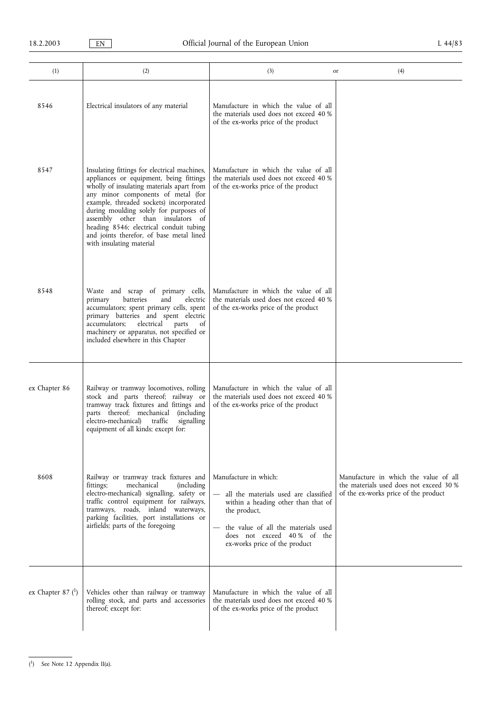| (1)                                | (2)                                                                                                                                                                                                                                                                                                                                                                                                                     | (3)<br>or                                                                                                                                                                                                                   | (4)                                                                                                                      |
|------------------------------------|-------------------------------------------------------------------------------------------------------------------------------------------------------------------------------------------------------------------------------------------------------------------------------------------------------------------------------------------------------------------------------------------------------------------------|-----------------------------------------------------------------------------------------------------------------------------------------------------------------------------------------------------------------------------|--------------------------------------------------------------------------------------------------------------------------|
| 8546                               | Electrical insulators of any material                                                                                                                                                                                                                                                                                                                                                                                   | Manufacture in which the value of all<br>the materials used does not exceed 40 %<br>of the ex-works price of the product                                                                                                    |                                                                                                                          |
| 8547                               | Insulating fittings for electrical machines,<br>appliances or equipment, being fittings<br>wholly of insulating materials apart from<br>any minor components of metal (for<br>example, threaded sockets) incorporated<br>during moulding solely for purposes of<br>assembly other than insulators of<br>heading 8546; electrical conduit tubing<br>and joints therefor, of base metal lined<br>with insulating material | Manufacture in which the value of all<br>the materials used does not exceed 40 %<br>of the ex-works price of the product                                                                                                    |                                                                                                                          |
| 8548                               | Waste and scrap of primary cells,<br>batteries<br>and<br>electric<br>primary<br>accumulators; spent primary cells, spent<br>primary batteries and spent electric<br>accumulators;<br>electrical<br>parts<br>of<br>machinery or apparatus, not specified or<br>included elsewhere in this Chapter                                                                                                                        | Manufacture in which the value of all<br>the materials used does not exceed 40 %<br>of the ex-works price of the product                                                                                                    |                                                                                                                          |
| ex Chapter 86                      | Railway or tramway locomotives, rolling<br>stock and parts thereof; railway or<br>tramway track fixtures and fittings and<br>parts thereof; mechanical<br><i>(including)</i><br>traffic<br>electro-mechanical)<br>signalling<br>equipment of all kinds; except for:                                                                                                                                                     | Manufacture in which the value of all<br>the materials used does not exceed 40 %<br>of the ex-works price of the product                                                                                                    |                                                                                                                          |
| 8608                               | Railway or tramway track fixtures and<br>mechanical<br>fittings;<br><i>(including)</i><br>electro-mechanical) signalling, safety or<br>traffic control equipment for railways,<br>tramways, roads, inland waterways,<br>parking facilities, port installations or<br>airfields; parts of the foregoing                                                                                                                  | Manufacture in which:<br>all the materials used are classified<br>within a heading other than that of<br>the product,<br>the value of all the materials used<br>does not exceed 40% of the<br>ex-works price of the product | Manufacture in which the value of all<br>the materials used does not exceed 30 %<br>of the ex-works price of the product |
| ex Chapter 87 $($ <sup>1</sup> $)$ | Vehicles other than railway or tramway<br>rolling stock, and parts and accessories<br>thereof; except for:                                                                                                                                                                                                                                                                                                              | Manufacture in which the value of all<br>the materials used does not exceed 40 %<br>of the ex-works price of the product                                                                                                    |                                                                                                                          |

<sup>(</sup> 1) See Note 12 Appendix II(a).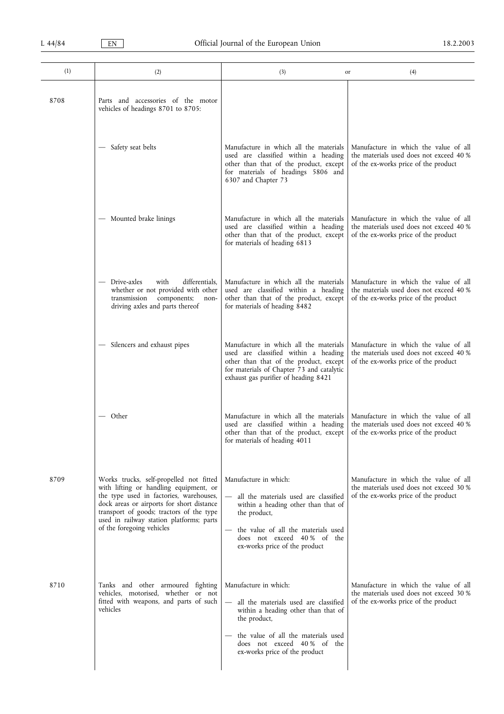| (1)  | (2)                                                                                                                                                                                                                                                                                            | (3)                                                                                                                                                                                                                           | (4)<br>or                                                                                                                |
|------|------------------------------------------------------------------------------------------------------------------------------------------------------------------------------------------------------------------------------------------------------------------------------------------------|-------------------------------------------------------------------------------------------------------------------------------------------------------------------------------------------------------------------------------|--------------------------------------------------------------------------------------------------------------------------|
| 8708 | Parts and accessories of the motor<br>vehicles of headings 8701 to 8705:                                                                                                                                                                                                                       |                                                                                                                                                                                                                               |                                                                                                                          |
|      | Safety seat belts                                                                                                                                                                                                                                                                              | Manufacture in which all the materials<br>used are classified within a heading<br>other than that of the product, except<br>for materials of headings 5806 and<br>6307 and Chapter 73                                         | Manufacture in which the value of all<br>the materials used does not exceed 40 %<br>of the ex-works price of the product |
|      | — Mounted brake linings                                                                                                                                                                                                                                                                        | Manufacture in which all the materials<br>used are classified within a heading<br>other than that of the product, except<br>for materials of heading 6813                                                                     | Manufacture in which the value of all<br>the materials used does not exceed 40 %<br>of the ex-works price of the product |
|      | — Drive-axles<br>with<br>differentials,<br>whether or not provided with other<br>components;<br>transmission<br>non-<br>driving axles and parts thereof                                                                                                                                        | Manufacture in which all the materials<br>used are classified within a heading<br>other than that of the product, except<br>for materials of heading 8482                                                                     | Manufacture in which the value of all<br>the materials used does not exceed 40 %<br>of the ex-works price of the product |
|      | Silencers and exhaust pipes                                                                                                                                                                                                                                                                    | Manufacture in which all the materials<br>used are classified within a heading<br>other than that of the product, except<br>for materials of Chapter 73 and catalytic<br>exhaust gas purifier of heading 8421                 | Manufacture in which the value of all<br>the materials used does not exceed 40 %<br>of the ex-works price of the product |
|      | Other                                                                                                                                                                                                                                                                                          | Manufacture in which all the materials<br>used are classified within a heading<br>other than that of the product, except<br>for materials of heading 4011                                                                     | Manufacture in which the value of all<br>the materials used does not exceed 40 %<br>of the ex-works price of the product |
| 8709 | Works trucks, self-propelled not fitted<br>with lifting or handling equipment, or<br>the type used in factories, warehouses,<br>dock areas or airports for short distance<br>transport of goods; tractors of the type<br>used in railway station platforms; parts<br>of the foregoing vehicles | Manufacture in which:<br>all the materials used are classified<br>within a heading other than that of<br>the product,<br>the value of all the materials used<br>does not exceed 40% of the<br>ex-works price of the product   | Manufacture in which the value of all<br>the materials used does not exceed 30 %<br>of the ex-works price of the product |
| 8710 | Tanks and other armoured fighting<br>vehicles, motorised, whether or not<br>fitted with weapons, and parts of such<br>vehicles                                                                                                                                                                 | Manufacture in which:<br>- all the materials used are classified<br>within a heading other than that of<br>the product,<br>the value of all the materials used<br>does not exceed 40% of the<br>ex-works price of the product | Manufacture in which the value of all<br>the materials used does not exceed 30 %<br>of the ex-works price of the product |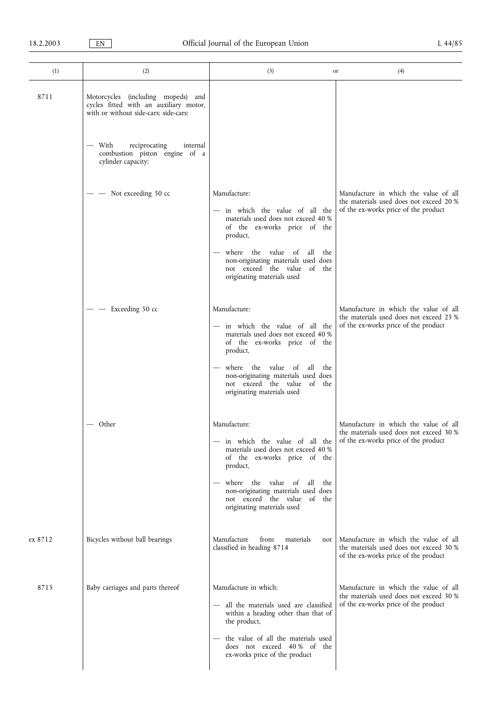| (1)     | (2)                                                                                                                   | (3)                                                                                                                                                                                                                                                                                                           | (4)<br>or                                                                                                                |
|---------|-----------------------------------------------------------------------------------------------------------------------|---------------------------------------------------------------------------------------------------------------------------------------------------------------------------------------------------------------------------------------------------------------------------------------------------------------|--------------------------------------------------------------------------------------------------------------------------|
| 8711    | Motorcycles (including mopeds) and<br>cycles fitted with an auxiliary motor,<br>with or without side-cars; side-cars: |                                                                                                                                                                                                                                                                                                               |                                                                                                                          |
|         | — With<br>reciprocating<br>internal<br>combustion piston engine of a<br>cylinder capacity:                            |                                                                                                                                                                                                                                                                                                               |                                                                                                                          |
|         | Not exceeding 50 cc                                                                                                   | Manufacture:<br>- in which the value of all the<br>materials used does not exceed 40 %<br>of the ex-works price of the<br>product,<br>where the value of<br>all<br>the<br>non-originating materials used does<br>not exceed the value of the<br>originating materials used                                    | Manufacture in which the value of all<br>the materials used does not exceed 20 %<br>of the ex-works price of the product |
|         | Exceeding 50 cc                                                                                                       | Manufacture:<br>- in which the value of all the<br>materials used does not exceed 40 %<br>of the ex-works price of the<br>product,<br>where the value of all<br>the<br>non-originating materials used does<br>not exceed the value of the<br>originating materials used                                       | Manufacture in which the value of all<br>the materials used does not exceed 25 %<br>of the ex-works price of the product |
|         | — Other                                                                                                               | Manufacture:<br>in which the value of all the of the ex-works price of the product<br>materials used does not exceed 40 %<br>of the ex-works price of the<br>product,<br>where the value of<br>all<br>the<br>non-originating materials used does<br>not exceed the value of the<br>originating materials used | Manufacture in which the value of all<br>the materials used does not exceed 30 %                                         |
| ex 8712 | Bicycles without ball bearings                                                                                        | Manufacture<br>from<br>materials<br>not<br>classified in heading 8714                                                                                                                                                                                                                                         | Manufacture in which the value of all<br>the materials used does not exceed 30 %<br>of the ex-works price of the product |
| 8715    | Baby carriages and parts thereof                                                                                      | Manufacture in which:<br>- all the materials used are classified<br>within a heading other than that of<br>the product,<br>the value of all the materials used<br>does not exceed 40% of the<br>ex-works price of the product                                                                                 | Manufacture in which the value of all<br>the materials used does not exceed 30 %<br>of the ex-works price of the product |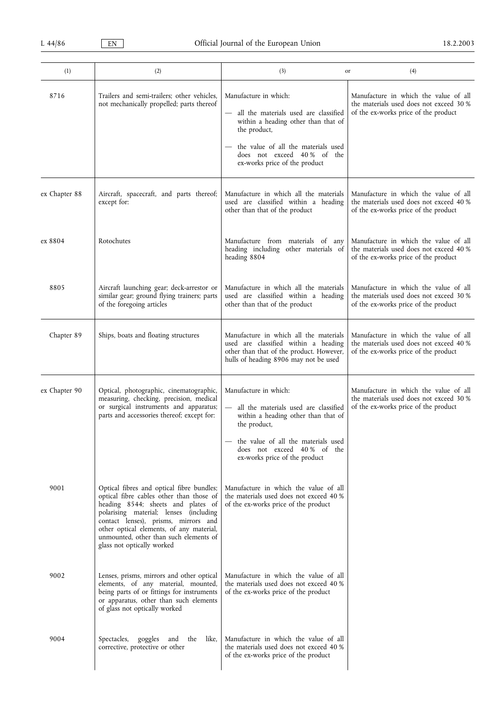| (1)           | (2)                                                                                                                                                                                                                                                                                                                               | (3)<br>or                                                                                                                                                                                                                                                | (4)                                                                                                                      |
|---------------|-----------------------------------------------------------------------------------------------------------------------------------------------------------------------------------------------------------------------------------------------------------------------------------------------------------------------------------|----------------------------------------------------------------------------------------------------------------------------------------------------------------------------------------------------------------------------------------------------------|--------------------------------------------------------------------------------------------------------------------------|
| 8716          | Trailers and semi-trailers; other vehicles,<br>not mechanically propelled; parts thereof                                                                                                                                                                                                                                          | Manufacture in which:<br>all the materials used are classified<br>within a heading other than that of<br>the product,<br>the value of all the materials used<br>does not exceed 40% of the<br>ex-works price of the product                              | Manufacture in which the value of all<br>the materials used does not exceed 30 %<br>of the ex-works price of the product |
| ex Chapter 88 | Aircraft, spacecraft, and parts thereof;<br>except for:                                                                                                                                                                                                                                                                           | Manufacture in which all the materials<br>used are classified within a heading<br>other than that of the product                                                                                                                                         | Manufacture in which the value of all<br>the materials used does not exceed 40 %<br>of the ex-works price of the product |
| ex 8804       | Rotochutes                                                                                                                                                                                                                                                                                                                        | Manufacture from materials of any<br>heading including other materials of<br>heading 8804                                                                                                                                                                | Manufacture in which the value of all<br>the materials used does not exceed 40 %<br>of the ex-works price of the product |
| 8805          | Aircraft launching gear; deck-arrestor or<br>similar gear; ground flying trainers; parts<br>of the foregoing articles                                                                                                                                                                                                             | Manufacture in which all the materials<br>used are classified within a heading<br>other than that of the product                                                                                                                                         | Manufacture in which the value of all<br>the materials used does not exceed 30 %<br>of the ex-works price of the product |
| Chapter 89    | Ships, boats and floating structures                                                                                                                                                                                                                                                                                              | Manufacture in which all the materials<br>used are classified within a heading<br>other than that of the product. However,<br>hulls of heading 8906 may not be used                                                                                      | Manufacture in which the value of all<br>the materials used does not exceed 40 %<br>of the ex-works price of the product |
| ex Chapter 90 | Optical, photographic, cinematographic,<br>measuring, checking, precision, medical<br>or surgical instruments and apparatus;<br>parts and accessories thereof; except for:                                                                                                                                                        | Manufacture in which:<br>$\overline{\phantom{0}}$<br>all the materials used are classified<br>within a heading other than that of<br>the product,<br>the value of all the materials used<br>does not exceed 40 % of the<br>ex-works price of the product | Manufacture in which the value of all<br>the materials used does not exceed 30 %<br>of the ex-works price of the product |
| 9001          | Optical fibres and optical fibre bundles;<br>optical fibre cables other than those of<br>heading 8544; sheets and plates of<br>polarising material; lenses (including<br>contact lenses), prisms, mirrors and<br>other optical elements, of any material,<br>unmounted, other than such elements of<br>glass not optically worked | Manufacture in which the value of all<br>the materials used does not exceed 40 %<br>of the ex-works price of the product                                                                                                                                 |                                                                                                                          |
| 9002          | Lenses, prisms, mirrors and other optical<br>elements, of any material, mounted,<br>being parts of or fittings for instruments<br>or apparatus, other than such elements<br>of glass not optically worked                                                                                                                         | Manufacture in which the value of all<br>the materials used does not exceed 40 %<br>of the ex-works price of the product                                                                                                                                 |                                                                                                                          |
| 9004          | Spectacles,<br>goggles and the<br>like,<br>corrective, protective or other                                                                                                                                                                                                                                                        | Manufacture in which the value of all<br>the materials used does not exceed 40 %<br>of the ex-works price of the product                                                                                                                                 |                                                                                                                          |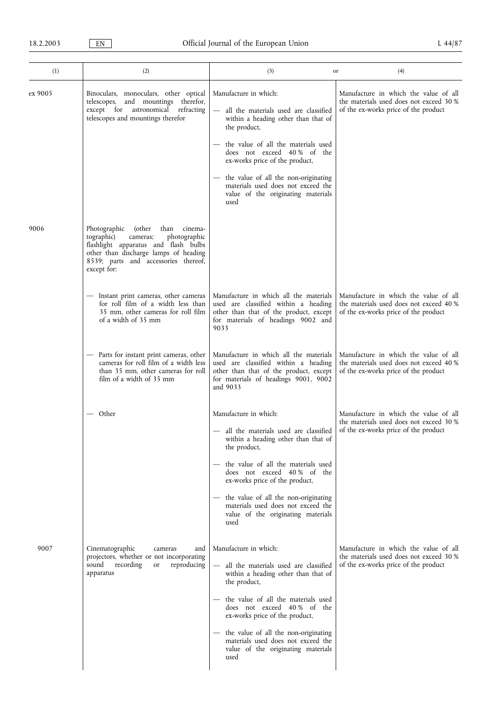| (1)     | (2)                                                                                                                                                                                                                         | (3)                                                                                                                                                                                                                                                                                                                                                          | (4)<br>or                                                                                                                |
|---------|-----------------------------------------------------------------------------------------------------------------------------------------------------------------------------------------------------------------------------|--------------------------------------------------------------------------------------------------------------------------------------------------------------------------------------------------------------------------------------------------------------------------------------------------------------------------------------------------------------|--------------------------------------------------------------------------------------------------------------------------|
| ex 9005 | Binoculars, monoculars, other optical<br>and mountings therefor,<br>telescopes,<br>except for astronomical refracting<br>telescopes and mountings therefor                                                                  | Manufacture in which:<br>- all the materials used are classified<br>within a heading other than that of<br>the product,<br>the value of all the materials used<br>does not exceed 40% of the<br>ex-works price of the product,<br>the value of all the non-originating<br>materials used does not exceed the<br>value of the originating materials<br>used   | Manufacture in which the value of all<br>the materials used does not exceed 30 %<br>of the ex-works price of the product |
| 9006    | Photographic<br>(other<br>cinema-<br>than<br>photographic<br>tographic)<br>cameras;<br>flashlight apparatus and flash bulbs<br>other than discharge lamps of heading<br>8539; parts and accessories thereof,<br>except for: |                                                                                                                                                                                                                                                                                                                                                              |                                                                                                                          |
|         | Instant print cameras, other cameras<br>for roll film of a width less than<br>35 mm, other cameras for roll film<br>of a width of 35 mm                                                                                     | Manufacture in which all the materials<br>used are classified within a heading<br>other than that of the product, except<br>for materials of headings 9002 and<br>9033                                                                                                                                                                                       | Manufacture in which the value of all<br>the materials used does not exceed 40 %<br>of the ex-works price of the product |
|         | - Parts for instant print cameras, other<br>cameras for roll film of a width less<br>than 35 mm, other cameras for roll<br>film of a width of 35 mm                                                                         | Manufacture in which all the materials<br>used are classified within a heading<br>other than that of the product, except<br>for materials of headings 9001, 9002<br>and 9033                                                                                                                                                                                 | Manufacture in which the value of all<br>the materials used does not exceed 40 %<br>of the ex-works price of the product |
|         | — Other                                                                                                                                                                                                                     | Manufacture in which:<br>- all the materials used are classified<br>within a heading other than that of<br>the product,<br>the value of all the materials used<br>does not exceed 40% of the<br>ex-works price of the product,<br>- the value of all the non-originating<br>materials used does not exceed the<br>value of the originating materials<br>used | Manufacture in which the value of all<br>the materials used does not exceed 30 %<br>of the ex-works price of the product |
| 9007    | Cinematographic<br>and<br>cameras<br>projectors, whether or not incorporating<br>reproducing<br>sound<br>recording<br>or<br>apparatus                                                                                       | Manufacture in which:<br>all the materials used are classified<br>within a heading other than that of<br>the product,<br>the value of all the materials used<br>does not exceed 40% of the<br>ex-works price of the product,<br>- the value of all the non-originating<br>materials used does not exceed the<br>value of the originating materials<br>used   | Manufacture in which the value of all<br>the materials used does not exceed 30 %<br>of the ex-works price of the product |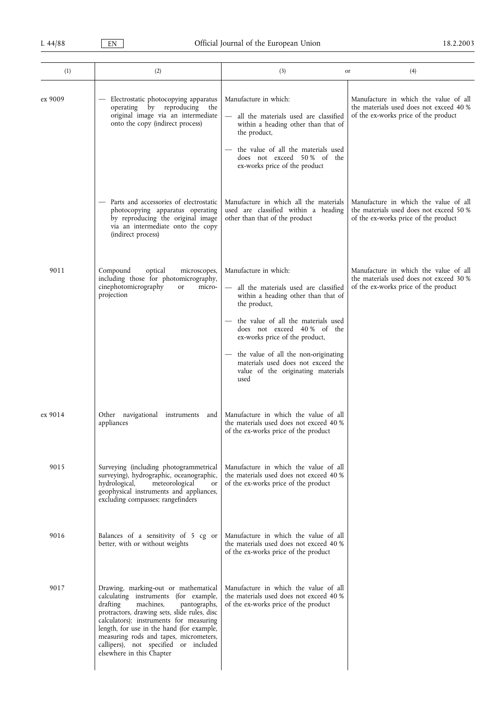| (1)     | (2)                                                                                                                                                                                                                                                                                                                                                                            | (3)                                                                                                                                                                                                                                                                                                                                                          | (4)<br>or                                                                                                                |
|---------|--------------------------------------------------------------------------------------------------------------------------------------------------------------------------------------------------------------------------------------------------------------------------------------------------------------------------------------------------------------------------------|--------------------------------------------------------------------------------------------------------------------------------------------------------------------------------------------------------------------------------------------------------------------------------------------------------------------------------------------------------------|--------------------------------------------------------------------------------------------------------------------------|
| ex 9009 | Electrostatic photocopying apparatus<br>operating by reproducing the<br>original image via an intermediate<br>onto the copy (indirect process)                                                                                                                                                                                                                                 | Manufacture in which:<br>- all the materials used are classified<br>within a heading other than that of<br>the product,<br>the value of all the materials used<br>does not exceed 50% of the<br>ex-works price of the product                                                                                                                                | Manufacture in which the value of all<br>the materials used does not exceed 40 %<br>of the ex-works price of the product |
|         | - Parts and accessories of electrostatic<br>photocopying apparatus operating<br>by reproducing the original image<br>via an intermediate onto the copy<br>(indirect process)                                                                                                                                                                                                   | Manufacture in which all the materials<br>used are classified within a heading<br>other than that of the product                                                                                                                                                                                                                                             | Manufacture in which the value of all<br>the materials used does not exceed 50 %<br>of the ex-works price of the product |
| 9011    | Compound<br>optical<br>microscopes,<br>including those for photomicrography,<br>cinephotomicrography<br>micro-<br><b>or</b><br>projection                                                                                                                                                                                                                                      | Manufacture in which:<br>- all the materials used are classified<br>within a heading other than that of<br>the product,<br>the value of all the materials used<br>does not exceed 40% of the<br>ex-works price of the product,<br>- the value of all the non-originating<br>materials used does not exceed the<br>value of the originating materials<br>used | Manufacture in which the value of all<br>the materials used does not exceed 30 %<br>of the ex-works price of the product |
| ex 9014 | Other navigational instruments<br>and<br>appliances                                                                                                                                                                                                                                                                                                                            | Manufacture in which the value of all<br>the materials used does not exceed 40 %<br>of the ex-works price of the product                                                                                                                                                                                                                                     |                                                                                                                          |
| 9015    | Surveying (including photogrammetrical<br>surveying), hydrographic, oceanographic,<br>hydrological,<br>meteorological<br>or<br>geophysical instruments and appliances,<br>excluding compasses; rangefinders                                                                                                                                                                    | Manufacture in which the value of all<br>the materials used does not exceed 40 %<br>of the ex-works price of the product                                                                                                                                                                                                                                     |                                                                                                                          |
| 9016    | Balances of a sensitivity of 5 cg or<br>better, with or without weights                                                                                                                                                                                                                                                                                                        | Manufacture in which the value of all<br>the materials used does not exceed 40 %<br>of the ex-works price of the product                                                                                                                                                                                                                                     |                                                                                                                          |
| 9017    | Drawing, marking-out or mathematical<br>calculating instruments (for example,<br>drafting<br>machines,<br>pantographs,<br>protractors, drawing sets, slide rules, disc<br>calculators); instruments for measuring<br>length, for use in the hand (for example,<br>measuring rods and tapes, micrometers,<br>callipers), not specified or included<br>elsewhere in this Chapter | Manufacture in which the value of all<br>the materials used does not exceed 40 %<br>of the ex-works price of the product                                                                                                                                                                                                                                     |                                                                                                                          |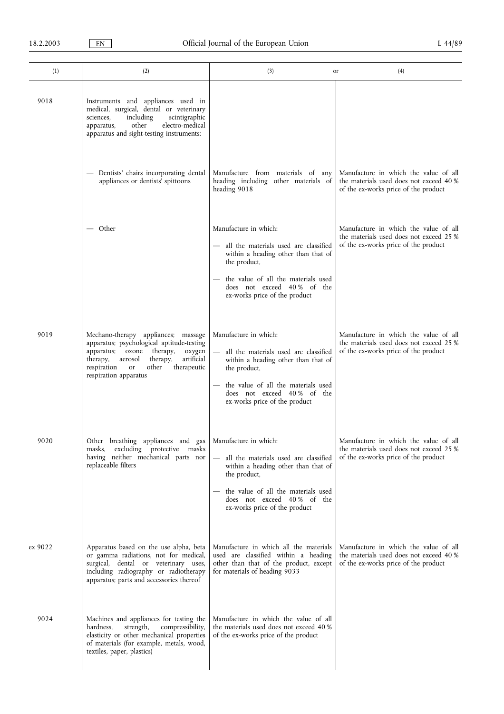| (1)     | (2)                                                                                                                                                                                                                                            | (3)<br>or                                                                                                                                                                                                                                        | (4)                                                                                                                      |
|---------|------------------------------------------------------------------------------------------------------------------------------------------------------------------------------------------------------------------------------------------------|--------------------------------------------------------------------------------------------------------------------------------------------------------------------------------------------------------------------------------------------------|--------------------------------------------------------------------------------------------------------------------------|
| 9018    | Instruments and appliances used in<br>medical, surgical, dental or veterinary<br>including<br>scintigraphic<br>sciences,<br>other<br>electro-medical<br>apparatus,<br>apparatus and sight-testing instruments:                                 |                                                                                                                                                                                                                                                  |                                                                                                                          |
|         | - Dentists' chairs incorporating dental<br>appliances or dentists' spittoons                                                                                                                                                                   | Manufacture from materials of any<br>heading including other materials of<br>heading 9018                                                                                                                                                        | Manufacture in which the value of all<br>the materials used does not exceed 40 %<br>of the ex-works price of the product |
|         | — Other                                                                                                                                                                                                                                        | Manufacture in which:<br>- all the materials used are classified<br>within a heading other than that of<br>the product,<br>the value of all the materials used<br>does not exceed 40% of the<br>ex-works price of the product                    | Manufacture in which the value of all<br>the materials used does not exceed 25 %<br>of the ex-works price of the product |
| 9019    | Mechano-therapy appliances; massage<br>apparatus; psychological aptitude-testing<br>apparatus; ozone therapy,<br>oxygen<br>therapy,<br>aerosol<br>artificial<br>therapy,<br>respiration<br>other<br>or<br>therapeutic<br>respiration apparatus | Manufacture in which:<br>$\qquad \qquad -$<br>all the materials used are classified<br>within a heading other than that of<br>the product,<br>the value of all the materials used<br>does not exceed 40% of the<br>ex-works price of the product | Manufacture in which the value of all<br>the materials used does not exceed 25 %<br>of the ex-works price of the product |
| 9020    | Other breathing appliances and gas<br>excluding protective masks<br>masks.<br>having neither mechanical parts nor<br>replaceable filters                                                                                                       | Manufacture in which:<br>- all the materials used are classified<br>within a heading other than that of<br>the product,<br>- the value of all the materials used<br>does not exceed 40% of the<br>ex-works price of the product                  | Manufacture in which the value of all<br>the materials used does not exceed 25 %<br>of the ex-works price of the product |
| ex 9022 | Apparatus based on the use alpha, beta<br>or gamma radiations, not for medical,<br>surgical, dental or veterinary uses,<br>including radiography or radiotherapy<br>apparatus; parts and accessories thereof                                   | Manufacture in which all the materials<br>used are classified within a heading<br>other than that of the product, except<br>for materials of heading 9033                                                                                        | Manufacture in which the value of all<br>the materials used does not exceed 40 %<br>of the ex-works price of the product |
| 9024    | Machines and appliances for testing the<br>compressibility,<br>hardness,<br>strength,<br>elasticity or other mechanical properties<br>of materials (for example, metals, wood,<br>textiles, paper, plastics)                                   | Manufacture in which the value of all<br>the materials used does not exceed 40 %<br>of the ex-works price of the product                                                                                                                         |                                                                                                                          |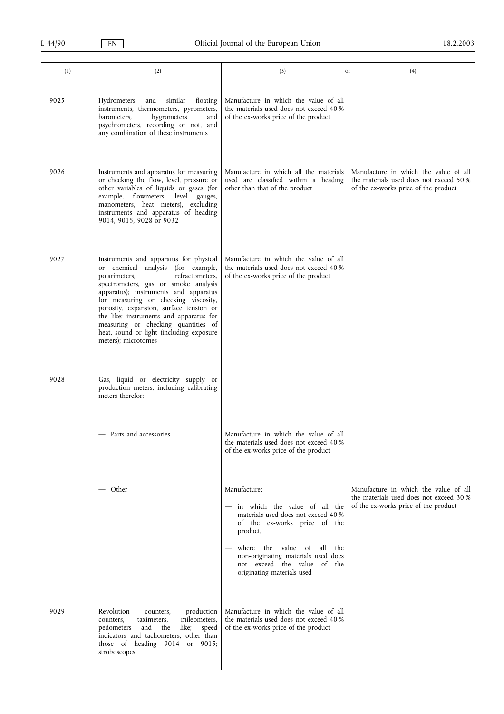| (1)  | (2)                                                                                                                                                                                                                                                                                                                                                                                                                                       | (3)                                                                                                                                                                                                                                                                  | (4)<br>or                                                                                                                |
|------|-------------------------------------------------------------------------------------------------------------------------------------------------------------------------------------------------------------------------------------------------------------------------------------------------------------------------------------------------------------------------------------------------------------------------------------------|----------------------------------------------------------------------------------------------------------------------------------------------------------------------------------------------------------------------------------------------------------------------|--------------------------------------------------------------------------------------------------------------------------|
| 9025 | similar<br>Hydrometers<br>and<br>floating<br>instruments, thermometers, pyrometers,<br>hygrometers<br>barometers,<br>and<br>psychrometers, recording or not, and<br>any combination of these instruments                                                                                                                                                                                                                                  | Manufacture in which the value of all<br>the materials used does not exceed 40 %<br>of the ex-works price of the product                                                                                                                                             |                                                                                                                          |
| 9026 | Instruments and apparatus for measuring<br>or checking the flow, level, pressure or<br>other variables of liquids or gases (for<br>example, flowmeters, level gauges,<br>manometers, heat meters), excluding<br>instruments and apparatus of heading<br>9014, 9015, 9028 or 9032                                                                                                                                                          | Manufacture in which all the materials<br>used are classified within a heading<br>other than that of the product                                                                                                                                                     | Manufacture in which the value of all<br>the materials used does not exceed 50 %<br>of the ex-works price of the product |
| 9027 | Instruments and apparatus for physical<br>or chemical analysis (for example,<br>polarimeters,<br>refractometers,<br>spectrometers, gas or smoke analysis<br>apparatus); instruments and apparatus<br>for measuring or checking viscosity,<br>porosity, expansion, surface tension or<br>the like; instruments and apparatus for<br>measuring or checking quantities of<br>heat, sound or light (including exposure<br>meters); microtomes | Manufacture in which the value of all<br>the materials used does not exceed 40 %<br>of the ex-works price of the product                                                                                                                                             |                                                                                                                          |
| 9028 | Gas, liquid or electricity supply or<br>production meters, including calibrating<br>meters therefor:                                                                                                                                                                                                                                                                                                                                      |                                                                                                                                                                                                                                                                      |                                                                                                                          |
|      | - Parts and accessories                                                                                                                                                                                                                                                                                                                                                                                                                   | Manufacture in which the value of all<br>the materials used does not exceed 40 %<br>of the ex-works price of the product                                                                                                                                             |                                                                                                                          |
|      | — Other                                                                                                                                                                                                                                                                                                                                                                                                                                   | Manufacture:<br>- in which the value of all the<br>materials used does not exceed 40 %<br>of the ex-works price of the<br>product,<br>where the value of all the<br>non-originating materials used does<br>not exceed the value of the<br>originating materials used | Manufacture in which the value of all<br>the materials used does not exceed 30 %<br>of the ex-works price of the product |
| 9029 | Revolution<br>production<br>counters,<br>mileometers,<br>counters,<br>taximeters,<br>and<br>like;<br>speed<br>pedometers<br>the<br>indicators and tachometers, other than<br>those of heading 9014 or 9015;<br>stroboscopes                                                                                                                                                                                                               | Manufacture in which the value of all<br>the materials used does not exceed 40 %<br>of the ex-works price of the product                                                                                                                                             |                                                                                                                          |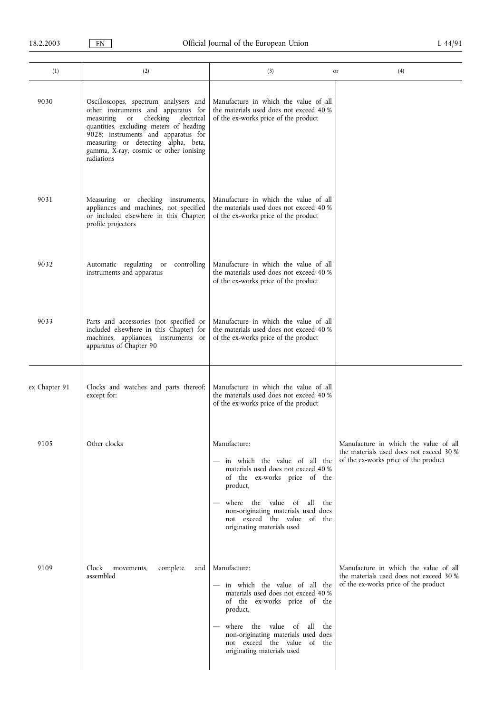| (1)           | (2)                                                                                                                                                                                                                                                                                                     | (3)                                                                                                                                                                                                                                                                     | (4)<br>or                                                                                                                |
|---------------|---------------------------------------------------------------------------------------------------------------------------------------------------------------------------------------------------------------------------------------------------------------------------------------------------------|-------------------------------------------------------------------------------------------------------------------------------------------------------------------------------------------------------------------------------------------------------------------------|--------------------------------------------------------------------------------------------------------------------------|
| 9030          | Oscilloscopes, spectrum analysers and<br>other instruments and apparatus for<br>or checking<br>electrical<br>measuring<br>quantities, excluding meters of heading<br>9028; instruments and apparatus for<br>measuring or detecting alpha, beta,<br>gamma, X-ray, cosmic or other ionising<br>radiations | Manufacture in which the value of all<br>the materials used does not exceed 40 %<br>of the ex-works price of the product                                                                                                                                                |                                                                                                                          |
| 9031          | Measuring or checking instruments,<br>appliances and machines, not specified<br>or included elsewhere in this Chapter;<br>profile projectors                                                                                                                                                            | Manufacture in which the value of all<br>the materials used does not exceed 40 %<br>of the ex-works price of the product                                                                                                                                                |                                                                                                                          |
| 9032          | Automatic regulating or<br>controlling<br>instruments and apparatus                                                                                                                                                                                                                                     | Manufacture in which the value of all<br>the materials used does not exceed 40 %<br>of the ex-works price of the product                                                                                                                                                |                                                                                                                          |
| 9033          | Parts and accessories (not specified or<br>included elsewhere in this Chapter) for<br>machines, appliances, instruments or<br>apparatus of Chapter 90                                                                                                                                                   | Manufacture in which the value of all<br>the materials used does not exceed 40 %<br>of the ex-works price of the product                                                                                                                                                |                                                                                                                          |
| ex Chapter 91 | Clocks and watches and parts thereof;<br>except for:                                                                                                                                                                                                                                                    | Manufacture in which the value of all<br>the materials used does not exceed 40 %<br>of the ex-works price of the product                                                                                                                                                |                                                                                                                          |
| 9105          | Other clocks                                                                                                                                                                                                                                                                                            | Manufacture:<br>- in which the value of all the<br>materials used does not exceed 40 %<br>of the ex-works price of the<br>product,<br>where the value of all<br>the<br>non-originating materials used does<br>not exceed the value of the<br>originating materials used | Manufacture in which the value of all<br>the materials used does not exceed 30 %<br>of the ex-works price of the product |
| 9109          | Clock<br>complete<br>movements,<br>and<br>assembled                                                                                                                                                                                                                                                     | Manufacture:<br>- in which the value of all the<br>materials used does not exceed 40 %<br>of the ex-works price of the<br>product,<br>- where the value of all the<br>non-originating materials used does<br>not exceed the value of the<br>originating materials used  | Manufacture in which the value of all<br>the materials used does not exceed 30 %<br>of the ex-works price of the product |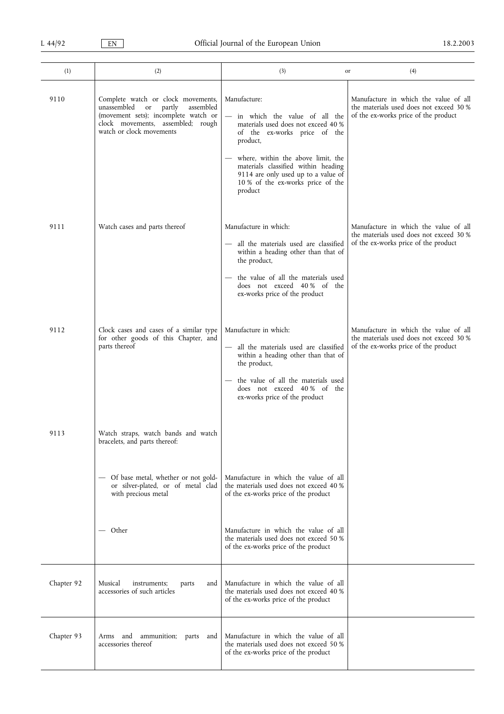| (1)        | (2)                                                                                                                                                                                     | (3)                                                                                                                                                                                                                                                                                                  | (4)<br>or                                                                                                                |
|------------|-----------------------------------------------------------------------------------------------------------------------------------------------------------------------------------------|------------------------------------------------------------------------------------------------------------------------------------------------------------------------------------------------------------------------------------------------------------------------------------------------------|--------------------------------------------------------------------------------------------------------------------------|
| 9110       | Complete watch or clock movements,<br>unassembled<br>partly<br>assembled<br>or<br>(movement sets); incomplete watch or<br>clock movements, assembled; rough<br>watch or clock movements | Manufacture:<br>in which the value of all the<br>materials used does not exceed 40 %<br>of the ex-works price of the<br>product,<br>where, within the above limit, the<br>materials classified within heading<br>9114 are only used up to a value of<br>10 % of the ex-works price of the<br>product | Manufacture in which the value of all<br>the materials used does not exceed 30 %<br>of the ex-works price of the product |
| 9111       | Watch cases and parts thereof                                                                                                                                                           | Manufacture in which:<br>- all the materials used are classified<br>within a heading other than that of<br>the product,<br>the value of all the materials used<br>does not exceed 40% of the<br>ex-works price of the product                                                                        | Manufacture in which the value of all<br>the materials used does not exceed 30 %<br>of the ex-works price of the product |
| 9112       | Clock cases and cases of a similar type<br>for other goods of this Chapter, and<br>parts thereof                                                                                        | Manufacture in which:<br>all the materials used are classified<br>within a heading other than that of<br>the product,<br>the value of all the materials used<br>does not exceed 40% of the<br>ex-works price of the product                                                                          | Manufacture in which the value of all<br>the materials used does not exceed 30 %<br>of the ex-works price of the product |
| 9113       | Watch straps, watch bands and watch<br>bracelets, and parts thereof:<br>Of base metal, whether or not gold-<br>or silver-plated, or of metal clad<br>with precious metal<br>— Other     | Manufacture in which the value of all<br>the materials used does not exceed 40 %<br>of the ex-works price of the product<br>Manufacture in which the value of all                                                                                                                                    |                                                                                                                          |
|            |                                                                                                                                                                                         | the materials used does not exceed 50 %<br>of the ex-works price of the product                                                                                                                                                                                                                      |                                                                                                                          |
| Chapter 92 | Musical<br>instruments;<br>and<br>parts<br>accessories of such articles                                                                                                                 | Manufacture in which the value of all<br>the materials used does not exceed 40 %<br>of the ex-works price of the product                                                                                                                                                                             |                                                                                                                          |
| Chapter 93 | ammunition; parts<br>Arms and<br>and<br>accessories thereof                                                                                                                             | Manufacture in which the value of all<br>the materials used does not exceed 50 %<br>of the ex-works price of the product                                                                                                                                                                             |                                                                                                                          |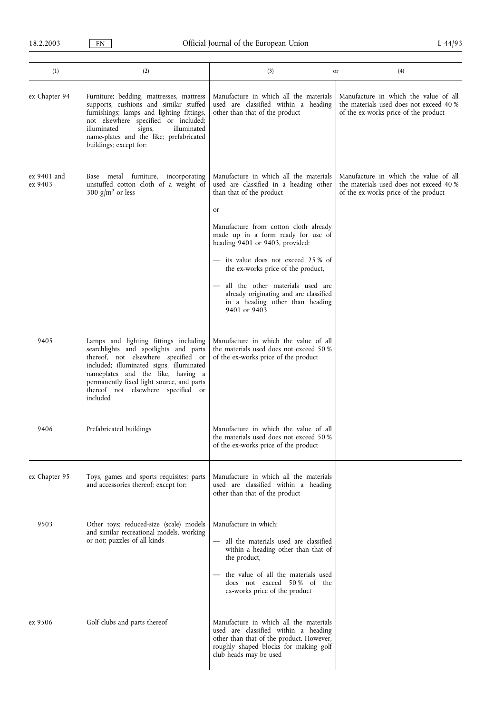| (1)                    | (2)                                                                                                                                                                                                                                                                                                   | (3)                                                                                                                                                                                                                           | (4)<br>or                                                                                                                |
|------------------------|-------------------------------------------------------------------------------------------------------------------------------------------------------------------------------------------------------------------------------------------------------------------------------------------------------|-------------------------------------------------------------------------------------------------------------------------------------------------------------------------------------------------------------------------------|--------------------------------------------------------------------------------------------------------------------------|
| ex Chapter 94          | Furniture; bedding, mattresses, mattress<br>supports, cushions and similar stuffed<br>furnishings; lamps and lighting fittings,<br>not elsewhere specified or included;<br>illuminated<br>illuminated<br>signs,<br>name-plates and the like; prefabricated<br>buildings; except for:                  | Manufacture in which all the materials<br>used are classified within a heading<br>other than that of the product                                                                                                              | Manufacture in which the value of all<br>the materials used does not exceed 40 %<br>of the ex-works price of the product |
| ex 9401 and<br>ex 9403 | Base metal furniture, incorporating<br>unstuffed cotton cloth of a weight of<br>300 $g/m^2$ or less                                                                                                                                                                                                   | Manufacture in which all the materials<br>used are classified in a heading other<br>than that of the product<br>or<br>Manufacture from cotton cloth already<br>made up in a form ready for use of                             | Manufacture in which the value of all<br>the materials used does not exceed 40 %<br>of the ex-works price of the product |
|                        |                                                                                                                                                                                                                                                                                                       | heading 9401 or 9403, provided:<br>- its value does not exceed 25 % of                                                                                                                                                        |                                                                                                                          |
|                        |                                                                                                                                                                                                                                                                                                       | the ex-works price of the product,<br>all the other materials used are<br>$\overline{\phantom{m}}$<br>already originating and are classified<br>in a heading other than heading<br>9401 or 9403                               |                                                                                                                          |
| 9405                   | Lamps and lighting fittings including<br>searchlights and spotlights and parts<br>thereof, not elsewhere specified or<br>included; illuminated signs, illuminated<br>nameplates and the like, having a<br>permanently fixed light source, and parts<br>thereof not elsewhere specified or<br>included | Manufacture in which the value of all<br>the materials used does not exceed 50 %<br>of the ex-works price of the product                                                                                                      |                                                                                                                          |
| 9406                   | Prefabricated buildings                                                                                                                                                                                                                                                                               | Manufacture in which the value of all<br>the materials used does not exceed 50 %<br>of the ex-works price of the product                                                                                                      |                                                                                                                          |
| ex Chapter 95          | Toys, games and sports requisites; parts<br>and accessories thereof; except for:                                                                                                                                                                                                                      | Manufacture in which all the materials<br>used are classified within a heading<br>other than that of the product                                                                                                              |                                                                                                                          |
| 9503                   | Other toys; reduced-size (scale) models<br>and similar recreational models, working<br>or not; puzzles of all kinds                                                                                                                                                                                   | Manufacture in which:<br>- all the materials used are classified<br>within a heading other than that of<br>the product,<br>the value of all the materials used<br>does not exceed 50% of the<br>ex-works price of the product |                                                                                                                          |
| ex 9506                | Golf clubs and parts thereof                                                                                                                                                                                                                                                                          | Manufacture in which all the materials<br>used are classified within a heading<br>other than that of the product. However,<br>roughly shaped blocks for making golf<br>club heads may be used                                 |                                                                                                                          |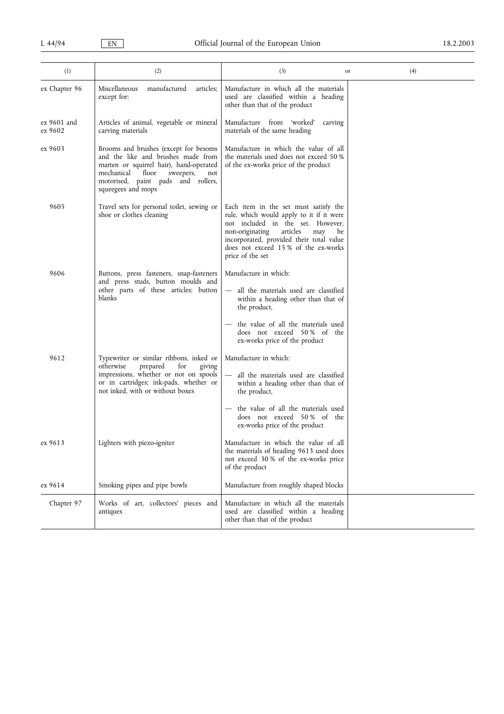| (1)                    | (2)                                                                                                                                                                                                                           | (3)                                                                                                                                                                                                                                                                       | (4)<br>or |
|------------------------|-------------------------------------------------------------------------------------------------------------------------------------------------------------------------------------------------------------------------------|---------------------------------------------------------------------------------------------------------------------------------------------------------------------------------------------------------------------------------------------------------------------------|-----------|
| ex Chapter 96          | manufactured<br>Miscellaneous<br>articles;<br>except for:                                                                                                                                                                     | Manufacture in which all the materials<br>used are classified within a heading<br>other than that of the product                                                                                                                                                          |           |
| ex 9601 and<br>ex 9602 | Articles of animal, vegetable or mineral<br>carving materials                                                                                                                                                                 | Manufacture from 'worked'<br>carving<br>materials of the same heading                                                                                                                                                                                                     |           |
| ex 9603                | Brooms and brushes (except for besoms<br>and the like and brushes made from<br>marten or squirrel hair), hand-operated<br>mechanical<br>floor<br>sweepers,<br>not<br>motorised, paint pads and rollers,<br>squeegees and mops | Manufacture in which the value of all<br>the materials used does not exceed 50 %<br>of the ex-works price of the product                                                                                                                                                  |           |
| 9605                   | Travel sets for personal toilet, sewing or<br>shoe or clothes cleaning                                                                                                                                                        | Each item in the set must satisfy the<br>rule, which would apply to it if it were<br>not included in the set. However,<br>articles<br>may<br>non-originating<br>be<br>incorporated, provided their total value<br>does not exceed 15% of the ex-works<br>price of the set |           |
| 9606                   | Buttons, press fasteners, snap-fasteners<br>and press studs, button moulds and<br>other parts of these articles; button<br>blanks                                                                                             | Manufacture in which:<br>all the materials used are classified<br>within a heading other than that of<br>the product,<br>the value of all the materials used<br>does not exceed 50% of the<br>ex-works price of the product                                               |           |
| 9612                   | Typewriter or similar ribbons, inked or<br>prepared<br>otherwise<br>for<br>giving<br>impressions, whether or not on spools<br>or in cartridges; ink-pads, whether or<br>not inked, with or without boxes                      | Manufacture in which:<br>all the materials used are classified<br>within a heading other than that of<br>the product,<br>the value of all the materials used<br>does not exceed 50% of the<br>ex-works price of the product                                               |           |
| ex 9613                | Lighters with piezo-igniter                                                                                                                                                                                                   | Manufacture in which the value of all<br>the materials of heading 9613 used does<br>not exceed 30% of the ex-works price<br>of the product                                                                                                                                |           |
| ex 9614                | Smoking pipes and pipe bowls                                                                                                                                                                                                  | Manufacture from roughly shaped blocks                                                                                                                                                                                                                                    |           |
| Chapter 97             | Works of art, collectors' pieces and<br>antiques                                                                                                                                                                              | Manufacture in which all the materials<br>used are classified within a heading<br>other than that of the product                                                                                                                                                          |           |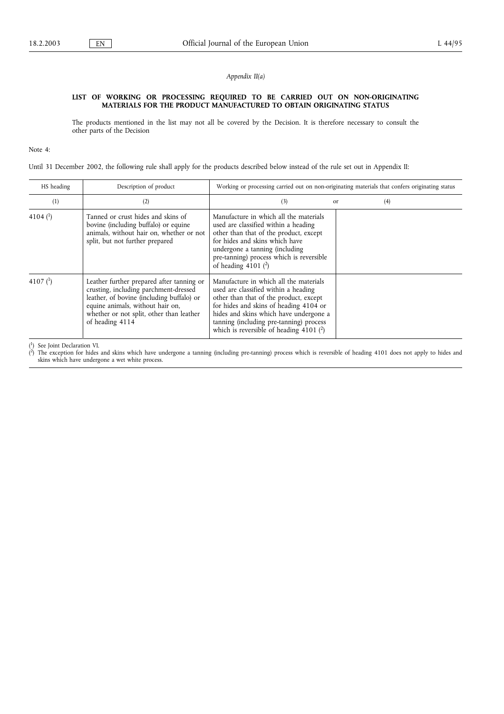## Appendix II(a)

## LIST OF WORKING OR PROCESSING REQUIRED TO BE CARRIED OUT ON NON-ORIGINATING MATERIALS FOR THE PRODUCT MANUFACTURED TO OBTAIN ORIGINATING STATUS

The products mentioned in the list may not all be covered by the Decision. It is therefore necessary to consult the other parts of the Decision

Note 4:

Until 31 December 2002, the following rule shall apply for the products described below instead of the rule set out in Appendix II:

| HS heading | Description of product                                                                                                                                                                                                             | Working or processing carried out on non-originating materials that confers originating status                                                                                                                                                                                                       |               |     |
|------------|------------------------------------------------------------------------------------------------------------------------------------------------------------------------------------------------------------------------------------|------------------------------------------------------------------------------------------------------------------------------------------------------------------------------------------------------------------------------------------------------------------------------------------------------|---------------|-----|
| (1)        | (2)                                                                                                                                                                                                                                | (3)                                                                                                                                                                                                                                                                                                  | <sub>or</sub> | (4) |
| 4104 $(1)$ | Tanned or crust hides and skins of<br>bovine (including buffalo) or equine<br>animals, without hair on, whether or not<br>split, but not further prepared                                                                          | Manufacture in which all the materials<br>used are classified within a heading<br>other than that of the product, except<br>for hides and skins which have<br>undergone a tanning (including<br>pre-tanning) process which is reversible<br>of heading 4101 $(2)$                                    |               |     |
| 4107 $(1)$ | Leather further prepared after tanning or<br>crusting, including parchment-dressed<br>leather, of bovine (including buffalo) or<br>equine animals, without hair on,<br>whether or not split, other than leather<br>of heading 4114 | Manufacture in which all the materials<br>used are classified within a heading<br>other than that of the product, except<br>for hides and skins of heading 4104 or<br>hides and skins which have undergone a<br>tanning (including pre-tanning) process<br>which is reversible of heading 4101 $(2)$ |               |     |

 $\binom{1}{2}$ <sup>1</sup>) See Joint Declaration VI.

 $\check{r}$ 2) The exception for hides and skins which have undergone a tanning (including pre-tanning) process which is reversible of heading 4101 does not apply to hides and skins which have undergone a wet white process.